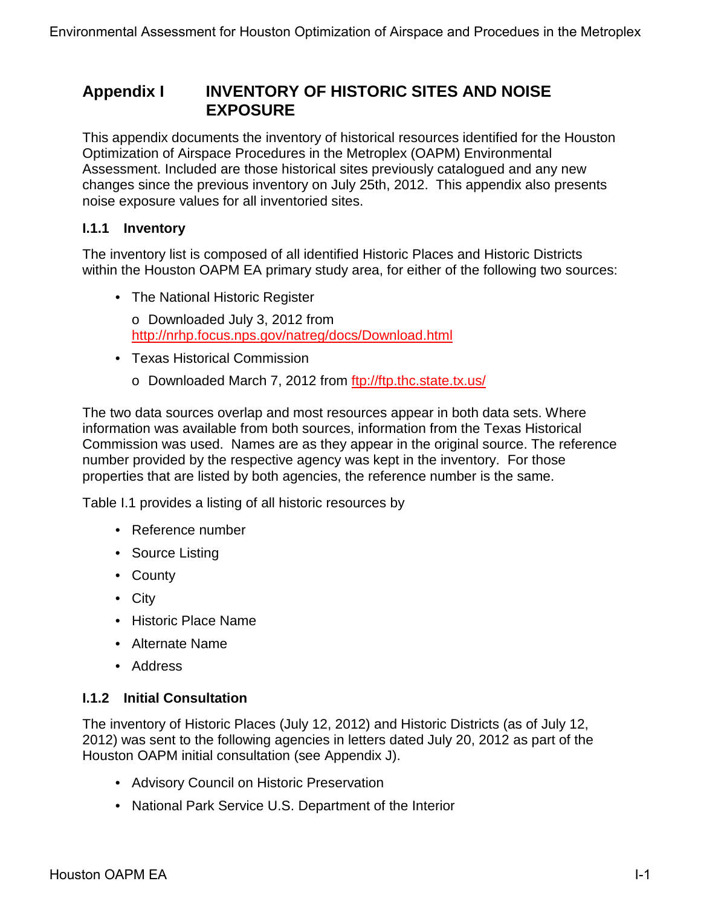## **Appendix I INVENTORY OF HISTORIC SITES AND NOISE EXPOSURE**

This appendix documents the inventory of historical resources identified for the Houston Optimization of Airspace Procedures in the Metroplex (OAPM) Environmental Assessment. Included are those historical sites previously catalogued and any new changes since the previous inventory on July 25th, 2012. This appendix also presents noise exposure values for all inventoried sites.

### **I.1.1 Inventory**

The inventory list is composed of all identified Historic Places and Historic Districts within the Houston OAPM EA primary study area, for either of the following two sources:

• The National Historic Register

o Downloaded July 3, 2012 from http://nrhp.focus.nps.gov/natreg/docs/Download.html

- Texas Historical Commission
	- o Downloaded March 7, 2012 from ftp://ftp.thc.state.tx.us/

The two data sources overlap and most resources appear in both data sets. Where information was available from both sources, information from the Texas Historical Commission was used. Names are as they appear in the original source. The reference number provided by the respective agency was kept in the inventory. For those properties that are listed by both agencies, the reference number is the same.

Table I.1 provides a listing of all historic resources by

- Reference number
- Source Listing
- County
- City
- Historic Place Name
- Alternate Name
- Address

### **I.1.2 Initial Consultation**

The inventory of Historic Places (July 12, 2012) and Historic Districts (as of July 12, 2012) was sent to the following agencies in letters dated July 20, 2012 as part of the Houston OAPM initial consultation (see Appendix J).

- Advisory Council on Historic Preservation
- National Park Service U.S. Department of the Interior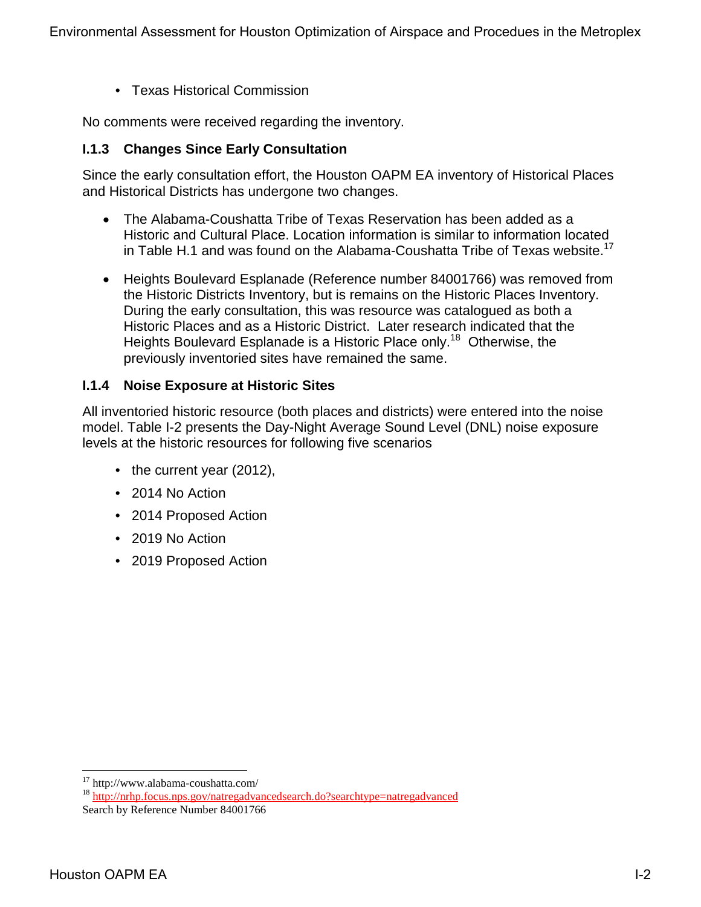• Texas Historical Commission

No comments were received regarding the inventory.

### **I.1.3 Changes Since Early Consultation**

Since the early consultation effort, the Houston OAPM EA inventory of Historical Places and Historical Districts has undergone two changes.

- The Alabama-Coushatta Tribe of Texas Reservation has been added as a Historic and Cultural Place. Location information is similar to information located in Table H.1 and was found on the Alabama-Coushatta Tribe of Texas website.<sup>17</sup>
- Heights Boulevard Esplanade (Reference number 84001766) was removed from the Historic Districts Inventory, but is remains on the Historic Places Inventory. During the early consultation, this was resource was catalogued as both a Historic Places and as a Historic District. Later research indicated that the Heights Boulevard Esplanade is a Historic Place only.<sup>18</sup> Otherwise, the previously inventoried sites have remained the same.

#### **I.1.4 Noise Exposure at Historic Sites**

All inventoried historic resource (both places and districts) were entered into the noise model. Table I-2 presents the Day-Night Average Sound Level (DNL) noise exposure levels at the historic resources for following five scenarios

- the current year (2012),
- 2014 No Action
- 2014 Proposed Action
- 2019 No Action
- 2019 Proposed Action

<sup>17</sup> http://www.alabama-coushatta.com/

<sup>&</sup>lt;sup>18</sup> http://nrhp.focus.nps.gov/natregadvancedsearch.do?searchtype=natregadvanced

Search by Reference Number 84001766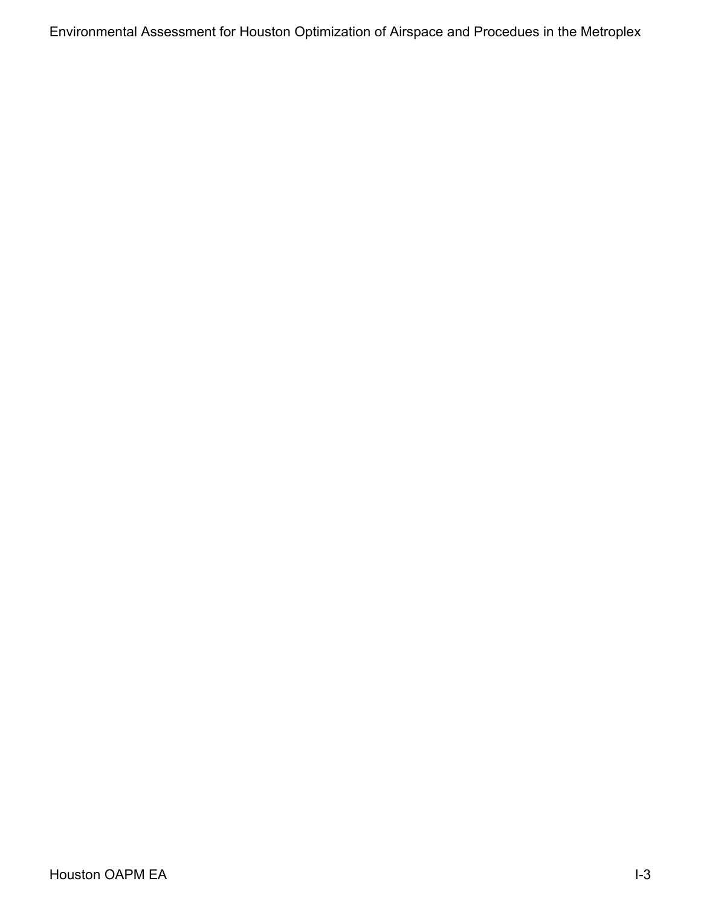Environmental Assessment for Houston Optimization of Airspace and Procedues in the Metroplex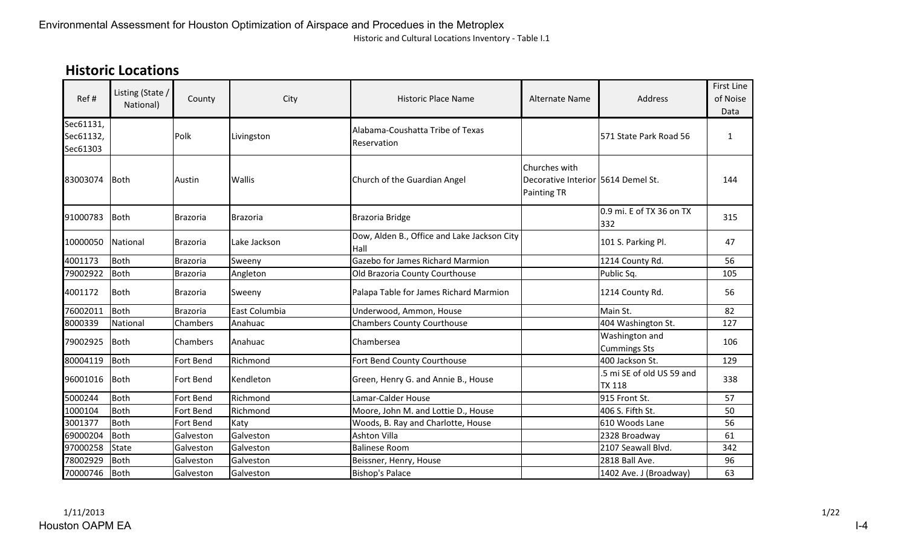## **Historic Locations**

| Ref#                               | Listing (State /<br>National) | County          | City            | <b>Historic Place Name</b>                          | Alternate Name                                                     | <b>Address</b>                             | <b>First Line</b><br>of Noise<br>Data |
|------------------------------------|-------------------------------|-----------------|-----------------|-----------------------------------------------------|--------------------------------------------------------------------|--------------------------------------------|---------------------------------------|
| Sec61131,<br>Sec61132,<br>Sec61303 |                               | Polk            | Livingston      | Alabama-Coushatta Tribe of Texas<br>Reservation     |                                                                    | 571 State Park Road 56                     | $\mathbf{1}$                          |
| 83003074                           | Both                          | Austin          | <b>Wallis</b>   | Church of the Guardian Angel                        | Churches with<br>Decorative Interior 5614 Demel St.<br>Painting TR |                                            | 144                                   |
| 91000783                           | Both                          | Brazoria        | <b>Brazoria</b> | Brazoria Bridge                                     |                                                                    | 0.9 mi. E of TX 36 on TX<br>332            | 315                                   |
| 10000050                           | National                      | <b>Brazoria</b> | Lake Jackson    | Dow, Alden B., Office and Lake Jackson City<br>Hall |                                                                    | 101 S. Parking Pl.                         | 47                                    |
| 4001173                            | <b>Both</b>                   | Brazoria        | Sweeny          | Gazebo for James Richard Marmion                    |                                                                    | 1214 County Rd.                            | 56                                    |
| 79002922                           | <b>Both</b>                   | Brazoria        | Angleton        | Old Brazoria County Courthouse                      |                                                                    | Public Sq.                                 | 105                                   |
| 4001172                            | Both                          | Brazoria        | Sweeny          | Palapa Table for James Richard Marmion              |                                                                    | 1214 County Rd.                            | 56                                    |
| 76002011                           | Both                          | Brazoria        | East Columbia   | Underwood, Ammon, House                             |                                                                    | Main St.                                   | 82                                    |
| 8000339                            | National                      | Chambers        | Anahuac         | <b>Chambers County Courthouse</b>                   |                                                                    | 404 Washington St.                         | 127                                   |
| 79002925                           | <b>Both</b>                   | Chambers        | Anahuac         | Chambersea                                          |                                                                    | Washington and<br><b>Cummings Sts</b>      | 106                                   |
| 80004119                           | <b>Both</b>                   | Fort Bend       | Richmond        | Fort Bend County Courthouse                         |                                                                    | 400 Jackson St.                            | 129                                   |
| 96001016                           | Both                          | Fort Bend       | Kendleton       | Green, Henry G. and Annie B., House                 |                                                                    | .5 mi SE of old US 59 and<br><b>TX 118</b> | 338                                   |
| 5000244                            | <b>Both</b>                   | Fort Bend       | Richmond        | Lamar-Calder House                                  |                                                                    | 915 Front St.                              | 57                                    |
| 1000104                            | Both                          | Fort Bend       | Richmond        | Moore, John M. and Lottie D., House                 |                                                                    | 406 S. Fifth St.                           | 50                                    |
| 3001377                            | <b>Both</b>                   | Fort Bend       | Katy            | Woods, B. Ray and Charlotte, House                  |                                                                    | 610 Woods Lane                             | 56                                    |
| 69000204                           | <b>Both</b>                   | Galveston       | Galveston       | <b>Ashton Villa</b>                                 |                                                                    | 2328 Broadway                              | 61                                    |
| 97000258                           | State                         | Galveston       | Galveston       | <b>Balinese Room</b>                                |                                                                    | 2107 Seawall Blvd.                         | 342                                   |
| 78002929                           | <b>Both</b>                   | Galveston       | Galveston       | Beissner, Henry, House                              |                                                                    | 2818 Ball Ave.                             | 96                                    |
| 70000746                           | Both                          | Galveston       | Galveston       | <b>Bishop's Palace</b>                              |                                                                    | 1402 Ave. J (Broadway)                     | 63                                    |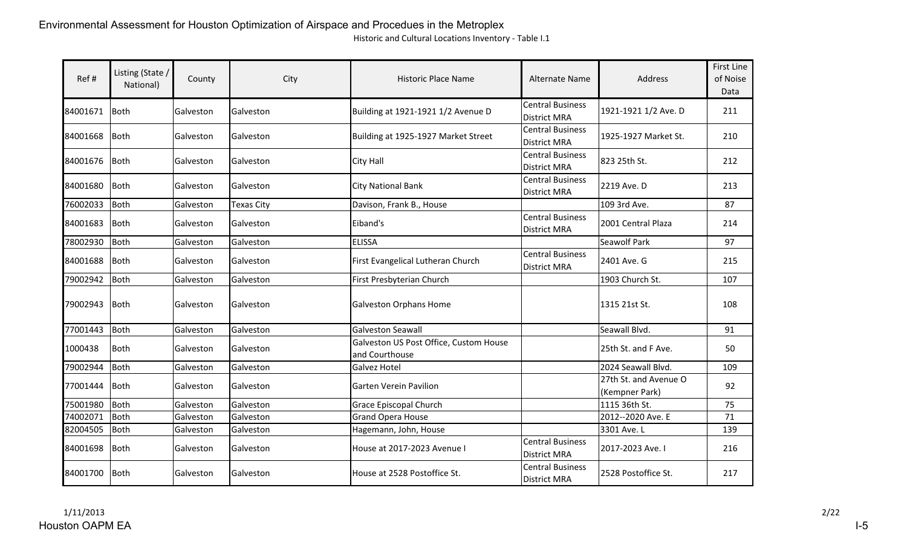| Ref#     | Listing (State /<br>National) | County    | City       | <b>Historic Place Name</b>                               | Alternate Name                                 | <b>Address</b>                          | First Line<br>of Noise<br>Data |
|----------|-------------------------------|-----------|------------|----------------------------------------------------------|------------------------------------------------|-----------------------------------------|--------------------------------|
| 84001671 | <b>Both</b>                   | Galveston | Galveston  | Building at 1921-1921 1/2 Avenue D                       | <b>Central Business</b><br><b>District MRA</b> | 1921-1921 1/2 Ave. D                    | 211                            |
| 84001668 | <b>Both</b>                   | Galveston | Galveston  | Building at 1925-1927 Market Street                      | <b>Central Business</b><br><b>District MRA</b> | 1925-1927 Market St.                    | 210                            |
| 84001676 | <b>Both</b>                   | Galveston | Galveston  | <b>City Hall</b>                                         | <b>Central Business</b><br><b>District MRA</b> | 823 25th St.                            | 212                            |
| 84001680 | <b>Both</b>                   | Galveston | Galveston  | <b>City National Bank</b>                                | <b>Central Business</b><br><b>District MRA</b> | 2219 Ave. D                             | 213                            |
| 76002033 | <b>Both</b>                   | Galveston | Texas City | Davison, Frank B., House                                 |                                                | 109 3rd Ave.                            | 87                             |
| 84001683 | <b>Both</b>                   | Galveston | Galveston  | Eiband's                                                 | <b>Central Business</b><br><b>District MRA</b> | 2001 Central Plaza                      | 214                            |
| 78002930 | <b>Both</b>                   | Galveston | Galveston  | <b>ELISSA</b>                                            |                                                | Seawolf Park                            | 97                             |
| 84001688 | <b>Both</b>                   | Galveston | Galveston  | First Evangelical Lutheran Church                        | <b>Central Business</b><br><b>District MRA</b> | 2401 Ave. G                             | 215                            |
| 79002942 | <b>Both</b>                   | Galveston | Galveston  | First Presbyterian Church                                |                                                | 1903 Church St.                         | 107                            |
| 79002943 | <b>Both</b>                   | Galveston | Galveston  | <b>Galveston Orphans Home</b>                            |                                                | 1315 21st St.                           | 108                            |
| 77001443 | <b>Both</b>                   | Galveston | Galveston  | <b>Galveston Seawall</b>                                 |                                                | Seawall Blvd.                           | 91                             |
| 1000438  | <b>Both</b>                   | Galveston | Galveston  | Galveston US Post Office, Custom House<br>and Courthouse |                                                | 25th St. and F Ave.                     | 50                             |
| 79002944 | <b>Both</b>                   | Galveston | Galveston  | <b>Galvez Hotel</b>                                      |                                                | 2024 Seawall Blvd.                      | 109                            |
| 77001444 | <b>Both</b>                   | Galveston | Galveston  | <b>Garten Verein Pavilion</b>                            |                                                | 27th St. and Avenue O<br>(Kempner Park) | 92                             |
| 75001980 | <b>Both</b>                   | Galveston | Galveston  | <b>Grace Episcopal Church</b>                            |                                                | 1115 36th St.                           | 75                             |
| 74002071 | <b>Both</b>                   | Galveston | Galveston  | <b>Grand Opera House</b>                                 |                                                | 2012--2020 Ave. E                       | 71                             |
| 82004505 | <b>Both</b>                   | Galveston | Galveston  | Hagemann, John, House                                    |                                                | 3301 Ave. L                             | 139                            |
| 84001698 | <b>Both</b>                   | Galveston | Galveston  | House at 2017-2023 Avenue I                              | <b>Central Business</b><br><b>District MRA</b> | 2017-2023 Ave. I                        | 216                            |
| 84001700 | <b>Both</b>                   | Galveston | Galveston  | House at 2528 Postoffice St.                             | <b>Central Business</b><br><b>District MRA</b> | 2528 Postoffice St.                     | 217                            |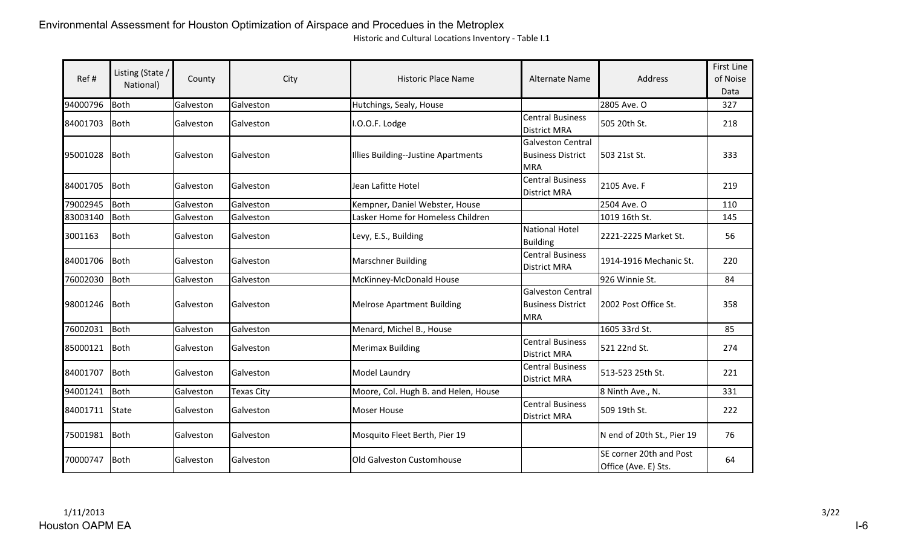Historic and Cultural Locations Inventory - Table I.1 Environmental Assessment for Houston Optimization of Airspace and Procedues in the Metroplex

| Ref#     | Listing (State /<br>National) | County    | City       | <b>Historic Place Name</b>           | Alternate Name                                                     | Address                                         | <b>First Line</b><br>of Noise<br>Data |
|----------|-------------------------------|-----------|------------|--------------------------------------|--------------------------------------------------------------------|-------------------------------------------------|---------------------------------------|
| 94000796 | <b>Both</b>                   | Galveston | Galveston  | Hutchings, Sealy, House              |                                                                    | 2805 Ave. O                                     | 327                                   |
| 84001703 | <b>Both</b>                   | Galveston | Galveston  | I.O.O.F. Lodge                       | <b>Central Business</b><br><b>District MRA</b>                     | 505 20th St.                                    | 218                                   |
| 95001028 | <b>Both</b>                   | Galveston | Galveston  | Illies Building--Justine Apartments  | <b>Galveston Central</b><br><b>Business District</b><br><b>MRA</b> | 503 21st St.                                    | 333                                   |
| 84001705 | <b>Both</b>                   | Galveston | Galveston  | Jean Lafitte Hotel                   | <b>Central Business</b><br><b>District MRA</b>                     | 2105 Ave. F                                     | 219                                   |
| 79002945 | <b>Both</b>                   | Galveston | Galveston  | Kempner, Daniel Webster, House       |                                                                    | 2504 Ave. O                                     | 110                                   |
| 83003140 | <b>Both</b>                   | Galveston | Galveston  | Lasker Home for Homeless Children    |                                                                    | 1019 16th St.                                   | 145                                   |
| 3001163  | <b>Both</b>                   | Galveston | Galveston  | Levy, E.S., Building                 | <b>National Hotel</b><br><b>Building</b>                           | 2221-2225 Market St.                            | 56                                    |
| 84001706 | <b>Both</b>                   | Galveston | Galveston  | <b>Marschner Building</b>            | Central Business<br><b>District MRA</b>                            | 1914-1916 Mechanic St.                          | 220                                   |
| 76002030 | <b>Both</b>                   | Galveston | Galveston  | McKinney-McDonald House              |                                                                    | 926 Winnie St.                                  | 84                                    |
| 98001246 | <b>Both</b>                   | Galveston | Galveston  | <b>Melrose Apartment Building</b>    | <b>Galveston Central</b><br><b>Business District</b><br><b>MRA</b> | 2002 Post Office St.                            | 358                                   |
| 76002031 | <b>Both</b>                   | Galveston | Galveston  | Menard, Michel B., House             |                                                                    | 1605 33rd St.                                   | 85                                    |
| 85000121 | <b>Both</b>                   | Galveston | Galveston  | <b>Merimax Building</b>              | <b>Central Business</b><br><b>District MRA</b>                     | 521 22nd St.                                    | 274                                   |
| 84001707 | <b>Both</b>                   | Galveston | Galveston  | Model Laundry                        | <b>Central Business</b><br><b>District MRA</b>                     | 513-523 25th St.                                | 221                                   |
| 94001241 | <b>Both</b>                   | Galveston | Texas City | Moore, Col. Hugh B. and Helen, House |                                                                    | 8 Ninth Ave., N.                                | 331                                   |
| 84001711 | State                         | Galveston | Galveston  | Moser House                          | <b>Central Business</b><br><b>District MRA</b>                     | 509 19th St.                                    | 222                                   |
| 75001981 | <b>Both</b>                   | Galveston | Galveston  | Mosquito Fleet Berth, Pier 19        |                                                                    | N end of 20th St., Pier 19                      | 76                                    |
| 70000747 | <b>Both</b>                   | Galveston | Galveston  | <b>Old Galveston Customhouse</b>     |                                                                    | SE corner 20th and Post<br>Office (Ave. E) Sts. | 64                                    |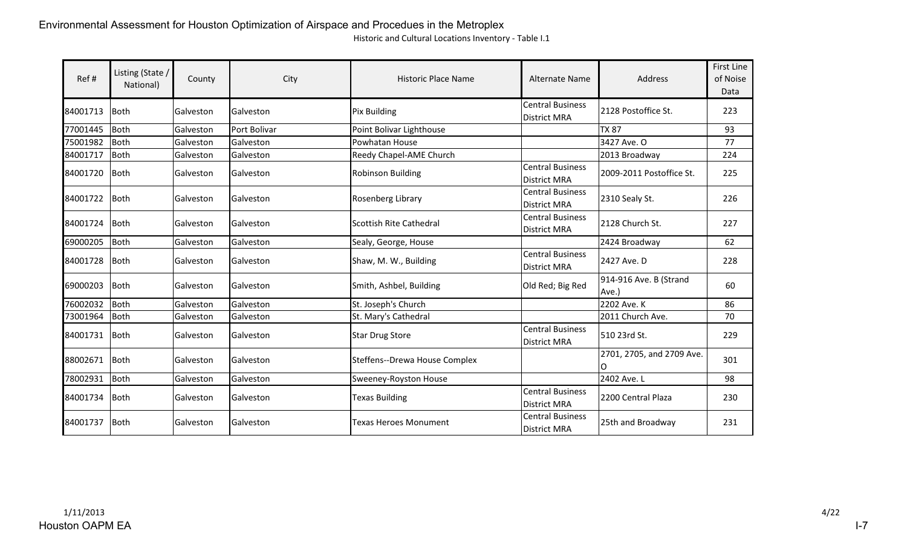Historic and Cultural Locations Inventory - Table I.1 Environmental Assessment for Houston Optimization of Airspace and Procedues in the Metroplex

| Ref#     | Listing (State /<br>National) | County    | City         | Historic Place Name            | Alternate Name                                 | Address                         | <b>First Line</b><br>of Noise<br>Data |
|----------|-------------------------------|-----------|--------------|--------------------------------|------------------------------------------------|---------------------------------|---------------------------------------|
| 84001713 | <b>Both</b>                   | Galveston | Galveston    | <b>Pix Building</b>            | <b>Central Business</b><br><b>District MRA</b> | 2128 Postoffice St.             | 223                                   |
| 77001445 | <b>Both</b>                   | Galveston | Port Bolivar | Point Bolivar Lighthouse       |                                                | <b>TX 87</b>                    | 93                                    |
| 75001982 | <b>Both</b>                   | Galveston | Galveston    | Powhatan House                 |                                                | 3427 Ave. O                     | 77                                    |
| 84001717 | Both                          | Galveston | Galveston    | Reedy Chapel-AME Church        |                                                | 2013 Broadway                   | 224                                   |
| 84001720 | <b>Both</b>                   | Galveston | Galveston    | <b>Robinson Building</b>       | <b>Central Business</b><br><b>District MRA</b> | 2009-2011 Postoffice St.        | 225                                   |
| 84001722 | <b>Both</b>                   | Galveston | Galveston    | Rosenberg Library              | <b>Central Business</b><br><b>District MRA</b> | 2310 Sealy St.                  | 226                                   |
| 84001724 | <b>Both</b>                   | Galveston | Galveston    | <b>Scottish Rite Cathedral</b> | <b>Central Business</b><br><b>District MRA</b> | 2128 Church St.                 | 227                                   |
| 69000205 | <b>Both</b>                   | Galveston | Galveston    | Sealy, George, House           |                                                | 2424 Broadway                   | 62                                    |
| 84001728 | <b>Both</b>                   | Galveston | Galveston    | Shaw, M. W., Building          | <b>Central Business</b><br><b>District MRA</b> | 2427 Ave. D                     | 228                                   |
| 69000203 | <b>Both</b>                   | Galveston | Galveston    | Smith, Ashbel, Building        | Old Red; Big Red                               | 914-916 Ave. B (Strand<br>Ave.) | 60                                    |
| 76002032 | <b>Both</b>                   | Galveston | Galveston    | St. Joseph's Church            |                                                | 2202 Ave. K                     | 86                                    |
| 73001964 | <b>Both</b>                   | Galveston | Galveston    | St. Mary's Cathedral           |                                                | 2011 Church Ave.                | 70                                    |
| 84001731 | <b>Both</b>                   | Galveston | Galveston    | <b>Star Drug Store</b>         | <b>Central Business</b><br><b>District MRA</b> | 510 23rd St.                    | 229                                   |
| 88002671 | <b>Both</b>                   | Galveston | Galveston    | Steffens--Drewa House Complex  |                                                | 2701, 2705, and 2709 Ave.<br>O  | 301                                   |
| 78002931 | <b>Both</b>                   | Galveston | Galveston    | Sweeney-Royston House          |                                                | 2402 Ave. L                     | 98                                    |
| 84001734 | <b>Both</b>                   | Galveston | Galveston    | <b>Texas Building</b>          | <b>Central Business</b><br><b>District MRA</b> | 2200 Central Plaza              | 230                                   |
| 84001737 | <b>Both</b>                   | Galveston | Galveston    | Texas Heroes Monument          | <b>Central Business</b><br><b>District MRA</b> | 25th and Broadway               | 231                                   |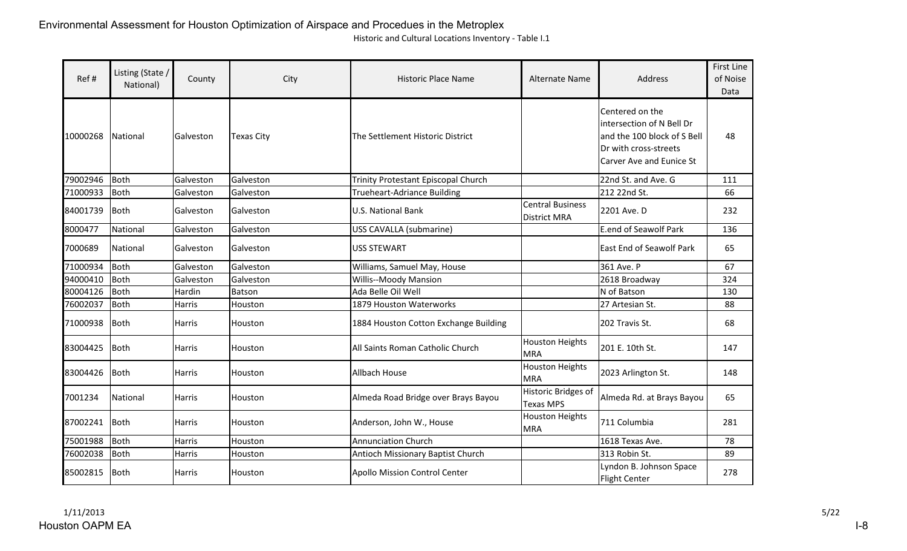| Ref#     | Listing (State /<br>National) | County        | City              | <b>Historic Place Name</b>            | Alternate Name                                 | Address                                                                                                                                 | First Line<br>of Noise<br>Data |
|----------|-------------------------------|---------------|-------------------|---------------------------------------|------------------------------------------------|-----------------------------------------------------------------------------------------------------------------------------------------|--------------------------------|
| 10000268 | National                      | Galveston     | <b>Texas City</b> | The Settlement Historic District      |                                                | Centered on the<br>intersection of N Bell Dr<br>and the 100 block of S Bell<br>Dr with cross-streets<br><b>Carver Ave and Eunice St</b> | 48                             |
| 79002946 | <b>Both</b>                   | Galveston     | Galveston         | Trinity Protestant Episcopal Church   |                                                | 22nd St. and Ave. G                                                                                                                     | 111                            |
| 71000933 | <b>Both</b>                   | Galveston     | Galveston         | Trueheart-Adriance Building           |                                                | 212 22nd St.                                                                                                                            | 66                             |
| 84001739 | <b>Both</b>                   | Galveston     | Galveston         | <b>U.S. National Bank</b>             | <b>Central Business</b><br><b>District MRA</b> | 2201 Ave. D                                                                                                                             | 232                            |
| 8000477  | National                      | Galveston     | Galveston         | USS CAVALLA (submarine)               |                                                | <b>E.end of Seawolf Park</b>                                                                                                            | 136                            |
| 7000689  | National                      | Galveston     | Galveston         | <b>USS STEWART</b>                    |                                                | <b>East End of Seawolf Park</b>                                                                                                         | 65                             |
| 71000934 | <b>Both</b>                   | Galveston     | Galveston         | Williams, Samuel May, House           |                                                | 361 Ave. P                                                                                                                              | 67                             |
| 94000410 | <b>Both</b>                   | Galveston     | Galveston         | <b>Willis--Moody Mansion</b>          |                                                | 2618 Broadway                                                                                                                           | 324                            |
| 80004126 | <b>Both</b>                   | Hardin        | Batson            | Ada Belle Oil Well                    |                                                | N of Batson                                                                                                                             | 130                            |
| 76002037 | <b>Both</b>                   | Harris        | Houston           | 1879 Houston Waterworks               |                                                | 27 Artesian St.                                                                                                                         | 88                             |
| 71000938 | <b>Both</b>                   | Harris        | Houston           | 1884 Houston Cotton Exchange Building |                                                | 202 Travis St.                                                                                                                          | 68                             |
| 83004425 | <b>Both</b>                   | Harris        | Houston           | All Saints Roman Catholic Church      | <b>Houston Heights</b><br><b>MRA</b>           | 201 E. 10th St.                                                                                                                         | 147                            |
| 83004426 | <b>Both</b>                   | <b>Harris</b> | Houston           | <b>Allbach House</b>                  | <b>Houston Heights</b><br><b>MRA</b>           | 2023 Arlington St.                                                                                                                      | 148                            |
| 7001234  | National                      | Harris        | Houston           | Almeda Road Bridge over Brays Bayou   | Historic Bridges of<br><b>Texas MPS</b>        | Almeda Rd. at Brays Bayou                                                                                                               | 65                             |
| 87002241 | <b>Both</b>                   | Harris        | Houston           | Anderson, John W., House              | <b>Houston Heights</b><br><b>MRA</b>           | 711 Columbia                                                                                                                            | 281                            |
| 75001988 | <b>Both</b>                   | Harris        | Houston           | <b>Annunciation Church</b>            |                                                | 1618 Texas Ave.                                                                                                                         | 78                             |
| 76002038 | <b>Both</b>                   | Harris        | Houston           | Antioch Missionary Baptist Church     |                                                | 313 Robin St.                                                                                                                           | 89                             |
| 85002815 | <b>Both</b>                   | <b>Harris</b> | Houston           | <b>Apollo Mission Control Center</b>  |                                                | Lyndon B. Johnson Space<br><b>Flight Center</b>                                                                                         | 278                            |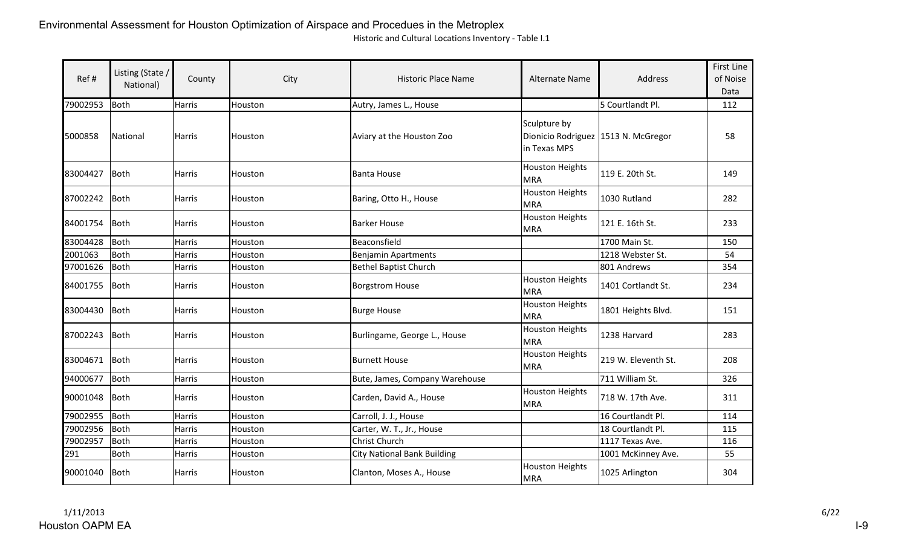| Ref#     | Listing (State /<br>National) | County | City    | <b>Historic Place Name</b>         | Alternate Name                       | Address                               | <b>First Line</b><br>of Noise<br>Data |
|----------|-------------------------------|--------|---------|------------------------------------|--------------------------------------|---------------------------------------|---------------------------------------|
| 79002953 | <b>Both</b>                   | Harris | Houston | Autry, James L., House             |                                      | 5 Courtlandt Pl.                      | 112                                   |
| 5000858  | National                      | Harris | Houston | Aviary at the Houston Zoo          | Sculpture by<br>in Texas MPS         | Dionicio Rodriguez   1513 N. McGregor | 58                                    |
| 83004427 | <b>Both</b>                   | Harris | Houston | <b>Banta House</b>                 | <b>Houston Heights</b><br><b>MRA</b> | 119 E. 20th St.                       | 149                                   |
| 87002242 | <b>Both</b>                   | Harris | Houston | Baring, Otto H., House             | <b>Houston Heights</b><br><b>MRA</b> | 1030 Rutland                          | 282                                   |
| 84001754 | Both                          | Harris | Houston | <b>Barker House</b>                | <b>Houston Heights</b><br><b>MRA</b> | 121 E. 16th St.                       | 233                                   |
| 83004428 | <b>Both</b>                   | Harris | Houston | Beaconsfield                       |                                      | 1700 Main St.                         | 150                                   |
| 2001063  | <b>Both</b>                   | Harris | Houston | <b>Benjamin Apartments</b>         |                                      | 1218 Webster St.                      | 54                                    |
| 97001626 | <b>Both</b>                   | Harris | Houston | <b>Bethel Baptist Church</b>       |                                      | 801 Andrews                           | 354                                   |
| 84001755 | <b>Both</b>                   | Harris | Houston | <b>Borgstrom House</b>             | <b>Houston Heights</b><br><b>MRA</b> | 1401 Cortlandt St.                    | 234                                   |
| 83004430 | <b>Both</b>                   | Harris | Houston | <b>Burge House</b>                 | <b>Houston Heights</b><br><b>MRA</b> | 1801 Heights Blvd.                    | 151                                   |
| 87002243 | <b>Both</b>                   | Harris | Houston | Burlingame, George L., House       | <b>Houston Heights</b><br><b>MRA</b> | 1238 Harvard                          | 283                                   |
| 83004671 | Both                          | Harris | Houston | <b>Burnett House</b>               | <b>Houston Heights</b><br><b>MRA</b> | 219 W. Eleventh St.                   | 208                                   |
| 94000677 | <b>Both</b>                   | Harris | Houston | Bute, James, Company Warehouse     |                                      | 711 William St.                       | 326                                   |
| 90001048 | <b>Both</b>                   | Harris | Houston | Carden, David A., House            | <b>Houston Heights</b><br><b>MRA</b> | 718 W. 17th Ave.                      | 311                                   |
| 79002955 | <b>Both</b>                   | Harris | Houston | Carroll, J. J., House              |                                      | 16 Courtlandt Pl.                     | 114                                   |
| 79002956 | Both                          | Harris | Houston | Carter, W. T., Jr., House          |                                      | 18 Courtlandt Pl.                     | 115                                   |
| 79002957 | <b>Both</b>                   | Harris | Houston | <b>Christ Church</b>               |                                      | 1117 Texas Ave.                       | 116                                   |
| 291      | <b>Both</b>                   | Harris | Houston | <b>City National Bank Building</b> |                                      | 1001 McKinney Ave.                    | 55                                    |
| 90001040 | <b>Both</b>                   | Harris | Houston | Clanton, Moses A., House           | <b>Houston Heights</b><br><b>MRA</b> | 1025 Arlington                        | 304                                   |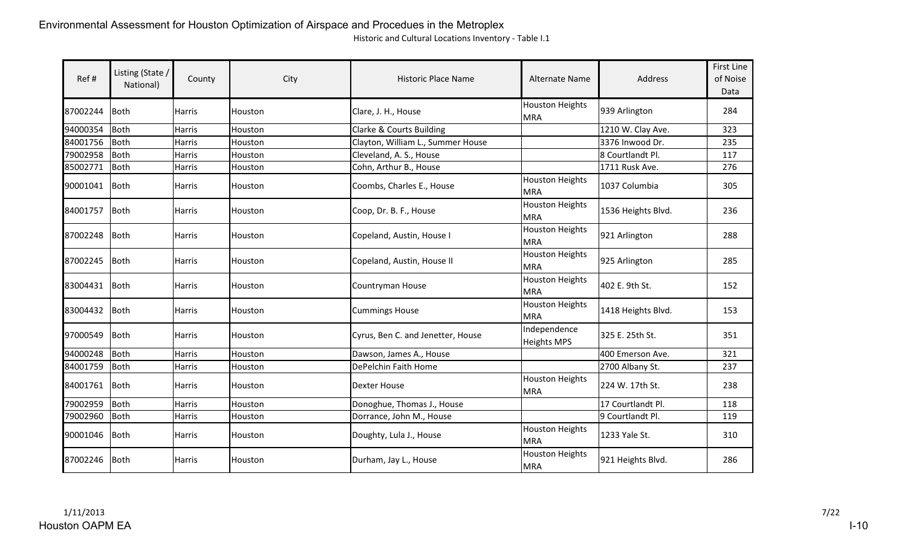Historic and Cultural Locations Inventory - Table I.1 Environmental Assessment for Houston Optimization of Airspace and Procedues in the Metroplex

| Ref#     | Listing (State /<br>National) | County        | City    | <b>Historic Place Name</b>        | Alternate Name                       | Address            | <b>First Line</b><br>of Noise<br>Data |
|----------|-------------------------------|---------------|---------|-----------------------------------|--------------------------------------|--------------------|---------------------------------------|
| 87002244 | <b>Both</b>                   | <b>Harris</b> | Houston | Clare, J. H., House               | <b>Houston Heights</b><br><b>MRA</b> | 939 Arlington      | 284                                   |
| 94000354 | <b>Both</b>                   | Harris        | Houston | Clarke & Courts Building          |                                      | 1210 W. Clay Ave.  | 323                                   |
| 84001756 | <b>Both</b>                   | Harris        | Houston | Clayton, William L., Summer House |                                      | 3376 Inwood Dr.    | 235                                   |
| 79002958 | <b>Both</b>                   | Harris        | Houston | Cleveland, A. S., House           |                                      | 8 Courtlandt Pl.   | 117                                   |
| 85002771 | <b>Both</b>                   | Harris        | Houston | Cohn, Arthur B., House            |                                      | 1711 Rusk Ave.     | 276                                   |
| 90001041 | <b>Both</b>                   | Harris        | Houston | Coombs, Charles E., House         | <b>Houston Heights</b><br><b>MRA</b> | 1037 Columbia      | 305                                   |
| 84001757 | <b>Both</b>                   | <b>Harris</b> | Houston | Coop, Dr. B. F., House            | <b>Houston Heights</b><br><b>MRA</b> | 1536 Heights Blvd. | 236                                   |
| 87002248 | <b>Both</b>                   | Harris        | Houston | Copeland, Austin, House I         | <b>Houston Heights</b><br><b>MRA</b> | 921 Arlington      | 288                                   |
| 87002245 | <b>Both</b>                   | Harris        | Houston | Copeland, Austin, House II        | <b>Houston Heights</b><br><b>MRA</b> | 925 Arlington      | 285                                   |
| 83004431 | <b>Both</b>                   | Harris        | Houston | Countryman House                  | <b>Houston Heights</b><br><b>MRA</b> | 402 E. 9th St.     | 152                                   |
| 83004432 | <b>Both</b>                   | <b>Harris</b> | Houston | <b>Cummings House</b>             | <b>Houston Heights</b><br><b>MRA</b> | 1418 Heights Blvd. | 153                                   |
| 97000549 | <b>Both</b>                   | Harris        | Houston | Cyrus, Ben C. and Jenetter, House | Independence<br><b>Heights MPS</b>   | 325 E. 25th St.    | 351                                   |
| 94000248 | <b>Both</b>                   | <b>Harris</b> | Houston | Dawson, James A., House           |                                      | 400 Emerson Ave.   | 321                                   |
| 84001759 | <b>Both</b>                   | Harris        | Houston | DePelchin Faith Home              |                                      | 2700 Albany St.    | 237                                   |
| 84001761 | <b>Both</b>                   | Harris        | Houston | <b>Dexter House</b>               | <b>Houston Heights</b><br><b>MRA</b> | 224 W. 17th St.    | 238                                   |
| 79002959 | <b>Both</b>                   | Harris        | Houston | Donoghue, Thomas J., House        |                                      | 17 Courtlandt Pl.  | 118                                   |
| 79002960 | <b>Both</b>                   | Harris        | Houston | Dorrance, John M., House          |                                      | 9 Courtlandt Pl.   | 119                                   |
| 90001046 | <b>Both</b>                   | Harris        | Houston | Doughty, Lula J., House           | <b>Houston Heights</b><br><b>MRA</b> | 1233 Yale St.      | 310                                   |
| 87002246 | <b>Both</b>                   | Harris        | Houston | Durham, Jay L., House             | <b>Houston Heights</b><br><b>MRA</b> | 921 Heights Blvd.  | 286                                   |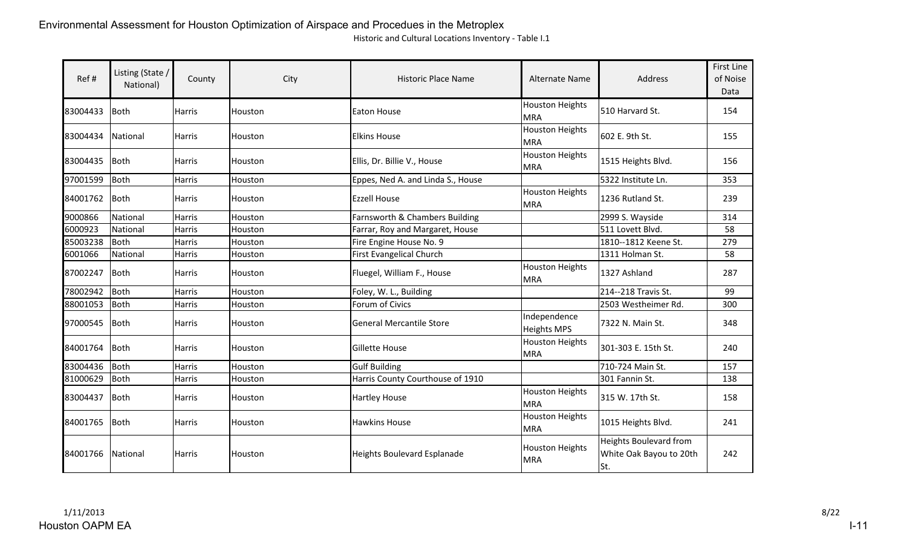Historic and Cultural Locations Inventory - Table I.1 Environmental Assessment for Houston Optimization of Airspace and Procedues in the Metroplex

| Ref#     | Listing (State /<br>National) | County        | City    | <b>Historic Place Name</b>         | Alternate Name                       | Address                                                  | <b>First Line</b><br>of Noise<br>Data |
|----------|-------------------------------|---------------|---------|------------------------------------|--------------------------------------|----------------------------------------------------------|---------------------------------------|
| 83004433 | <b>Both</b>                   | Harris        | Houston | <b>Eaton House</b>                 | <b>Houston Heights</b><br><b>MRA</b> | 510 Harvard St.                                          | 154                                   |
| 83004434 | National                      | <b>Harris</b> | Houston | <b>Elkins House</b>                | <b>Houston Heights</b><br><b>MRA</b> | 602 E. 9th St.                                           | 155                                   |
| 83004435 | <b>Both</b>                   | Harris        | Houston | Ellis, Dr. Billie V., House        | <b>Houston Heights</b><br><b>MRA</b> | 1515 Heights Blvd.                                       | 156                                   |
| 97001599 | <b>Both</b>                   | Harris        | Houston | Eppes, Ned A. and Linda S., House  |                                      | 5322 Institute Ln.                                       | 353                                   |
| 84001762 | <b>Both</b>                   | <b>Harris</b> | Houston | <b>Ezzell House</b>                | <b>Houston Heights</b><br><b>MRA</b> | 1236 Rutland St.                                         | 239                                   |
| 9000866  | National                      | Harris        | Houston | Farnsworth & Chambers Building     |                                      | 2999 S. Wayside                                          | 314                                   |
| 6000923  | National                      | Harris        | Houston | Farrar, Roy and Margaret, House    |                                      | 511 Lovett Blvd.                                         | 58                                    |
| 85003238 | <b>Both</b>                   | Harris        | Houston | Fire Engine House No. 9            |                                      | 1810--1812 Keene St.                                     | 279                                   |
| 6001066  | National                      | <b>Harris</b> | Houston | First Evangelical Church           |                                      | 1311 Holman St.                                          | 58                                    |
| 87002247 | <b>Both</b>                   | Harris        | Houston | Fluegel, William F., House         | <b>Houston Heights</b><br><b>MRA</b> | 1327 Ashland                                             | 287                                   |
| 78002942 | <b>Both</b>                   | Harris        | Houston | Foley, W. L., Building             |                                      | 214--218 Travis St.                                      | 99                                    |
| 88001053 | <b>Both</b>                   | Harris        | Houston | Forum of Civics                    |                                      | 2503 Westheimer Rd.                                      | 300                                   |
| 97000545 | <b>Both</b>                   | <b>Harris</b> | Houston | <b>General Mercantile Store</b>    | Independence<br><b>Heights MPS</b>   | 7322 N. Main St.                                         | 348                                   |
| 84001764 | <b>Both</b>                   | Harris        | Houston | <b>Gillette House</b>              | <b>Houston Heights</b><br><b>MRA</b> | 301-303 E. 15th St.                                      | 240                                   |
| 83004436 | <b>Both</b>                   | Harris        | Houston | <b>Gulf Building</b>               |                                      | 710-724 Main St.                                         | 157                                   |
| 81000629 | <b>Both</b>                   | <b>Harris</b> | Houston | Harris County Courthouse of 1910   |                                      | 301 Fannin St.                                           | 138                                   |
| 83004437 | <b>Both</b>                   | <b>Harris</b> | Houston | <b>Hartley House</b>               | <b>Houston Heights</b><br><b>MRA</b> | 315 W. 17th St.                                          | 158                                   |
| 84001765 | <b>Both</b>                   | <b>Harris</b> | Houston | <b>Hawkins House</b>               | <b>Houston Heights</b><br><b>MRA</b> | 1015 Heights Blvd.                                       | 241                                   |
| 84001766 | National                      | <b>Harris</b> | Houston | <b>Heights Boulevard Esplanade</b> | <b>Houston Heights</b><br><b>MRA</b> | Heights Boulevard from<br>White Oak Bayou to 20th<br>St. | 242                                   |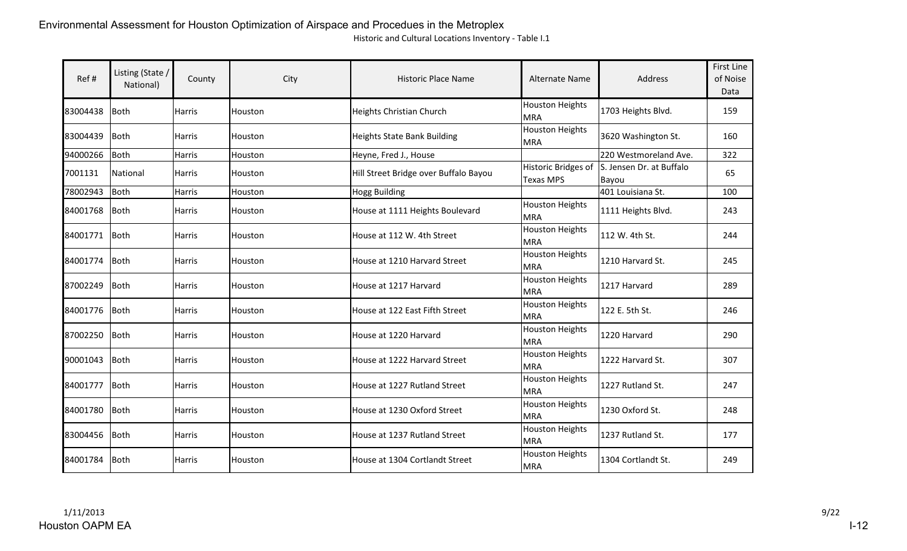Historic and Cultural Locations Inventory - Table I.1 Environmental Assessment for Houston Optimization of Airspace and Procedues in the Metroplex

| Ref#     | Listing (State /<br>National) | County        | City    | <b>Historic Place Name</b>            | Alternate Name                          | Address                           | <b>First Line</b><br>of Noise<br>Data |
|----------|-------------------------------|---------------|---------|---------------------------------------|-----------------------------------------|-----------------------------------|---------------------------------------|
| 83004438 | <b>Both</b>                   | Harris        | Houston | Heights Christian Church              | <b>Houston Heights</b><br><b>MRA</b>    | 1703 Heights Blvd.                | 159                                   |
| 83004439 | <b>Both</b>                   | <b>Harris</b> | Houston | <b>Heights State Bank Building</b>    | <b>Houston Heights</b><br><b>MRA</b>    | 3620 Washington St.               | 160                                   |
| 94000266 | <b>Both</b>                   | Harris        | Houston | Heyne, Fred J., House                 |                                         | 220 Westmoreland Ave.             | 322                                   |
| 7001131  | <b>National</b>               | <b>Harris</b> | Houston | Hill Street Bridge over Buffalo Bayou | Historic Bridges of<br><b>Texas MPS</b> | S. Jensen Dr. at Buffalo<br>Bayou | 65                                    |
| 78002943 | <b>Both</b>                   | Harris        | Houston | <b>Hogg Building</b>                  |                                         | 401 Louisiana St.                 | 100                                   |
| 84001768 | <b>Both</b>                   | Harris        | Houston | House at 1111 Heights Boulevard       | <b>Houston Heights</b><br><b>MRA</b>    | 1111 Heights Blvd.                | 243                                   |
| 84001771 | <b>Both</b>                   | Harris        | Houston | House at 112 W. 4th Street            | <b>Houston Heights</b><br><b>MRA</b>    | 112 W. 4th St.                    | 244                                   |
| 84001774 | <b>Both</b>                   | <b>Harris</b> | Houston | House at 1210 Harvard Street          | <b>Houston Heights</b><br><b>MRA</b>    | 1210 Harvard St.                  | 245                                   |
| 87002249 | <b>Both</b>                   | <b>Harris</b> | Houston | House at 1217 Harvard                 | <b>Houston Heights</b><br><b>MRA</b>    | 1217 Harvard                      | 289                                   |
| 84001776 | <b>Both</b>                   | Harris        | Houston | House at 122 East Fifth Street        | <b>Houston Heights</b><br><b>MRA</b>    | 122 E. 5th St.                    | 246                                   |
| 87002250 | <b>Both</b>                   | Harris        | Houston | House at 1220 Harvard                 | <b>Houston Heights</b><br><b>MRA</b>    | 1220 Harvard                      | 290                                   |
| 90001043 | <b>Both</b>                   | Harris        | Houston | House at 1222 Harvard Street          | <b>Houston Heights</b><br><b>MRA</b>    | 1222 Harvard St.                  | 307                                   |
| 84001777 | Both                          | <b>Harris</b> | Houston | House at 1227 Rutland Street          | <b>Houston Heights</b><br><b>MRA</b>    | 1227 Rutland St.                  | 247                                   |
| 84001780 | <b>Both</b>                   | <b>Harris</b> | Houston | House at 1230 Oxford Street           | <b>Houston Heights</b><br><b>MRA</b>    | 1230 Oxford St.                   | 248                                   |
| 83004456 | <b>Both</b>                   | Harris        | Houston | House at 1237 Rutland Street          | <b>Houston Heights</b><br><b>MRA</b>    | 1237 Rutland St.                  | 177                                   |
| 84001784 | <b>Both</b>                   | Harris        | Houston | House at 1304 Cortlandt Street        | <b>Houston Heights</b><br><b>MRA</b>    | 1304 Cortlandt St.                | 249                                   |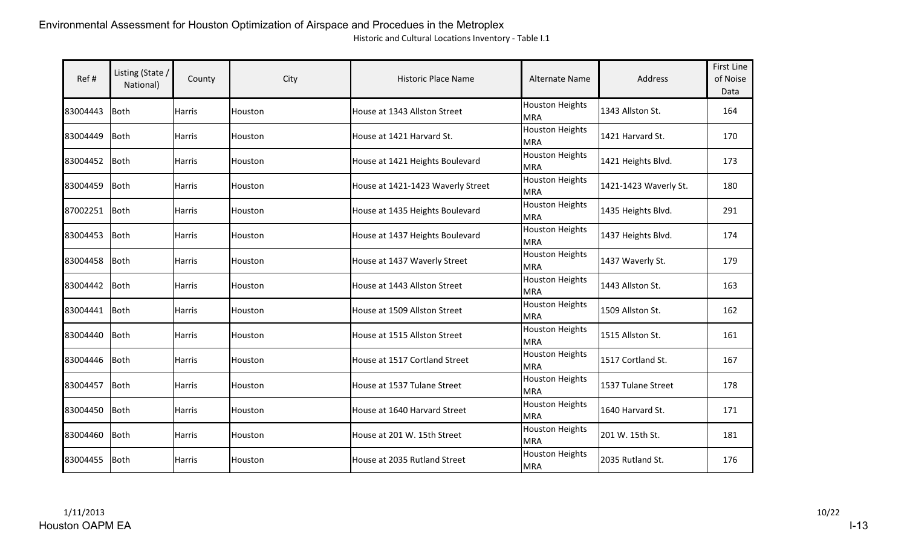| Ref#     | Listing (State /<br>National) | County        | City    | <b>Historic Place Name</b>        | Alternate Name                       | <b>Address</b>        | <b>First Line</b><br>of Noise<br>Data |
|----------|-------------------------------|---------------|---------|-----------------------------------|--------------------------------------|-----------------------|---------------------------------------|
| 83004443 | <b>Both</b>                   | Harris        | Houston | House at 1343 Allston Street      | <b>Houston Heights</b><br><b>MRA</b> | 1343 Allston St.      | 164                                   |
| 83004449 | <b>Both</b>                   | <b>Harris</b> | Houston | House at 1421 Harvard St.         | <b>Houston Heights</b><br><b>MRA</b> | 1421 Harvard St.      | 170                                   |
| 83004452 | <b>Both</b>                   | Harris        | Houston | House at 1421 Heights Boulevard   | <b>Houston Heights</b><br><b>MRA</b> | 1421 Heights Blvd.    | 173                                   |
| 83004459 | <b>Both</b>                   | Harris        | Houston | House at 1421-1423 Waverly Street | <b>Houston Heights</b><br><b>MRA</b> | 1421-1423 Waverly St. | 180                                   |
| 87002251 | <b>Both</b>                   | Harris        | Houston | House at 1435 Heights Boulevard   | <b>Houston Heights</b><br><b>MRA</b> | 1435 Heights Blvd.    | 291                                   |
| 83004453 | <b>Both</b>                   | Harris        | Houston | House at 1437 Heights Boulevard   | <b>Houston Heights</b><br><b>MRA</b> | 1437 Heights Blvd.    | 174                                   |
| 83004458 | <b>Both</b>                   | <b>Harris</b> | Houston | House at 1437 Waverly Street      | <b>Houston Heights</b><br><b>MRA</b> | 1437 Waverly St.      | 179                                   |
| 83004442 | <b>Both</b>                   | Harris        | Houston | House at 1443 Allston Street      | <b>Houston Heights</b><br><b>MRA</b> | 1443 Allston St.      | 163                                   |
| 83004441 | <b>Both</b>                   | Harris        | Houston | House at 1509 Allston Street      | <b>Houston Heights</b><br><b>MRA</b> | 1509 Allston St.      | 162                                   |
| 83004440 | <b>Both</b>                   | Harris        | Houston | House at 1515 Allston Street      | <b>Houston Heights</b><br><b>MRA</b> | 1515 Allston St.      | 161                                   |
| 83004446 | <b>Both</b>                   | Harris        | Houston | House at 1517 Cortland Street     | <b>Houston Heights</b><br><b>MRA</b> | 1517 Cortland St.     | 167                                   |
| 83004457 | <b>Both</b>                   | <b>Harris</b> | Houston | House at 1537 Tulane Street       | <b>Houston Heights</b><br><b>MRA</b> | 11537 Tulane Street   | 178                                   |
| 83004450 | <b>Both</b>                   | <b>Harris</b> | Houston | House at 1640 Harvard Street      | <b>Houston Heights</b><br><b>MRA</b> | 1640 Harvard St.      | 171                                   |
| 83004460 | <b>Both</b>                   | Harris        | Houston | House at 201 W. 15th Street       | <b>Houston Heights</b><br><b>MRA</b> | 201 W. 15th St.       | 181                                   |
| 83004455 | <b>Both</b>                   | <b>Harris</b> | Houston | House at 2035 Rutland Street      | <b>Houston Heights</b><br><b>MRA</b> | 2035 Rutland St.      | 176                                   |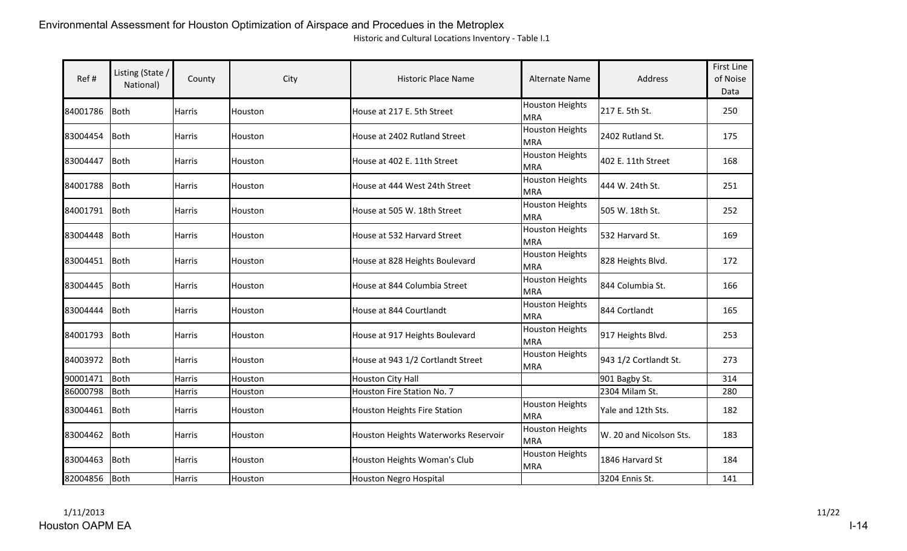| Ref#     | Listing (State /<br>National) | County        | City    | <b>Historic Place Name</b>           | Alternate Name                       | <b>Address</b>          | <b>First Line</b><br>of Noise<br>Data |
|----------|-------------------------------|---------------|---------|--------------------------------------|--------------------------------------|-------------------------|---------------------------------------|
| 84001786 | <b>Both</b>                   | Harris        | Houston | House at 217 E. 5th Street           | <b>Houston Heights</b><br><b>MRA</b> | 217 E. 5th St.          | 250                                   |
| 83004454 | <b>Both</b>                   | Harris        | Houston | House at 2402 Rutland Street         | <b>Houston Heights</b><br><b>MRA</b> | 2402 Rutland St.        | 175                                   |
| 83004447 | <b>Both</b>                   | <b>Harris</b> | Houston | House at 402 E. 11th Street          | <b>Houston Heights</b><br><b>MRA</b> | 402 E. 11th Street      | 168                                   |
| 84001788 | <b>Both</b>                   | Harris        | Houston | House at 444 West 24th Street        | <b>Houston Heights</b><br><b>MRA</b> | 444 W. 24th St.         | 251                                   |
| 84001791 | <b>Both</b>                   | Harris        | Houston | House at 505 W. 18th Street          | <b>Houston Heights</b><br><b>MRA</b> | 505 W. 18th St.         | 252                                   |
| 83004448 | <b>Both</b>                   | Harris        | Houston | House at 532 Harvard Street          | <b>Houston Heights</b><br><b>MRA</b> | 532 Harvard St.         | 169                                   |
| 83004451 | <b>Both</b>                   | <b>Harris</b> | Houston | House at 828 Heights Boulevard       | <b>Houston Heights</b><br><b>MRA</b> | 828 Heights Blvd.       | 172                                   |
| 83004445 | <b>Both</b>                   | Harris        | Houston | House at 844 Columbia Street         | <b>Houston Heights</b><br><b>MRA</b> | 844 Columbia St.        | 166                                   |
| 83004444 | <b>Both</b>                   | <b>Harris</b> | Houston | House at 844 Courtlandt              | <b>Houston Heights</b><br><b>MRA</b> | 844 Cortlandt           | 165                                   |
| 84001793 | <b>Both</b>                   | Harris        | Houston | House at 917 Heights Boulevard       | <b>Houston Heights</b><br><b>MRA</b> | 917 Heights Blvd.       | 253                                   |
| 84003972 | <b>Both</b>                   | <b>Harris</b> | Houston | House at 943 1/2 Cortlandt Street    | <b>Houston Heights</b><br><b>MRA</b> | 943 1/2 Cortlandt St.   | 273                                   |
| 90001471 | <b>Both</b>                   | Harris        | Houston | Houston City Hall                    |                                      | 901 Bagby St.           | 314                                   |
| 86000798 | <b>Both</b>                   | Harris        | Houston | Houston Fire Station No. 7           |                                      | 2304 Milam St.          | 280                                   |
| 83004461 | <b>Both</b>                   | <b>Harris</b> | Houston | Houston Heights Fire Station         | <b>Houston Heights</b><br><b>MRA</b> | Yale and 12th Sts.      | 182                                   |
| 83004462 | <b>Both</b>                   | Harris        | Houston | Houston Heights Waterworks Reservoir | <b>Houston Heights</b><br><b>MRA</b> | W. 20 and Nicolson Sts. | 183                                   |
| 83004463 | <b>Both</b>                   | Harris        | Houston | Houston Heights Woman's Club         | <b>Houston Heights</b><br><b>MRA</b> | 1846 Harvard St         | 184                                   |
| 82004856 | Both                          | <b>Harris</b> | Houston | <b>Houston Negro Hospital</b>        |                                      | 3204 Ennis St.          | 141                                   |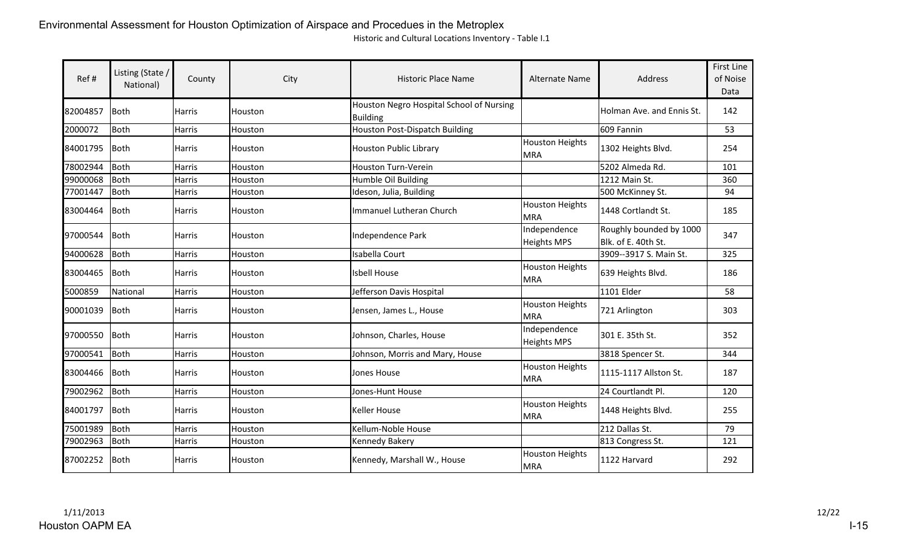| Ref#     | Listing (State /<br>National) | County        | City    | <b>Historic Place Name</b>                                  | Alternate Name                       | Address                                        | <b>First Line</b><br>of Noise<br>Data |
|----------|-------------------------------|---------------|---------|-------------------------------------------------------------|--------------------------------------|------------------------------------------------|---------------------------------------|
| 82004857 | <b>Both</b>                   | <b>Harris</b> | Houston | Houston Negro Hospital School of Nursing<br><b>Building</b> |                                      | Holman Ave. and Ennis St.                      | 142                                   |
| 2000072  | <b>Both</b>                   | Harris        | Houston | Houston Post-Dispatch Building                              |                                      | 609 Fannin                                     | 53                                    |
| 84001795 | <b>Both</b>                   | Harris        | Houston | <b>Houston Public Library</b>                               | <b>Houston Heights</b><br><b>MRA</b> | 1302 Heights Blvd.                             | 254                                   |
| 78002944 | <b>Both</b>                   | Harris        | Houston | <b>Houston Turn-Verein</b>                                  |                                      | 5202 Almeda Rd.                                | 101                                   |
| 99000068 | <b>Both</b>                   | Harris        | Houston | Humble Oil Building                                         |                                      | 1212 Main St.                                  | 360                                   |
| 77001447 | <b>Both</b>                   | Harris        | Houston | Ideson, Julia, Building                                     |                                      | 500 McKinney St.                               | 94                                    |
| 83004464 | <b>Both</b>                   | Harris        | Houston | Immanuel Lutheran Church                                    | <b>Houston Heights</b><br><b>MRA</b> | 1448 Cortlandt St.                             | 185                                   |
| 97000544 | <b>Both</b>                   | <b>Harris</b> | Houston | Independence Park                                           | Independence<br><b>Heights MPS</b>   | Roughly bounded by 1000<br>Blk. of E. 40th St. | 347                                   |
| 94000628 | <b>Both</b>                   | <b>Harris</b> | Houston | <b>Isabella Court</b>                                       |                                      | 3909--3917 S. Main St.                         | 325                                   |
| 83004465 | <b>Both</b>                   | Harris        | Houston | <b>Isbell House</b>                                         | <b>Houston Heights</b><br><b>MRA</b> | 639 Heights Blvd.                              | 186                                   |
| 5000859  | National                      | <b>Harris</b> | Houston | Jefferson Davis Hospital                                    |                                      | 1101 Elder                                     | 58                                    |
| 90001039 | <b>Both</b>                   | Harris        | Houston | Jensen, James L., House                                     | <b>Houston Heights</b><br><b>MRA</b> | 721 Arlington                                  | 303                                   |
| 97000550 | <b>Both</b>                   | Harris        | Houston | Johnson, Charles, House                                     | Independence<br><b>Heights MPS</b>   | 301 E. 35th St.                                | 352                                   |
| 97000541 | Both                          | Harris        | Houston | Johnson, Morris and Mary, House                             |                                      | 3818 Spencer St.                               | 344                                   |
| 83004466 | <b>Both</b>                   | <b>Harris</b> | Houston | Jones House                                                 | <b>Houston Heights</b><br><b>MRA</b> | 1115-1117 Allston St.                          | 187                                   |
| 79002962 | Both                          | Harris        | Houston | Jones-Hunt House                                            |                                      | 24 Courtlandt Pl.                              | 120                                   |
| 84001797 | <b>Both</b>                   | Harris        | Houston | <b>Keller House</b>                                         | <b>Houston Heights</b><br><b>MRA</b> | 1448 Heights Blvd.                             | 255                                   |
| 75001989 | <b>Both</b>                   | Harris        | Houston | Kellum-Noble House                                          |                                      | 212 Dallas St.                                 | 79                                    |
| 79002963 | <b>Both</b>                   | Harris        | Houston | <b>Kennedy Bakery</b>                                       |                                      | 813 Congress St.                               | 121                                   |
| 87002252 | <b>Both</b>                   | <b>Harris</b> | Houston | Kennedy, Marshall W., House                                 | <b>Houston Heights</b><br><b>MRA</b> | 1122 Harvard                                   | 292                                   |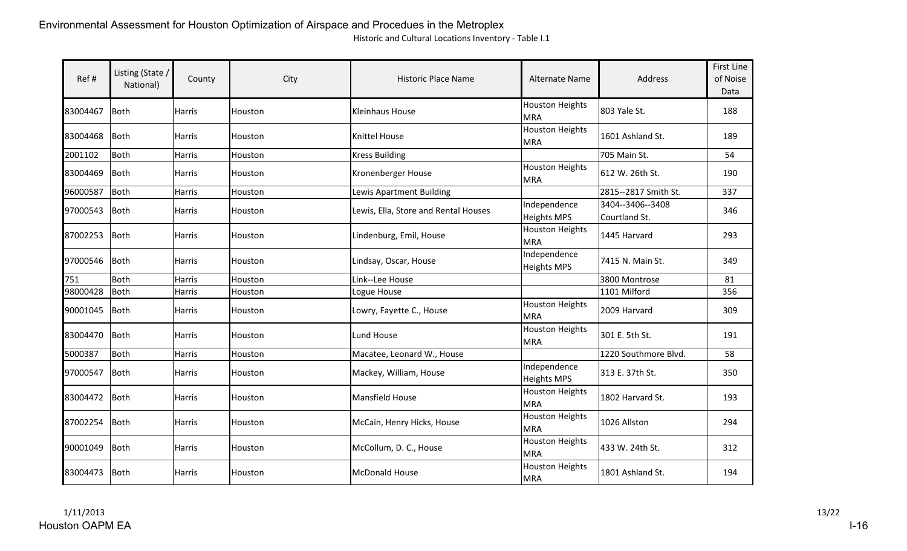| Ref#     | Listing (State /<br>National) | County        | City           | <b>Historic Place Name</b>                                         | Alternate Name                       | Address                           | <b>First Line</b><br>of Noise<br>Data |
|----------|-------------------------------|---------------|----------------|--------------------------------------------------------------------|--------------------------------------|-----------------------------------|---------------------------------------|
| 83004467 | <b>Both</b>                   | Harris        | Houston        | Kleinhaus House                                                    | 803 Yale St.                         | 188                               |                                       |
| 83004468 | <b>Both</b>                   | Harris        | Houston        | <b>Knittel House</b>                                               | <b>Houston Heights</b><br><b>MRA</b> | 1601 Ashland St.                  | 189                                   |
| 2001102  | <b>Both</b>                   | Harris        | Houston        | <b>Kress Building</b>                                              |                                      | 705 Main St.                      | 54                                    |
| 83004469 | <b>Both</b>                   | <b>Harris</b> | Houston        | Kronenberger House                                                 | <b>Houston Heights</b><br><b>MRA</b> | 612 W. 26th St.                   | 190                                   |
| 96000587 | <b>Both</b>                   | Harris        | Houston        | Lewis Apartment Building                                           |                                      | 2815--2817 Smith St.              | 337                                   |
| 97000543 | <b>Both</b>                   | Harris        | <b>Houston</b> | Lewis, Ella, Store and Rental Houses                               | Independence<br><b>Heights MPS</b>   | 3404--3406--3408<br>Courtland St. | 346                                   |
| 87002253 | <b>Both</b>                   | Harris        | Houston        | Lindenburg, Emil, House                                            | <b>Houston Heights</b><br><b>MRA</b> | 1445 Harvard                      | 293                                   |
| 97000546 | <b>Both</b>                   | Harris        | Houston        | Lindsay, Oscar, House                                              | Independence<br><b>Heights MPS</b>   | 7415 N. Main St.                  | 349                                   |
| 751      | <b>Both</b>                   | Harris        | Houston        | Link--Lee House                                                    |                                      | 3800 Montrose                     | 81                                    |
| 98000428 | <b>Both</b>                   | Harris        | Houston        | Logue House                                                        |                                      | 1101 Milford                      | 356                                   |
| 90001045 | <b>Both</b>                   | Harris        | Houston        | Lowry, Fayette C., House                                           | <b>Houston Heights</b><br><b>MRA</b> | 2009 Harvard                      | 309                                   |
| 83004470 | <b>Both</b>                   | Harris        | Houston        | <b>Lund House</b>                                                  | <b>Houston Heights</b><br><b>MRA</b> | 301 E. 5th St.                    | 191                                   |
| 5000387  | <b>Both</b>                   | Harris        | Houston        | Macatee, Leonard W., House                                         |                                      | 1220 Southmore Blvd.              | 58                                    |
| 97000547 | Both                          | Harris        | Houston        | Mackey, William, House                                             | Independence<br><b>Heights MPS</b>   | 313 E. 37th St.                   | 350                                   |
| 83004472 | <b>Both</b>                   | Harris        | <b>Houston</b> | <b>Houston Heights</b><br>Mansfield House<br><b>MRA</b>            |                                      | 1802 Harvard St.                  | 193                                   |
| 87002254 | <b>Both</b>                   | Harris        | Houston        | <b>Houston Heights</b><br>McCain, Henry Hicks, House<br><b>MRA</b> |                                      | 1026 Allston                      | 294                                   |
| 90001049 | <b>Both</b>                   | Harris        | Houston        | McCollum, D. C., House                                             | <b>Houston Heights</b><br><b>MRA</b> | 433 W. 24th St.                   | 312                                   |
| 83004473 | <b>Both</b>                   | Harris        | Houston        | <b>McDonald House</b>                                              | <b>Houston Heights</b><br><b>MRA</b> | 1801 Ashland St.                  | 194                                   |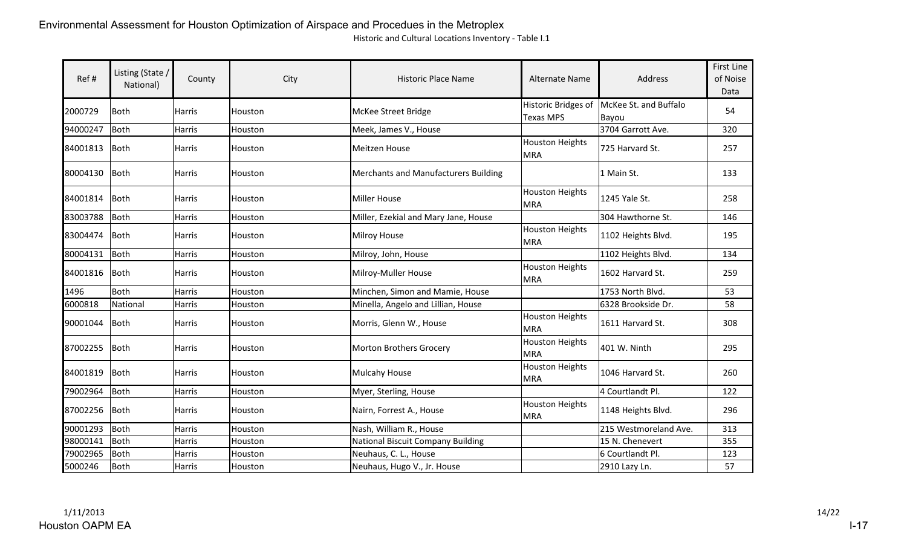| Ref#     | Listing (State /<br>National) | County        | City    | <b>Historic Place Name</b>                                   | Alternate Name                                       | Address               | First Line<br>of Noise<br>Data |
|----------|-------------------------------|---------------|---------|--------------------------------------------------------------|------------------------------------------------------|-----------------------|--------------------------------|
| 2000729  | <b>Both</b>                   | Harris        | Houston | McKee Street Bridge                                          | Historic Bridges of   McKee St. and Buffalo<br>Bayou | 54                    |                                |
| 94000247 | <b>Both</b>                   | Harris        | Houston | Meek, James V., House                                        | 3704 Garrott Ave.                                    | 320                   |                                |
| 84001813 | <b>Both</b>                   | <b>Harris</b> | Houston | <b>Meitzen House</b>                                         | <b>Houston Heights</b><br><b>MRA</b>                 | 725 Harvard St.       | 257                            |
| 80004130 | <b>Both</b>                   | <b>Harris</b> | Houston | Merchants and Manufacturers Building                         |                                                      | 1 Main St.            | 133                            |
| 84001814 | <b>Both</b>                   | Harris        | Houston | <b>Miller House</b>                                          | <b>Houston Heights</b><br><b>MRA</b>                 | 1245 Yale St.         | 258                            |
| 83003788 | <b>Both</b>                   | Harris        | Houston | Miller, Ezekial and Mary Jane, House                         |                                                      | 304 Hawthorne St.     | 146                            |
| 83004474 | <b>Both</b>                   | Harris        | Houston | <b>Milroy House</b>                                          | <b>Houston Heights</b><br><b>MRA</b>                 | 1102 Heights Blvd.    | 195                            |
| 80004131 | <b>Both</b>                   | Harris        | Houston | Milroy, John, House                                          |                                                      | 1102 Heights Blvd.    | 134                            |
| 84001816 | <b>Both</b>                   | Harris        | Houston | Milroy-Muller House                                          | <b>Houston Heights</b><br><b>MRA</b>                 | 1602 Harvard St.      | 259                            |
| 1496     | <b>Both</b>                   | Harris        | Houston | Minchen, Simon and Mamie, House                              |                                                      | 1753 North Blvd.      | 53                             |
| 6000818  | National                      | Harris        | Houston | Minella, Angelo and Lillian, House                           |                                                      | 6328 Brookside Dr.    | 58                             |
| 90001044 | <b>Both</b>                   | <b>Harris</b> | Houston | Morris, Glenn W., House                                      | <b>Houston Heights</b><br><b>MRA</b>                 | 1611 Harvard St.      | 308                            |
| 87002255 | Both                          | <b>Harris</b> | Houston | Morton Brothers Grocery                                      | <b>Houston Heights</b><br><b>MRA</b>                 | 401 W. Ninth          | 295                            |
| 84001819 | <b>Both</b>                   | <b>Harris</b> | Houston | <b>Houston Heights</b><br><b>Mulcahy House</b><br><b>MRA</b> |                                                      | 1046 Harvard St.      | 260                            |
| 79002964 | <b>Both</b>                   | Harris        | Houston | Myer, Sterling, House                                        |                                                      | 4 Courtlandt Pl.      | 122                            |
| 87002256 | <b>Both</b>                   | Harris        | Houston | Nairn, Forrest A., House                                     | <b>Houston Heights</b><br><b>MRA</b>                 | 1148 Heights Blvd.    | 296                            |
| 90001293 | <b>Both</b>                   | <b>Harris</b> | Houston | Nash, William R., House                                      |                                                      | 215 Westmoreland Ave. | 313                            |
| 98000141 | <b>Both</b>                   | <b>Harris</b> | Houston | National Biscuit Company Building                            |                                                      | 15 N. Chenevert       | 355                            |
| 79002965 | <b>Both</b>                   | Harris        | Houston | Neuhaus, C. L., House                                        |                                                      | 6 Courtlandt Pl.      | 123                            |
| 5000246  | <b>Both</b>                   | Harris        | Houston | Neuhaus, Hugo V., Jr. House                                  |                                                      | 2910 Lazy Ln.         | 57                             |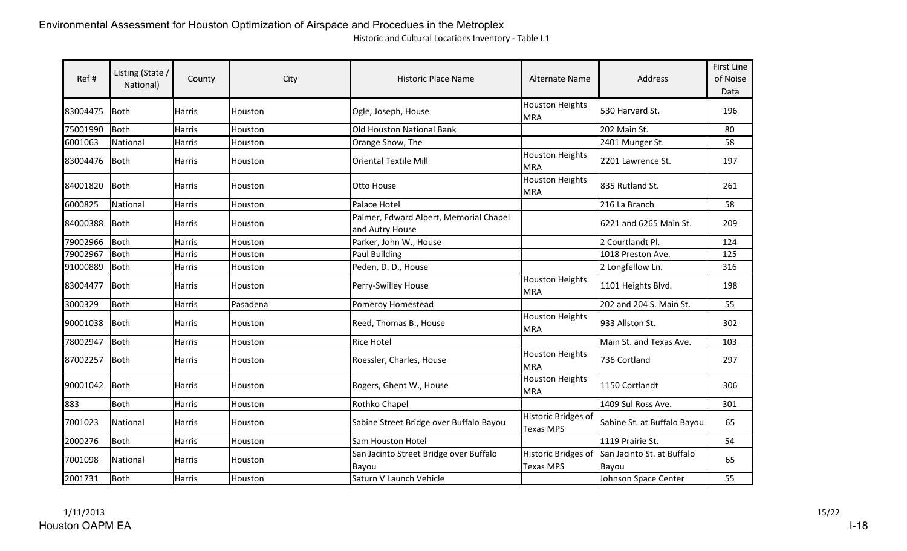| Ref#     | Listing (State /<br>National) | County        | City           | <b>Historic Place Name</b>                                | Alternate Name                                                          | Address                     | <b>First Line</b><br>of Noise<br>Data |
|----------|-------------------------------|---------------|----------------|-----------------------------------------------------------|-------------------------------------------------------------------------|-----------------------------|---------------------------------------|
| 83004475 | l Both                        | <b>Harris</b> | Houston        | Ogle, Joseph, House                                       | <b>Houston Heights</b><br><b>MRA</b>                                    | 530 Harvard St.             | 196                                   |
| 75001990 | <b>Both</b>                   | Harris        | <b>Houston</b> | Old Houston National Bank                                 |                                                                         | 202 Main St.                | 80                                    |
| 6001063  | National                      | Harris        | Houston        | Orange Show, The                                          |                                                                         | 2401 Munger St.             | 58                                    |
| 83004476 | <b>Both</b>                   | <b>Harris</b> | Houston        | <b>Oriental Textile Mill</b>                              | <b>Houston Heights</b><br><b>MRA</b>                                    | 2201 Lawrence St.           | 197                                   |
| 84001820 | l Both                        | <b>Harris</b> | Houston        | <b>Otto House</b>                                         | <b>Houston Heights</b><br><b>MRA</b>                                    | 835 Rutland St.             | 261                                   |
| 6000825  | National                      | Harris        | Houston        | Palace Hotel                                              |                                                                         | 216 La Branch               | 58                                    |
| 84000388 | <b>Both</b>                   | <b>Harris</b> | Houston        | Palmer, Edward Albert, Memorial Chapel<br>and Autry House |                                                                         | 6221 and 6265 Main St.      | 209                                   |
| 79002966 | <b>Both</b>                   | Harris        | Houston        | Parker, John W., House                                    |                                                                         | 2 Courtlandt Pl.            | 124                                   |
| 79002967 | <b>Both</b>                   | Harris        | Houston        | Paul Building                                             |                                                                         | 1018 Preston Ave.           | 125                                   |
| 91000889 | <b>Both</b>                   | Harris        | Houston        | Peden, D. D., House                                       |                                                                         | 2 Longfellow Ln.            | 316                                   |
| 83004477 | <b>Both</b>                   | Harris        | Houston        | Perry-Swilley House                                       | <b>Houston Heights</b><br><b>MRA</b>                                    | 1101 Heights Blvd.          | 198                                   |
| 3000329  | <b>Both</b>                   | Harris        | Pasadena       | Pomeroy Homestead                                         |                                                                         | 202 and 204 S. Main St.     | 55                                    |
| 90001038 | <b>Both</b>                   | <b>Harris</b> | Houston        | Reed, Thomas B., House                                    | <b>Houston Heights</b><br><b>MRA</b>                                    | 933 Allston St.             | 302                                   |
| 78002947 | <b>Both</b>                   | Harris        | Houston        | <b>Rice Hotel</b>                                         |                                                                         | Main St. and Texas Ave.     | 103                                   |
| 87002257 | Both                          | <b>Harris</b> | Houston        | Roessler, Charles, House                                  | <b>Houston Heights</b><br><b>MRA</b>                                    | 736 Cortland                | 297                                   |
| 90001042 | Both                          | Harris        | Houston        | Rogers, Ghent W., House                                   | <b>Houston Heights</b><br><b>MRA</b>                                    | 1150 Cortlandt              | 306                                   |
| 883      | <b>Both</b>                   | Harris        | Houston        | Rothko Chapel                                             |                                                                         | 1409 Sul Ross Ave.          | 301                                   |
| 7001023  | National                      | Harris        | Houston        | Sabine Street Bridge over Buffalo Bayou                   | Historic Bridges of<br><b>Texas MPS</b>                                 | Sabine St. at Buffalo Bayou | 65                                    |
| 2000276  | <b>Both</b>                   | Harris        | Houston        | Sam Houston Hotel                                         | 1119 Prairie St.                                                        |                             | 54                                    |
| 7001098  | National                      | <b>Harris</b> | Houston        | San Jacinto Street Bridge over Buffalo<br>Bayou           | Historic Bridges of<br>San Jacinto St. at Buffalo<br>Texas MPS<br>Bayou |                             | 65                                    |
| 2001731  | <b>Both</b>                   | Harris        | Houston        | Saturn V Launch Vehicle                                   |                                                                         | Johnson Space Center        | 55                                    |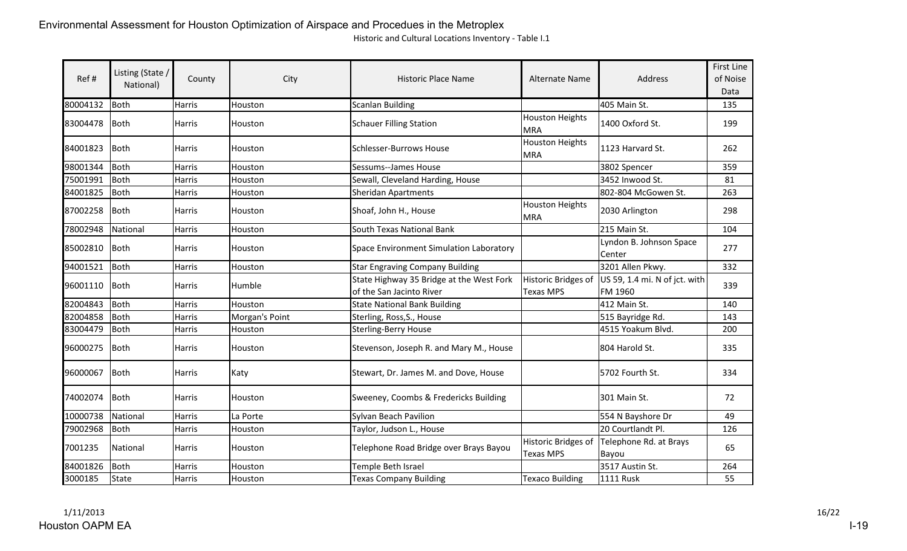### Historic and Cultural Locations Inventory - Table I.1 Environmental Assessment for Houston Optimization of Airspace and Procedues in the Metroplex

| Ref#     | Listing (State /<br>National) | County | City           | <b>Historic Place Name</b>                                                 | Alternate Name                          |                                          |     |  |
|----------|-------------------------------|--------|----------------|----------------------------------------------------------------------------|-----------------------------------------|------------------------------------------|-----|--|
| 80004132 | Both                          | Harris | Houston        | <b>Scanlan Building</b>                                                    | 405 Main St.                            | 135                                      |     |  |
| 83004478 | <b>Both</b>                   | Harris | Houston        | <b>Schauer Filling Station</b>                                             | 1400 Oxford St.                         | 199                                      |     |  |
| 84001823 | <b>Both</b>                   | Harris | Houston        | <b>Schlesser-Burrows House</b>                                             | <b>Houston Heights</b><br><b>MRA</b>    | 1123 Harvard St.                         | 262 |  |
| 98001344 | <b>Both</b>                   | Harris | Houston        | Sessums--James House                                                       |                                         | 3802 Spencer                             | 359 |  |
| 75001991 | <b>Both</b>                   | Harris | Houston        | Sewall, Cleveland Harding, House                                           |                                         | 3452 Inwood St.                          | 81  |  |
| 84001825 | <b>Both</b>                   | Harris | Houston        | <b>Sheridan Apartments</b>                                                 |                                         | 802-804 McGowen St.                      | 263 |  |
| 87002258 | <b>Both</b>                   | Harris | Houston        | Shoaf, John H., House                                                      | <b>Houston Heights</b><br><b>MRA</b>    | 2030 Arlington                           | 298 |  |
| 78002948 | National                      | Harris | Houston        | South Texas National Bank                                                  |                                         | 215 Main St.                             | 104 |  |
| 85002810 | Both                          | Harris | <b>Houston</b> | Space Environment Simulation Laboratory                                    |                                         | Lyndon B. Johnson Space<br>Center        | 277 |  |
| 94001521 | <b>Both</b>                   | Harris | Houston        | <b>Star Engraving Company Building</b>                                     |                                         | 3201 Allen Pkwy.                         | 332 |  |
| 96001110 | <b>Both</b>                   | Harris | Humble         | State Highway 35 Bridge at the West Fork<br>of the San Jacinto River       | Historic Bridges of<br><b>Texas MPS</b> | US 59, 1.4 mi. N of jct. with<br>FM 1960 | 339 |  |
| 82004843 | <b>Both</b>                   | Harris | Houston        | <b>State National Bank Building</b>                                        |                                         | 412 Main St.                             | 140 |  |
| 82004858 | <b>Both</b>                   | Harris | Morgan's Point | Sterling, Ross, S., House                                                  |                                         | 515 Bayridge Rd.                         | 143 |  |
| 83004479 | <b>Both</b>                   | Harris | Houston        | <b>Sterling-Berry House</b>                                                |                                         | 4515 Yoakum Blvd.                        | 200 |  |
| 96000275 | <b>Both</b>                   | Harris | Houston        | Stevenson, Joseph R. and Mary M., House                                    |                                         | 804 Harold St.                           | 335 |  |
| 96000067 | <b>Both</b>                   | Harris | Katy           | Stewart, Dr. James M. and Dove, House                                      |                                         | 5702 Fourth St.                          | 334 |  |
| 74002074 | <b>Both</b>                   | Harris | Houston        | Sweeney, Coombs & Fredericks Building                                      |                                         | 301 Main St.                             | 72  |  |
| 10000738 | National                      | Harris | La Porte       | Sylvan Beach Pavilion                                                      |                                         | 554 N Bayshore Dr                        | 49  |  |
| 79002968 | <b>Both</b>                   | Harris | Houston        | Taylor, Judson L., House                                                   |                                         | 20 Courtlandt Pl.                        | 126 |  |
| 7001235  | National                      | Harris | Houston        | Historic Bridges of<br>Telephone Road Bridge over Brays Bayou<br>Texas MPS |                                         | Telephone Rd. at Brays<br>Bayou          | 65  |  |
| 84001826 | <b>Both</b>                   | Harris | Houston        | Temple Beth Israel                                                         |                                         | 3517 Austin St.                          | 264 |  |
| 3000185  | <b>State</b>                  | Harris | Houston        | <b>Texas Company Building</b>                                              | <b>Texaco Building</b>                  | <b>1111 Rusk</b>                         | 55  |  |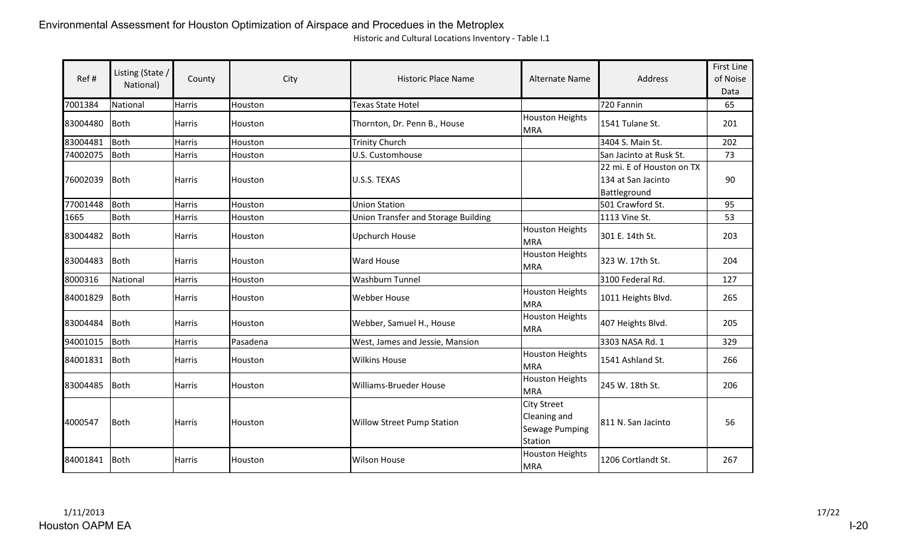| Ref#     | Listing (State /<br>National) | County        | City     | <b>Historic Place Name</b>                                                                                  | Alternate Name                       | Address                                                         | First Line<br>of Noise<br>Data |
|----------|-------------------------------|---------------|----------|-------------------------------------------------------------------------------------------------------------|--------------------------------------|-----------------------------------------------------------------|--------------------------------|
| 7001384  | National                      | Harris        | Houston  | Texas State Hotel                                                                                           | 720 Fannin                           | 65                                                              |                                |
| 83004480 | <b>Both</b>                   | <b>Harris</b> | Houston  | Thornton, Dr. Penn B., House                                                                                | 1541 Tulane St.                      | 201                                                             |                                |
| 83004481 | <b>Both</b>                   | Harris        | Houston  | <b>Trinity Church</b>                                                                                       |                                      | 3404 S. Main St.                                                | 202                            |
| 74002075 | Both                          | <b>Harris</b> | Houston  | U.S. Customhouse                                                                                            |                                      | San Jacinto at Rusk St.                                         | 73                             |
| 76002039 | <b>Both</b>                   | Harris        | Houston  | U.S.S. TEXAS                                                                                                |                                      | 22 mi. E of Houston on TX<br>134 at San Jacinto<br>Battleground | 90                             |
| 77001448 | <b>Both</b>                   | <b>Harris</b> | Houston  | <b>Union Station</b>                                                                                        |                                      | 501 Crawford St.                                                | 95                             |
| 1665     | <b>Both</b>                   | Harris        | Houston  | Union Transfer and Storage Building                                                                         |                                      | 1113 Vine St.                                                   | 53                             |
| 83004482 | <b>Both</b>                   | <b>Harris</b> | Houston  | <b>Upchurch House</b>                                                                                       | <b>Houston Heights</b><br><b>MRA</b> | 301 E. 14th St.                                                 | 203                            |
| 83004483 | <b>Both</b>                   | <b>Harris</b> | Houston  | <b>Ward House</b>                                                                                           | <b>Houston Heights</b><br><b>MRA</b> | 323 W. 17th St.                                                 | 204                            |
| 8000316  | National                      | Harris        | Houston  | <b>Washburn Tunnel</b>                                                                                      |                                      | 3100 Federal Rd.                                                | 127                            |
| 84001829 | <b>Both</b>                   | <b>Harris</b> | Houston  | <b>Webber House</b>                                                                                         | <b>Houston Heights</b><br><b>MRA</b> | 1011 Heights Blvd.                                              | 265                            |
| 83004484 | <b>Both</b>                   | <b>Harris</b> | Houston  | Webber, Samuel H., House                                                                                    | <b>Houston Heights</b><br><b>MRA</b> | 407 Heights Blvd.                                               | 205                            |
| 94001015 | Both                          | Harris        | Pasadena | West, James and Jessie, Mansion                                                                             |                                      | 3303 NASA Rd. 1                                                 | 329                            |
| 84001831 | <b>Both</b>                   | <b>Harris</b> | Houston  | <b>Wilkins House</b>                                                                                        | <b>Houston Heights</b><br><b>MRA</b> | 1541 Ashland St.                                                | 266                            |
| 83004485 | <b>Both</b>                   | Harris        | Houston  | <b>Houston Heights</b><br>Williams-Brueder House<br><b>MRA</b>                                              |                                      | 245 W. 18th St.                                                 | 206                            |
| 4000547  | <b>Both</b>                   | <b>Harris</b> | Houston  | <b>City Street</b><br>Cleaning and<br><b>Willow Street Pump Station</b><br><b>Sewage Pumping</b><br>Station |                                      | 811 N. San Jacinto                                              | 56                             |
| 84001841 | <b>Both</b>                   | <b>Harris</b> | Houston  | <b>Houston Heights</b><br><b>Wilson House</b><br><b>MRA</b>                                                 |                                      | 1206 Cortlandt St.                                              | 267                            |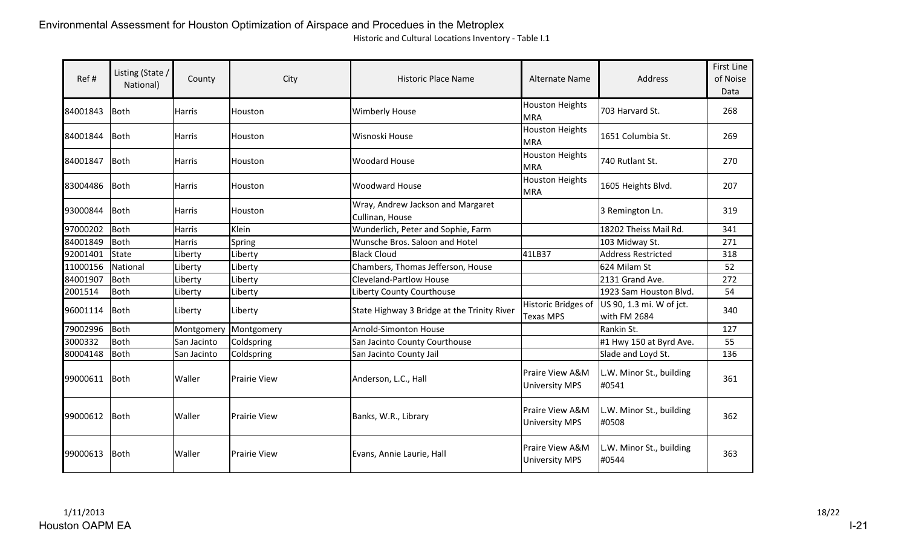| Ref#     | Listing (State /<br>National) | County        | City                | <b>Historic Place Name</b>                           | Alternate Name                                      | Address                                  | <b>First Line</b><br>of Noise<br>Data |
|----------|-------------------------------|---------------|---------------------|------------------------------------------------------|-----------------------------------------------------|------------------------------------------|---------------------------------------|
| 84001843 | <b>Both</b>                   | <b>Harris</b> | Houston             | <b>Wimberly House</b>                                | <b>Houston Heights</b><br><b>MRA</b>                | 703 Harvard St.                          | 268                                   |
| 84001844 | <b>Both</b>                   | <b>Harris</b> | Houston             | Wisnoski House                                       | <b>Houston Heights</b><br><b>MRA</b>                | 1651 Columbia St.                        | 269                                   |
| 84001847 | <b>Both</b>                   | Harris        | Houston             | <b>Woodard House</b>                                 | <b>Houston Heights</b><br><b>MRA</b>                | 740 Rutlant St.                          | 270                                   |
| 83004486 | <b>Both</b>                   | Harris        | Houston             | <b>Woodward House</b>                                | <b>Houston Heights</b><br><b>MRA</b>                | 1605 Heights Blvd.                       | 207                                   |
| 93000844 | <b>Both</b>                   | <b>Harris</b> | Houston             | Wray, Andrew Jackson and Margaret<br>Cullinan, House |                                                     | 3 Remington Ln.                          | 319                                   |
| 97000202 | Both                          | Harris        | Klein               | Wunderlich, Peter and Sophie, Farm                   |                                                     | 18202 Theiss Mail Rd.                    | 341                                   |
| 84001849 | <b>Both</b>                   | Harris        | Spring              | Wunsche Bros. Saloon and Hotel                       |                                                     | 103 Midway St.                           | 271                                   |
| 92001401 | <b>State</b>                  | Liberty       | Liberty             | <b>Black Cloud</b><br>41LB37                         |                                                     | <b>Address Restricted</b>                | 318                                   |
| 11000156 | National                      | Liberty       | Liberty             | Chambers, Thomas Jefferson, House                    |                                                     | 624 Milam St                             | 52                                    |
| 84001907 | <b>Both</b>                   | Liberty       | Liberty             | <b>Cleveland-Partlow House</b>                       |                                                     | 2131 Grand Ave.                          | 272                                   |
| 2001514  | <b>Both</b>                   | Liberty       | Liberty             | Liberty County Courthouse                            |                                                     | 1923 Sam Houston Blvd.                   | 54                                    |
| 96001114 | <b>Both</b>                   | Liberty       | Liberty             | State Highway 3 Bridge at the Trinity River          | Historic Bridges of<br><b>Texas MPS</b>             | US 90, 1.3 mi. W of jct.<br>with FM 2684 | 340                                   |
| 79002996 | <b>Both</b>                   | Montgomery    | Montgomery          | Arnold-Simonton House                                |                                                     | Rankin St.                               | 127                                   |
| 3000332  | <b>Both</b>                   | San Jacinto   | Coldspring          | San Jacinto County Courthouse                        |                                                     | #1 Hwy 150 at Byrd Ave.                  | 55                                    |
| 80004148 | <b>Both</b>                   | San Jacinto   | Coldspring          | San Jacinto County Jail                              |                                                     | Slade and Loyd St.                       | 136                                   |
| 99000611 | Both                          | Waller        | <b>Prairie View</b> | Anderson, L.C., Hall                                 | Praire View A&M<br><b>University MPS</b>            | L.W. Minor St., building<br>#0541        | 361                                   |
| 99000612 | <b>Both</b>                   | Waller        | <b>Prairie View</b> | Banks, W.R., Library                                 | <b>Praire View A&amp;M</b><br><b>University MPS</b> | L.W. Minor St., building<br>#0508        | 362                                   |
| 99000613 | <b>Both</b>                   | Waller        | <b>Prairie View</b> | Evans, Annie Laurie, Hall                            | Praire View A&M<br><b>University MPS</b>            | L.W. Minor St., building<br>#0544        | 363                                   |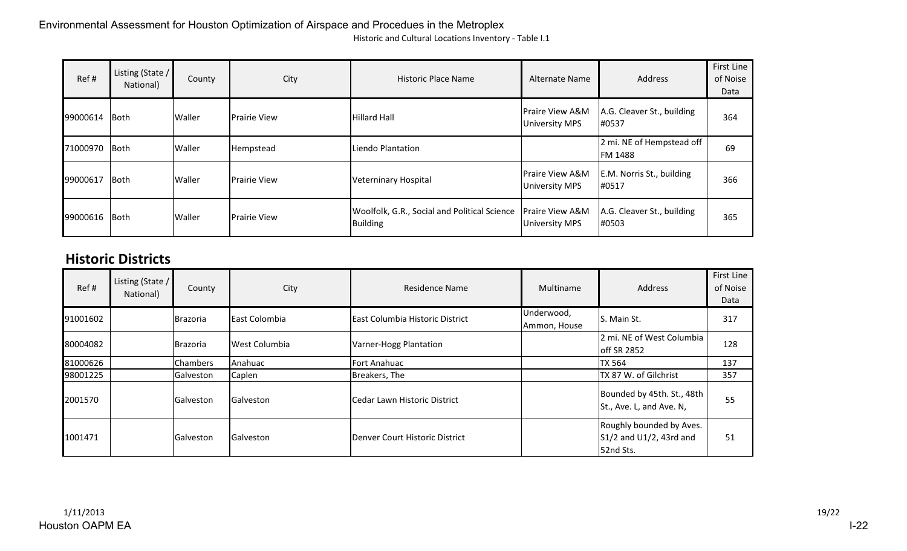| Ref#     | Listing (State /<br>National) | County | City                | Historic Place Name                                             | Alternate Name                           | <b>Address</b>                       | First Line<br>of Noise<br>Data |
|----------|-------------------------------|--------|---------------------|-----------------------------------------------------------------|------------------------------------------|--------------------------------------|--------------------------------|
| 99000614 | <b>Both</b>                   | Waller | <b>Prairie View</b> | <b>Hillard Hall</b>                                             | Praire View A&M<br><b>University MPS</b> | A.G. Cleaver St., building<br>#0537  | 364                            |
| 71000970 | <b>Both</b>                   | Waller | Hempstead           | Liendo Plantation                                               |                                          | 2 mi. NE of Hempstead off<br>FM 1488 | 69                             |
| 99000617 | Both                          | Waller | <b>Prairie View</b> | Veterninary Hospital                                            | Praire View A&M<br><b>University MPS</b> | E.M. Norris St., building<br>#0517   | 366                            |
| 99000616 | l Both                        | Waller | <b>Prairie View</b> | Woolfolk, G.R., Social and Political Science<br><b>Building</b> | Praire View A&M<br><b>University MPS</b> | A.G. Cleaver St., building<br>#0503  | 365                            |

# **Historic Districts**

| Ref#     | Listing (State /<br>National) | County          | City          | Residence Name                   | Multiname                  | <b>Address</b>                                                   | First Line<br>of Noise<br>Data |
|----------|-------------------------------|-----------------|---------------|----------------------------------|----------------------------|------------------------------------------------------------------|--------------------------------|
| 91001602 |                               | Brazoria        | East Colombia | lEast Columbia Historic District | Underwood,<br>Ammon, House | S. Main St.                                                      | 317                            |
| 80004082 |                               | <b>Brazoria</b> | West Columbia | Varner-Hogg Plantation           |                            | 2 mi. NE of West Columbia<br>off SR 2852                         | 128                            |
| 81000626 |                               | <b>Chambers</b> | Anahuac       | Fort Anahuac                     |                            | <b>TX 564</b>                                                    | 137                            |
| 98001225 |                               | Galveston       | Caplen        | Breakers, The                    |                            | TX 87 W. of Gilchrist                                            | 357                            |
| 2001570  |                               | Galveston       | Galveston     | Cedar Lawn Historic District     |                            | Bounded by 45th. St., 48th<br>St., Ave. L, and Ave. N,           | 55                             |
| 1001471  |                               | Galveston       | Galveston     | Denver Court Historic District   |                            | Roughly bounded by Aves.<br>S1/2 and U1/2, 43rd and<br>52nd Sts. | 51                             |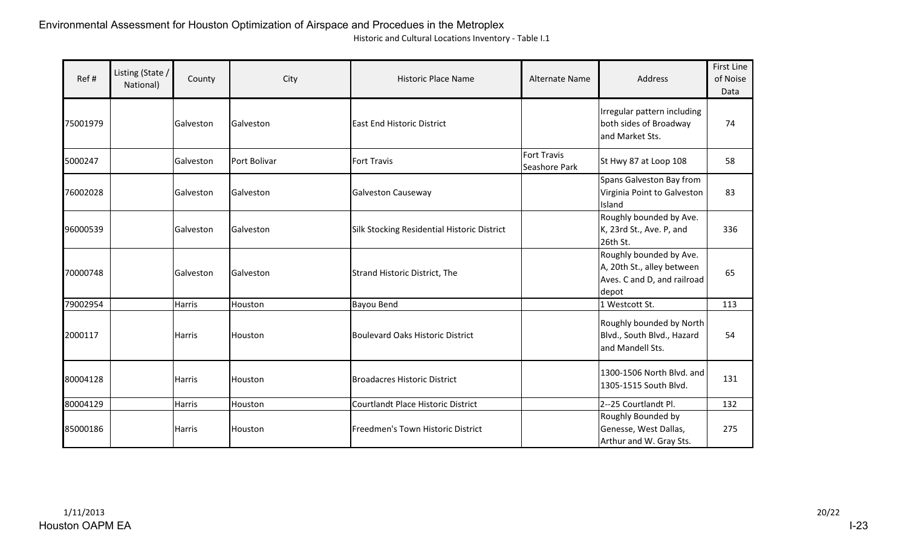| Ref#     | Listing (State /<br>National) | County        | City         | <b>Historic Place Name</b>                  | Alternate Name                      | Address                                                                                       | <b>First Line</b><br>of Noise<br>Data |
|----------|-------------------------------|---------------|--------------|---------------------------------------------|-------------------------------------|-----------------------------------------------------------------------------------------------|---------------------------------------|
| 75001979 |                               | Galveston     | Galveston    | <b>East End Historic District</b>           |                                     | Irregular pattern including<br>both sides of Broadway<br>and Market Sts.                      | 74                                    |
| 5000247  |                               | Galveston     | Port Bolivar | <b>Fort Travis</b>                          | <b>Fort Travis</b><br>Seashore Park | St Hwy 87 at Loop 108                                                                         | 58                                    |
| 76002028 |                               | Galveston     | Galveston    | <b>Galveston Causeway</b>                   |                                     | Spans Galveston Bay from<br>Virginia Point to Galveston<br>Island                             | 83                                    |
| 96000539 |                               | Galveston     | Galveston    | Silk Stocking Residential Historic District |                                     | Roughly bounded by Ave.<br>K, 23rd St., Ave. P, and<br>26th St.                               | 336                                   |
| 70000748 |                               | Galveston     | Galveston    | Strand Historic District, The               |                                     | Roughly bounded by Ave.<br>A, 20th St., alley between<br>Aves. C and D, and railroad<br>depot | 65                                    |
| 79002954 |                               | Harris        | Houston      | <b>Bayou Bend</b>                           |                                     | 1 Westcott St.                                                                                | 113                                   |
| 2000117  |                               | <b>Harris</b> | Houston      | Boulevard Oaks Historic District            |                                     | Roughly bounded by North<br>Blvd., South Blvd., Hazard<br>and Mandell Sts.                    | 54                                    |
| 80004128 |                               | <b>Harris</b> | Houston      | <b>Broadacres Historic District</b>         |                                     | 1300-1506 North Blvd. and<br>1305-1515 South Blvd.                                            | 131                                   |
| 80004129 |                               | Harris        | Houston      | Courtlandt Place Historic District          |                                     | 2--25 Courtlandt Pl.                                                                          | 132                                   |
| 85000186 |                               | Harris        | Houston      | Freedmen's Town Historic District           |                                     | Roughly Bounded by<br>Genesse, West Dallas,<br>Arthur and W. Gray Sts.                        | 275                                   |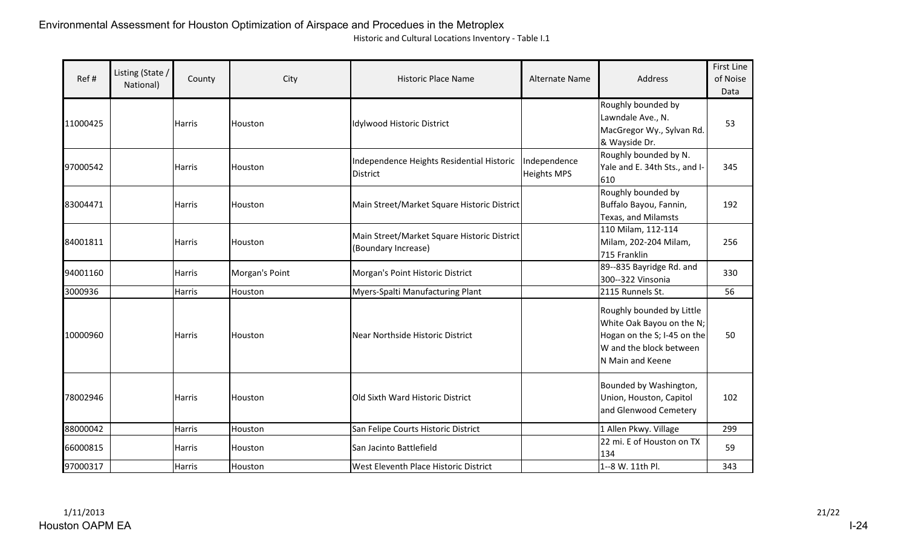| Ref#     | Listing (State /<br>National) | County        | City           | Historic Place Name                                                | Alternate Name                     | Address                                                                                                                              | <b>First Line</b><br>of Noise<br>Data |
|----------|-------------------------------|---------------|----------------|--------------------------------------------------------------------|------------------------------------|--------------------------------------------------------------------------------------------------------------------------------------|---------------------------------------|
| 11000425 |                               | Harris        | <b>Houston</b> | Idylwood Historic District                                         |                                    | Roughly bounded by<br>Lawndale Ave., N.<br>MacGregor Wy., Sylvan Rd.<br>& Wayside Dr.                                                | 53                                    |
| 97000542 |                               | Harris        | Houston        | Independence Heights Residential Historic<br><b>District</b>       | Independence<br><b>Heights MPS</b> | Roughly bounded by N.<br>Yale and E. 34th Sts., and I-<br>610                                                                        | 345                                   |
| 83004471 |                               | <b>Harris</b> | <b>Houston</b> | Main Street/Market Square Historic District                        |                                    | Roughly bounded by<br>Buffalo Bayou, Fannin,<br>Texas, and Milamsts                                                                  | 192                                   |
| 84001811 |                               | <b>Harris</b> | <b>Houston</b> | Main Street/Market Square Historic District<br>(Boundary Increase) |                                    | 110 Milam, 112-114<br>Milam, 202-204 Milam,<br>715 Franklin                                                                          | 256                                   |
| 94001160 |                               | Harris        | Morgan's Point | Morgan's Point Historic District                                   |                                    | 89--835 Bayridge Rd. and<br>300--322 Vinsonia                                                                                        | 330                                   |
| 3000936  |                               | Harris        | Houston        | Myers-Spalti Manufacturing Plant                                   |                                    | 2115 Runnels St.                                                                                                                     | 56                                    |
| 10000960 |                               | Harris        | Houston        | Near Northside Historic District                                   |                                    | Roughly bounded by Little<br>White Oak Bayou on the N;<br>Hogan on the S; I-45 on the<br>W and the block between<br>N Main and Keene | 50                                    |
| 78002946 |                               | Harris        | Houston        | Old Sixth Ward Historic District                                   |                                    | Bounded by Washington,<br>Union, Houston, Capitol<br>and Glenwood Cemetery                                                           | 102                                   |
| 88000042 |                               | Harris        | Houston        | San Felipe Courts Historic District                                |                                    | 1 Allen Pkwy. Village                                                                                                                | 299                                   |
| 66000815 |                               | Harris        | Houston        | San Jacinto Battlefield                                            |                                    | 22 mi. E of Houston on TX<br>134                                                                                                     | 59                                    |
| 97000317 |                               | Harris        | Houston        | West Eleventh Place Historic District                              |                                    | 1--8 W. 11th Pl.                                                                                                                     | 343                                   |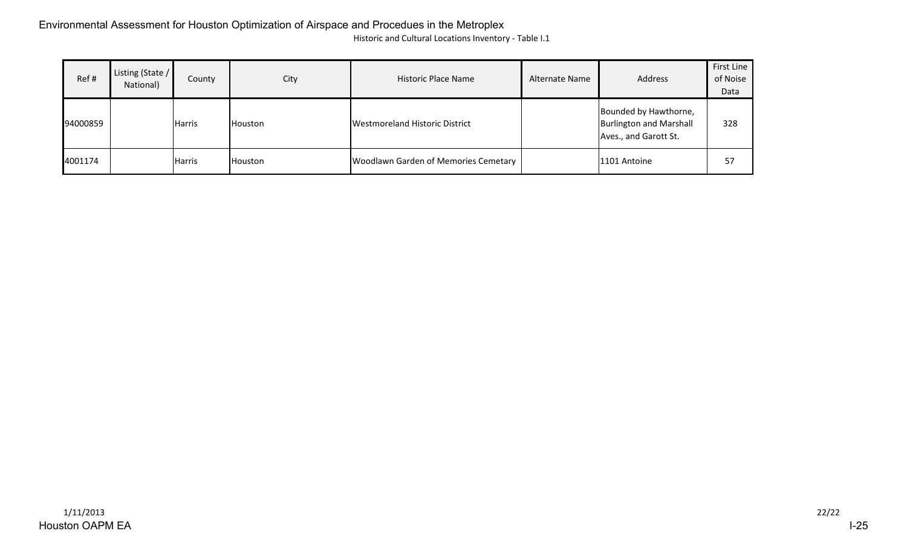### Historic and Cultural Locations Inventory - Table I.1 Environmental Assessment for Houston Optimization of Airspace and Procedues in the Metroplex

| Ref#     | Listing (State /<br>National) | County        | City           | Historic Place Name                         | Alternate Name | Address                                                                   | First Line<br>of Noise<br>Data |
|----------|-------------------------------|---------------|----------------|---------------------------------------------|----------------|---------------------------------------------------------------------------|--------------------------------|
| 94000859 |                               | Harris        | <b>Houston</b> | Westmoreland Historic District              |                | Bounded by Hawthorne,<br>Burlington and Marshall<br>Aves., and Garott St. | 328                            |
| 4001174  |                               | <b>Harris</b> | <b>Houston</b> | <b>Woodlawn Garden of Memories Cemetary</b> |                | 1101 Antoine                                                              | 57                             |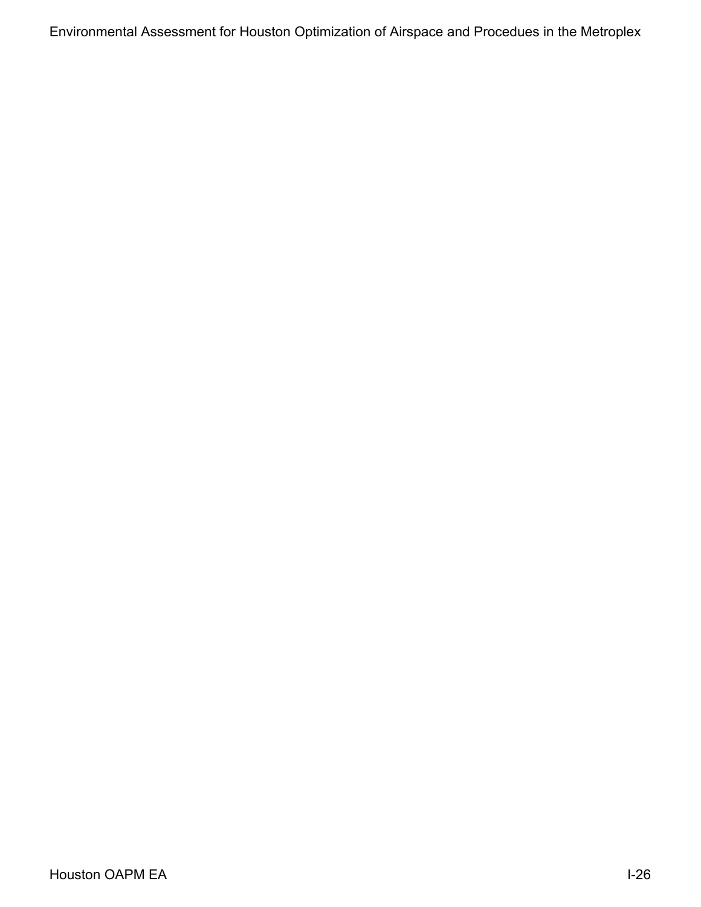Environmental Assessment for Houston Optimization of Airspace and Procedues in the Metroplex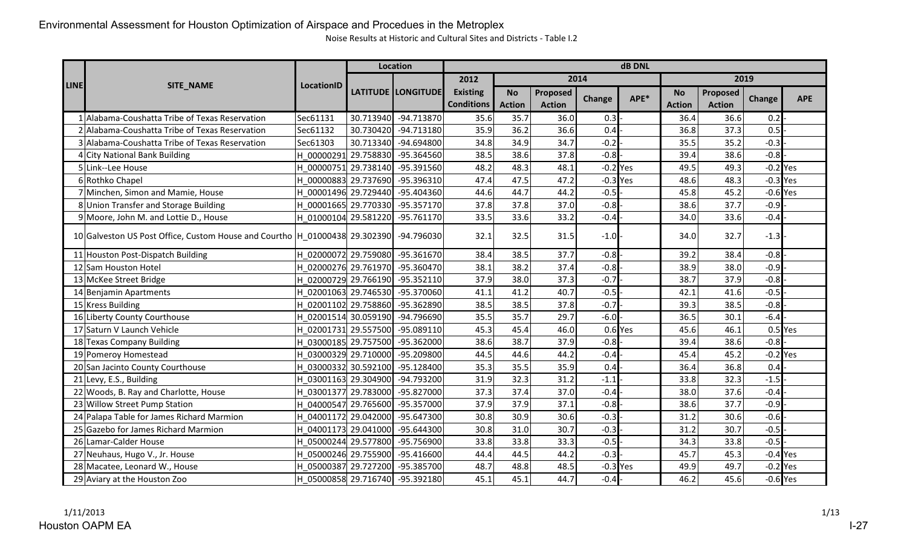### Noise Results at Historic and Cultural Sites and Districts - Table I.2 Environmental Assessment for Houston Optimization of Airspace and Procedues in the Metroplex

|             |                                                                              |                      |           | Location                        |                   |               |               |            | dB DNL     |               |               |            |            |
|-------------|------------------------------------------------------------------------------|----------------------|-----------|---------------------------------|-------------------|---------------|---------------|------------|------------|---------------|---------------|------------|------------|
| <b>LINE</b> |                                                                              | LocationID           |           |                                 | 2012              |               |               | 2014       |            |               | 2019          |            |            |
|             | SITE_NAME                                                                    |                      |           | LATITUDE LONGITUDE              | <b>Existing</b>   | <b>No</b>     | Proposed      | Change     | APE*       | <b>No</b>     | Proposed      | Change     | <b>APE</b> |
|             |                                                                              |                      |           |                                 | <b>Conditions</b> | <b>Action</b> | <b>Action</b> |            |            | <b>Action</b> | <b>Action</b> |            |            |
|             | Alabama-Coushatta Tribe of Texas Reservation                                 | Sec61131             | 30.713940 | $-94.713870$                    | 35.6              | 35.7          | 36.0          | 0.3        |            | 36.4          | 36.6          | 0.2        |            |
|             | 2 Alabama-Coushatta Tribe of Texas Reservation                               | Sec61132             | 30.730420 | -94.713180                      | 35.9              | 36.2          | 36.6          | 0.4        |            | 36.8          | 37.3          | 0.5        |            |
|             | 3 Alabama-Coushatta Tribe of Texas Reservation                               | Sec61303             | 30.713340 | $-94.694800$                    | 34.8              | 34.9          | 34.7          | $-0.2$     |            | 35.5          | 35.2          | $-0.3$     |            |
|             | 4 City National Bank Building                                                | H 00000291 29.758830 |           | $-95.364560$                    | 38.5              | 38.6          | 37.8          | $-0.8$     |            | 39.4          | 38.6          | $-0.8$     |            |
|             | 5Link--Lee House                                                             | H 00000751 29.738140 |           | $-95.391560$                    | 48.2              | 48.3          | 48.1          |            | $-0.2$ Yes | 49.5          | 49.3          | $-0.2$ Yes |            |
|             | 6 Rothko Chapel                                                              | H 00000883 29.737690 |           | $-95.396310$                    | 47.4              | 47.5          | 47.2          | $-0.3$ Yes |            | 48.6          | 48.3          | $-0.3$ Yes |            |
|             | 7 Minchen, Simon and Mamie, House                                            | H 00001496 29.729440 |           | -95.404360                      | 44.6              | 44.7          | 44.2          | $-0.5$     |            | 45.8          | 45.2          | $-0.6$ Yes |            |
|             | 8 Union Transfer and Storage Building                                        | H 00001665 29.770330 |           | $-95.357170$                    | 37.8              | 37.8          | 37.0          | $-0.8$     |            | 38.6          | 37.7          | $-0.9$     |            |
|             | 9 Moore, John M. and Lottie D., House                                        | H 01000104 29.581220 |           | $-95.761170$                    | 33.5              | 33.6          | 33.2          | $-0.4$     |            | 34.0          | 33.6          | $-0.4$     |            |
|             | 10 Galveston US Post Office, Custom House and Courtho   H 01000438 29.302390 |                      |           | -94.796030                      | 32.1              | 32.5          | 31.5          | $-1.0$     |            | 34.0          | 32.7          | $-1.3$     |            |
|             | 11 Houston Post-Dispatch Building                                            | H 02000072 29.759080 |           | $-95.361670$                    | 38.4              | 38.5          | 37.7          | $-0.8$     |            | 39.2          | 38.4          | $-0.8$     |            |
|             | 12 Sam Houston Hotel                                                         | H 02000276 29.761970 |           | $-95.360470$                    | 38.1              | 38.2          | 37.4          | $-0.8$     |            | 38.9          | 38.0          | $-0.9$     |            |
|             | 13 McKee Street Bridge                                                       | H 02000729 29.766190 |           | $-95.352110$                    | 37.9              | 38.0          | 37.3          | $-0.7$     |            | 38.7          | 37.9          | $-0.8$     |            |
|             | 14 Benjamin Apartments                                                       | H 02001063 29.746530 |           | -95.370060                      | 41.1              | 41.2          | 40.7          | $-0.5$     |            | 42.1          | 41.6          | $-0.5$     |            |
|             | 15 Kress Building                                                            | H 02001102 29.758860 |           | -95.362890                      | 38.5              | 38.5          | 37.8          | $-0.7$     |            | 39.3          | 38.5          | $-0.8$     |            |
|             | 16 Liberty County Courthouse                                                 | H 02001514 30.059190 |           | -94.796690                      | 35.5              | 35.7          | 29.7          | $-6.0$     |            | 36.5          | 30.1          | $-6.4$     |            |
|             | 17 Saturn V Launch Vehicle                                                   | H 02001731 29.557500 |           | -95.089110                      | 45.3              | 45.4          | 46.0          |            | 0.6 Yes    | 45.6          | 46.1          | $0.5$ Yes  |            |
|             | 18 Texas Company Building                                                    | H 03000185 29.757500 |           | $-95.362000$                    | 38.6              | 38.7          | 37.9          | $-0.8$     |            | 39.4          | 38.6          | $-0.8$     |            |
|             | 19 Pomeroy Homestead                                                         | H 03000329 29.710000 |           | -95.209800                      | 44.5              | 44.6          | 44.2          | $-0.4$     |            | 45.4          | 45.2          | $-0.2$ Yes |            |
|             | 20 San Jacinto County Courthouse                                             | H 03000332 30.592100 |           | $-95.128400$                    | 35.3              | 35.5          | 35.9          | 0.4        |            | 36.4          | 36.8          | 0.4        |            |
|             | 21 Levy, E.S., Building                                                      | H 03001163 29.304900 |           | $-94.793200$                    | 31.9              | 32.3          | 31.2          | $-1.1$     |            | 33.8          | 32.3          | $-1.5$     |            |
|             | 22 Woods, B. Ray and Charlotte, House                                        | H 03001377 29.783000 |           | $-95.827000$                    | 37.3              | 37.4          | 37.0          | $-0.4$     |            | 38.0          | 37.6          | $-0.4$     |            |
|             | 23 Willow Street Pump Station                                                | H 04000547 29.765600 |           | $-95.357000$                    | 37.9              | 37.9          | 37.1          | $-0.8$     |            | 38.6          | 37.7          | $-0.9$     |            |
|             | 24 Palapa Table for James Richard Marmion                                    | H 04001172 29.042000 |           | $-95.647300$                    | 30.8              | 30.9          | 30.6          | $-0.3$     |            | 31.2          | 30.6          | $-0.6$     |            |
|             | 25 Gazebo for James Richard Marmion                                          | H 04001173 29.041000 |           | $-95.644300$                    | 30.8              | 31.0          | 30.7          | $-0.3$     |            | 31.2          | 30.7          | $-0.5$     |            |
|             | 26 Lamar-Calder House                                                        | H 05000244 29.577800 |           | -95.756900                      | 33.8              | 33.8          | 33.3          | $-0.5$     |            | 34.3          | 33.8          | $-0.5$     |            |
|             | 27 Neuhaus, Hugo V., Jr. House                                               | H 05000246 29.755900 |           | $-95.416600$                    | 44.4              | 44.5          | 44.2          | $-0.3$     |            | 45.7          | 45.3          | $-0.4$ Yes |            |
|             | 28 Macatee, Leonard W., House                                                | H 05000387 29.727200 |           | -95.385700                      | 48.7              | 48.8          | 48.5          |            | $-0.3$ Yes | 49.9          | 49.7          | $-0.2$ Yes |            |
|             | 29 Aviary at the Houston Zoo                                                 |                      |           | H 05000858 29.716740 -95.392180 | 45.1              | 45.1          | 44.7          | $-0.4$     |            | 46.2          | 45.6          | $-0.6$ Yes |            |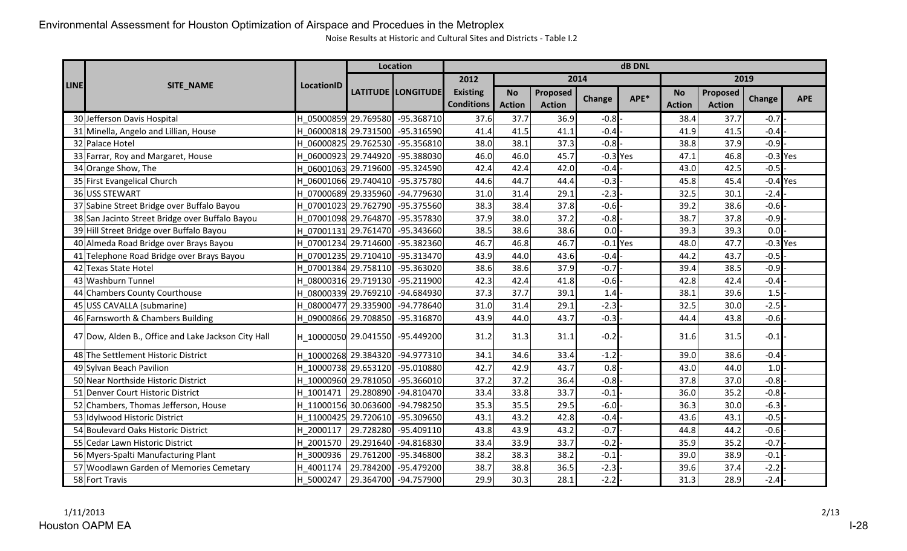|             |                                                     |                                 |           | Location             |                                      |                            |                           |               | dB DNL |                            |                                  |               |            |
|-------------|-----------------------------------------------------|---------------------------------|-----------|----------------------|--------------------------------------|----------------------------|---------------------------|---------------|--------|----------------------------|----------------------------------|---------------|------------|
| <b>LINE</b> | SITE_NAME                                           | LocationID                      |           |                      | 2012                                 |                            |                           | 2014          |        |                            | 2019                             |               |            |
|             |                                                     |                                 |           | LATITUDE LONGITUDE   | <b>Existing</b><br><b>Conditions</b> | <b>No</b><br><b>Action</b> | Proposed<br><b>Action</b> | <b>Change</b> | APE*   | <b>No</b><br><b>Action</b> | <b>Proposed</b><br><b>Action</b> | <b>Change</b> | <b>APE</b> |
|             | 30 Jefferson Davis Hospital                         | H 05000859 29.769580            |           | -95.368710           | 37.6                                 | 37.7                       | 36.9                      | $-0.8$        |        | 38.4                       | 37.7                             | $-0.7$        |            |
|             | 31 Minella, Angelo and Lillian, House               | H 06000818 29.731500            |           | -95.316590           | 41.4                                 | 41.5                       | 41.1                      | $-0.4$        |        | 41.9                       | 41.5                             | $-0.4$        |            |
|             | 32 Palace Hotel                                     | H 06000825 29.762530            |           | -95.356810           | 38.0                                 | 38.1                       | 37.3                      | $-0.8$        |        | 38.8                       | 37.9                             | $-0.9$        |            |
|             | 33 Farrar, Roy and Margaret, House                  | H 06000923 29.744920            |           | -95.388030           | 46.0                                 | 46.0                       | 45.7                      | $-0.3$ Yes    |        | 47.1                       | 46.8                             | $-0.3$ Yes    |            |
|             | 34 Orange Show, The                                 | H 06001063 29.719600 -95.324590 |           |                      | 42.4                                 | 42.4                       | 42.0                      | $-0.4$        |        | 43.0                       | 42.5                             | $-0.5$        |            |
|             | 35 First Evangelical Church                         | H 06001066 29.740410            |           | -95.375780           | 44.6                                 | 44.7                       | 44.4                      | $-0.3$        |        | 45.8                       | 45.4                             | $-0.4$ Yes    |            |
|             | 36 USS STEWART                                      | H 07000689 29.335960            |           | -94.779630           | 31.0                                 | 31.4                       | 29.1                      | $-2.3$        |        | 32.5                       | 30.1                             | $-2.4$        |            |
|             | 37 Sabine Street Bridge over Buffalo Bayou          | H 07001023 29.762790 -95.375560 |           |                      | 38.3                                 | 38.4                       | 37.8                      | $-0.6$        |        | 39.2                       | 38.6                             | $-0.6$        |            |
|             | 38 San Jacinto Street Bridge over Buffalo Bayou     | H 07001098 29.764870            |           | -95.357830           | 37.9                                 | 38.0                       | 37.2                      | $-0.8$        |        | 38.7                       | 37.8                             | $-0.9$        |            |
|             | 39 Hill Street Bridge over Buffalo Bayou            | H 07001131 29.761470            |           | -95.343660           | 38.5                                 | 38.6                       | 38.6                      | 0.0           |        | 39.3                       | 39.3                             | 0.0           |            |
|             | 40 Almeda Road Bridge over Brays Bayou              | H 07001234 29.714600            |           | -95.382360           | 46.7                                 | 46.8                       | 46.7                      | $-0.1$ Yes    |        | 48.0                       | 47.7                             | $-0.3$ Yes    |            |
|             | 41 Telephone Road Bridge over Brays Bayou           | H 07001235 29.710410            |           | -95.313470           | 43.9                                 | 44.0                       | 43.6                      | $-0.4$        |        | 44.2                       | 43.7                             | $-0.5$        |            |
|             | 42 Texas State Hotel                                | H 07001384 29.758110            |           | -95.363020           | 38.6                                 | 38.6                       | 37.9                      | $-0.7$        |        | 39.4                       | 38.5                             | $-0.9$        |            |
|             | 43 Washburn Tunnel                                  | H 08000316 29.719130 -95.211900 |           |                      | 42.3                                 | 42.4                       | 41.8                      | $-0.6$        |        | 42.8                       | 42.4                             | $-0.4$        |            |
|             | 44 Chambers County Courthouse                       | H 08000339 29.769210            |           | -94.684930           | 37.3                                 | 37.7                       | 39.1                      | 1.4           |        | 38.1                       | 39.6                             | 1.5           |            |
|             | 45 USS CAVALLA (submarine)                          | H 08000477 29.335900            |           | -94.778640           | 31.0                                 | 31.4                       | 29.1                      | $-2.3$        |        | 32.5                       | 30.0                             | $-2.5$        |            |
|             | 46 Farnsworth & Chambers Building                   | H 09000866 29.708850 -95.316870 |           |                      | 43.9                                 | 44.0                       | 43.7                      | $-0.3$        |        | 44.4                       | 43.8                             | $-0.6$        |            |
|             | 47 Dow, Alden B., Office and Lake Jackson City Hall | H 10000050 29.041550 -95.449200 |           |                      | 31.2                                 | 31.3                       | 31.1                      | $-0.2$        |        | 31.6                       | 31.5                             | $-0.1$        |            |
|             | 48 The Settlement Historic District                 | H 10000268 29.384320            |           | -94.977310           | 34.1                                 | 34.6                       | 33.4                      | $-1.2$        |        | 39.0                       | 38.6                             | $-0.4$        |            |
|             | 49 Sylvan Beach Pavilion                            | H 10000738 29.653120 -95.010880 |           |                      | 42.7                                 | 42.9                       | 43.7                      | 0.8           |        | 43.0                       | 44.0                             | 1.0           |            |
|             | 50 Near Northside Historic District                 | H 10000960 29.781050            |           | -95.366010           | 37.2                                 | 37.2                       | 36.4                      | $-0.8$        |        | 37.8                       | 37.0                             | $-0.8$        |            |
|             | 51 Denver Court Historic District                   | H 1001471                       |           | 29.280890 -94.810470 | 33.4                                 | 33.8                       | 33.7                      | $-0.1$        |        | 36.0                       | 35.2                             | $-0.8$        |            |
|             | 52 Chambers, Thomas Jefferson, House                | H 11000156 30.063600            |           | -94.798250           | 35.3                                 | 35.5                       | 29.5                      | $-6.0$        |        | 36.3                       | 30.0                             | $-6.3$        |            |
|             | 53 Idylwood Historic District                       | H 11000425 29.720610            |           | -95.309650           | 43.1                                 | 43.2                       | 42.8                      | $-0.4$        |        | 43.6                       | 43.1                             | $-0.5$        |            |
|             | 54 Boulevard Oaks Historic District                 | H 2000117                       | 29.728280 | -95.409110           | 43.8                                 | 43.9                       | 43.2                      | $-0.7$        |        | 44.8                       | 44.2                             | $-0.6$        |            |
|             | 55 Cedar Lawn Historic District                     | H 2001570                       | 29.291640 | -94.816830           | 33.4                                 | 33.9                       | 33.7                      | $-0.2$        |        | 35.9                       | 35.2                             | $-0.7$        |            |
|             | 56 Myers-Spalti Manufacturing Plant                 | H 3000936                       | 29.761200 | -95.346800           | 38.2                                 | 38.3                       | 38.2                      | $-0.1$        |        | 39.0                       | 38.9                             | $-0.1$        |            |
|             | 57 Woodlawn Garden of Memories Cemetary             | H 4001174                       |           | 29.784200 -95.479200 | 38.7                                 | 38.8                       | 36.5                      | $-2.3$        |        | 39.6                       | 37.4                             | $-2.2$        |            |
|             | 58 Fort Travis                                      | H 5000247                       |           | 29.364700 -94.757900 | 29.9                                 | 30.3                       | 28.1                      | $-2.2$        |        | 31.3                       | 28.9                             | $-2.4$        |            |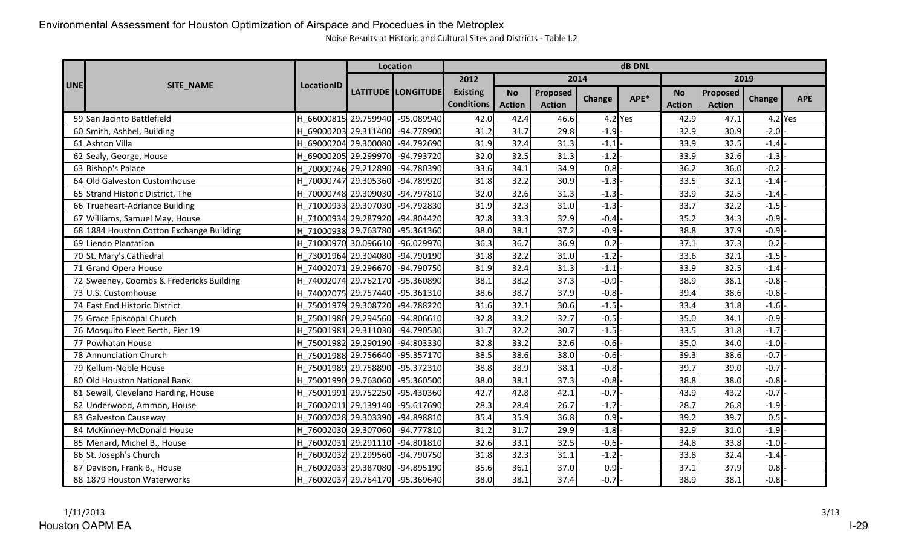|             |                                          |                      | Location                        |                                      |                            |                           |               | dB DNL  |                            |                           |           |            |
|-------------|------------------------------------------|----------------------|---------------------------------|--------------------------------------|----------------------------|---------------------------|---------------|---------|----------------------------|---------------------------|-----------|------------|
| <b>LINE</b> |                                          |                      |                                 | 2012                                 |                            |                           | 2014          |         |                            | 2019                      |           |            |
|             | SITE_NAME                                | LocationID           | LATITUDE LONGITUDE              | <b>Existing</b><br><b>Conditions</b> | <b>No</b><br><b>Action</b> | Proposed<br><b>Action</b> | <b>Change</b> | APE*    | <b>No</b><br><b>Action</b> | Proposed<br><b>Action</b> | Change    | <b>APE</b> |
|             | 59 San Jacinto Battlefield               | H 66000815 29.759940 | -95.089940                      | 42.0                                 | 42.4                       | 46.6                      |               | 4.2 Yes | 42.9                       | 47.1                      | $4.2$ Yes |            |
|             | 60 Smith, Ashbel, Building               |                      | H 69000203 29.311400 -94.778900 | 31.2                                 | 31.7                       | 29.8                      | $-1.9$        |         | 32.9                       | 30.9                      | $-2.0$    |            |
|             | 61 Ashton Villa                          |                      | H 69000204 29.300080 -94.792690 | 31.9                                 | 32.4                       | 31.3                      | $-1.1$        |         | 33.9                       | 32.5                      | $-1.4$    |            |
|             | 62 Sealy, George, House                  | H 69000205 29.299970 | $-94.793720$                    | 32.0                                 | 32.5                       | 31.3                      | $-1.2$        |         | 33.9                       | 32.6                      | $-1.3$    |            |
|             | 63 Bishop's Palace                       |                      | H 70000746 29.212890 -94.780390 | 33.6                                 | 34.1                       | 34.9                      | 0.8           |         | 36.2                       | 36.0                      | $-0.2$    |            |
|             | 64 Old Galveston Customhouse             |                      | H 70000747 29.305360 -94.789920 | 31.8                                 | 32.2                       | 30.9                      | $-1.3$        |         | 33.5                       | 32.1                      | $-1.4$    |            |
|             | 65 Strand Historic District, The         |                      | H 70000748 29.309030 -94.797810 | 32.0                                 | 32.6                       | 31.3                      | $-1.3$        |         | 33.9                       | 32.5                      | $-1.4$    |            |
|             | 66 Trueheart-Adriance Building           |                      | H 71000933 29.307030 -94.792830 | 31.9                                 | 32.3                       | 31.0                      | $-1.3$        |         | 33.7                       | 32.2                      | $-1.5$    |            |
|             | 67 Williams, Samuel May, House           |                      | H 71000934 29.287920 -94.804420 | 32.8                                 | 33.3                       | 32.9                      | $-0.4$        |         | 35.2                       | 34.3                      | $-0.9$    |            |
|             | 68 1884 Houston Cotton Exchange Building | H_71000938 29.763780 | -95.361360                      | 38.0                                 | 38.1                       | 37.2                      | $-0.9$        |         | 38.8                       | 37.9                      | $-0.9$    |            |
|             | 69 Liendo Plantation                     |                      | H 71000970 30.096610 -96.029970 | 36.3                                 | 36.7                       | 36.9                      | 0.2           |         | 37.1                       | 37.3                      | 0.2       |            |
|             | 70 St. Mary's Cathedral                  | H 73001964 29.304080 | -94.790190                      | 31.8                                 | 32.2                       | 31.0                      | $-1.2$        |         | 33.6                       | 32.1                      | $-1.5$    |            |
|             | 71 Grand Opera House                     | H 74002071 29.296670 | $-94.790750$                    | 31.9                                 | 32.4                       | 31.3                      | $-1.1$        |         | 33.9                       | 32.5                      | $-1.4$    |            |
|             | 72 Sweeney, Coombs & Fredericks Building |                      | H 74002074 29.762170 -95.360890 | 38.1                                 | 38.2                       | 37.3                      | $-0.9$        |         | 38.9                       | 38.1                      | $-0.8$    |            |
|             | 73 U.S. Customhouse                      |                      | H 74002075 29.757440 -95.361310 | 38.6                                 | 38.7                       | 37.9                      | $-0.8$        |         | 39.4                       | 38.6                      | $-0.8$    |            |
|             | 74 East End Historic District            | H 75001979 29.308720 | -94.788220                      | 31.6                                 | 32.1                       | 30.6                      | $-1.5$        |         | 33.4                       | 31.8                      | $-1.6$    |            |
|             | 75 Grace Episcopal Church                |                      | H 75001980 29.294560 -94.806610 | 32.8                                 | 33.2                       | 32.7                      | $-0.5$        |         | 35.0                       | 34.1                      | $-0.9$    |            |
|             | 76 Mosquito Fleet Berth, Pier 19         |                      | H 75001981 29.311030 -94.790530 | 31.7                                 | 32.2                       | 30.7                      | $-1.5$        |         | 33.5                       | 31.8                      | $-1.7$    |            |
|             | 77 Powhatan House                        |                      | H 75001982 29.290190 -94.803330 | 32.8                                 | 33.2                       | 32.6                      | $-0.6$        |         | 35.0                       | 34.0                      | $-1.0$    |            |
|             | 78 Annunciation Church                   |                      | H 75001988 29.756640 -95.357170 | 38.5                                 | 38.6                       | 38.0                      | $-0.6$        |         | 39.3                       | 38.6                      | $-0.7$    |            |
|             | 79 Kellum-Noble House                    | H 75001989 29.758890 | $-95.372310$                    | 38.8                                 | 38.9                       | 38.1                      | $-0.8$        |         | 39.7                       | 39.0                      | $-0.7$    |            |
|             | 80 Old Houston National Bank             | H 75001990 29.763060 | -95.360500                      | 38.0                                 | 38.1                       | 37.3                      | $-0.8$        |         | 38.8                       | 38.0                      | $-0.8$    |            |
|             | 81 Sewall, Cleveland Harding, House      | H 75001991 29.752250 | $-95.430360$                    | 42.7                                 | 42.8                       | 42.1                      | $-0.7$        |         | 43.9                       | 43.2                      | $-0.7$    |            |
|             | 82 Underwood, Ammon, House               | H 76002011 29.139140 | -95.617690                      | 28.3                                 | 28.4                       | 26.7                      | $-1.7$        |         | 28.7                       | 26.8                      | $-1.9$    |            |
|             | 83 Galveston Causeway                    | H 76002028 29.303390 | $-94.898810$                    | 35.4                                 | 35.9                       | 36.8                      | 0.9           |         | 39.2                       | 39.7                      | 0.5       |            |
|             | 84 McKinney-McDonald House               |                      | H 76002030 29.307060 -94.777810 | 31.2                                 | 31.7                       | 29.9                      | $-1.8$        |         | 32.9                       | 31.0                      | $-1.9$    |            |
|             | 85 Menard, Michel B., House              |                      | H 76002031 29.291110 -94.801810 | 32.6                                 | 33.1                       | 32.5                      | $-0.6$        |         | 34.8                       | 33.8                      | $-1.0$    |            |
|             | 86 St. Joseph's Church                   | H 76002032 29.299560 | -94.790750                      | 31.8                                 | 32.3                       | 31.1                      | $-1.2$        |         | 33.8                       | 32.4                      | $-1.4$    |            |
|             | 87 Davison, Frank B., House              |                      | H 76002033 29.387080 -94.895190 | 35.6                                 | 36.1                       | 37.0                      | 0.9           |         | 37.1                       | 37.9                      | 0.8       |            |
|             | 88 1879 Houston Waterworks               |                      | H 76002037 29.764170 -95.369640 | 38.0                                 | 38.1                       | 37.4                      | $-0.7$        |         | 38.9                       | 38.1                      | $-0.8$    |            |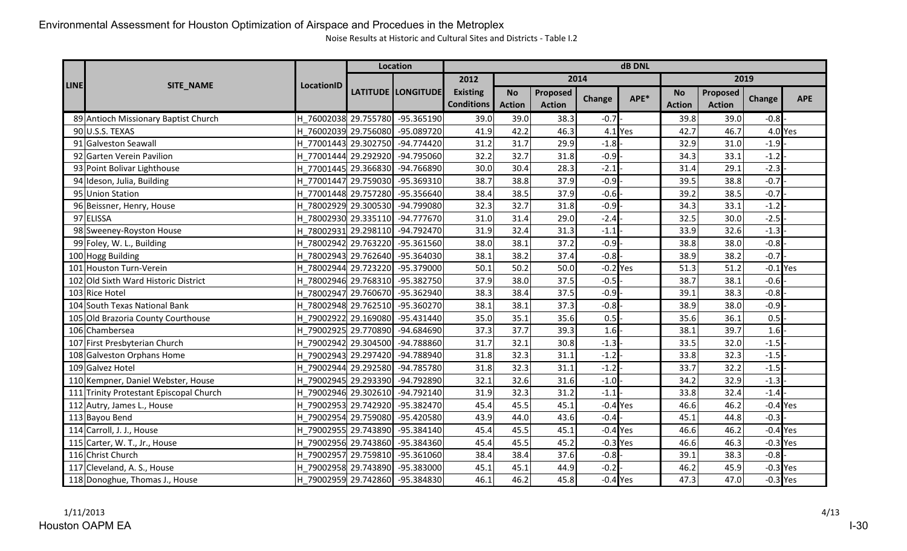|             |                                         |                      | <b>Location</b>                 |                   |               |               |               | dB DNL     |               |               |            |            |
|-------------|-----------------------------------------|----------------------|---------------------------------|-------------------|---------------|---------------|---------------|------------|---------------|---------------|------------|------------|
| <b>LINE</b> |                                         | LocationID           |                                 | 2012              |               |               | 2014          |            |               | 2019          |            |            |
|             | SITE_NAME                               |                      | LATITUDE LONGITUDE              | <b>Existing</b>   | <b>No</b>     | Proposed      | <b>Change</b> | APE*       | <b>No</b>     | Proposed      | Change     | <b>APE</b> |
|             |                                         |                      |                                 | <b>Conditions</b> | <b>Action</b> | <b>Action</b> |               |            | <b>Action</b> | <b>Action</b> |            |            |
|             | 89 Antioch Missionary Baptist Church    | H 76002038 29.755780 | -95.365190                      | 39.0              | 39.0          | 38.3          | $-0.7$        |            | 39.8          | 39.0          | $-0.8$     |            |
|             | 90 U.S.S. TEXAS                         | H 76002039 29.756080 | -95.089720                      | 41.9              | 42.2          | 46.3          |               | $4.1$ Yes  | 42.7          | 46.7          |            | 4.0 Yes    |
|             | 91 Galveston Seawall                    | H 77001443 29.302750 | -94.774420                      | 31.2              | 31.7          | 29.9          | $-1.8$        |            | 32.9          | 31.0          | $-1.9$     |            |
|             | 92 Garten Verein Pavilion               | H 77001444 29.292920 | $-94.795060$                    | 32.2              | 32.7          | 31.8          | $-0.9$        |            | 34.3          | 33.1          | $-1.2$     |            |
|             | 93 Point Bolivar Lighthouse             | H 77001445 29.366830 | -94.766890                      | 30.0              | 30.4          | 28.3          | $-2.1$        |            | 31.4          | 29.1          | $-2.3$     |            |
|             | Ideson, Julia, Building                 |                      | H 77001447 29.759030 -95.369310 | 38.7              | 38.8          | 37.9          | $-0.9$        |            | 39.5          | 38.8          | $-0.7$     |            |
|             | 95 Union Station                        | H 77001448 29.757280 | -95.356640                      | 38.4              | 38.5          | 37.9          | $-0.6$        |            | 39.2          | 38.5          | $-0.7$     |            |
|             | 96 Beissner, Henry, House               |                      | H 78002929 29.300530 -94.799080 | 32.3              | 32.7          | 31.8          | $-0.9$        |            | 34.3          | 33.1          | $-1.2$     |            |
|             | 97 ELISSA                               |                      | H 78002930 29.335110 -94.777670 | 31.0              | 31.4          | 29.0          | $-2.4$        |            | 32.5          | 30.0          | $-2.5$     |            |
|             | 98 Sweeney-Royston House                | H 78002931 29.298110 | -94.792470                      | 31.9              | 32.4          | 31.3          | $-1.1$        |            | 33.9          | 32.6          | $-1.3$     |            |
|             | 99 Foley, W. L., Building               | H 78002942 29.763220 | -95.361560                      | 38.0              | 38.1          | 37.2          | $-0.9$        |            | 38.8          | 38.0          | $-0.8$     |            |
|             | 100 Hogg Building                       | H 78002943 29.762640 | -95.364030                      | 38.1              | 38.2          | 37.4          | $-0.8$        |            | 38.9          | 38.2          | $-0.7$     |            |
|             | 101 Houston Turn-Verein                 | H 78002944 29.723220 | -95.379000                      | 50.1              | 50.2          | 50.0          | $-0.2$ Yes    |            | 51.3          | 51.2          | $-0.1$ Yes |            |
|             | 102 Old Sixth Ward Historic District    |                      | H 78002946 29.768310 -95.382750 | 37.9              | 38.0          | 37.5          | $-0.5$        |            | 38.7          | 38.1          | $-0.6$     |            |
|             | 103 Rice Hotel                          |                      | H 78002947 29.760670 -95.362940 | 38.3              | 38.4          | 37.5          | $-0.9$        |            | 39.1          | 38.3          | $-0.8$     |            |
|             | 104 South Texas National Bank           | H 78002948 29.762510 | -95.360270                      | 38.1              | 38.1          | 37.3          | $-0.8$        |            | 38.9          | 38.0          | $-0.9$     |            |
|             | 105 Old Brazoria County Courthouse      | H 79002922 29.169080 | -95.431440                      | 35.0              | 35.1          | 35.6          | 0.5           |            | 35.6          | 36.1          | 0.5        |            |
|             | 106 Chambersea                          | H 79002925 29.770890 | -94.684690                      | 37.3              | 37.7          | 39.3          | 1.6           |            | 38.1          | 39.7          | 1.6        |            |
|             | 107 First Presbyterian Church           | H 79002942 29.304500 | -94.788860                      | 31.7              | 32.1          | 30.8          | $-1.3$        |            | 33.5          | 32.0          | $-1.5$     |            |
|             | 108 Galveston Orphans Home              |                      | H 79002943 29.297420 -94.788940 | 31.8              | 32.3          | 31.1          | $-1.2$        |            | 33.8          | 32.3          | $-1.5$     |            |
|             | 109 Galvez Hotel                        | H 79002944 29.292580 | -94.785780                      | 31.8              | 32.3          | 31.1          | $-1.2$        |            | 33.7          | 32.2          | $-1.5$     |            |
|             | 110 Kempner, Daniel Webster, House      | H 79002945 29.293390 | -94.792890                      | 32.1              | 32.6          | 31.6          | $-1.0$        |            | 34.2          | 32.9          | $-1.3$     |            |
|             | 111 Trinity Protestant Episcopal Church | H 79002946 29.302610 | -94.792140                      | 31.9              | 32.3          | 31.2          | $-1.1$        |            | 33.8          | 32.4          | $-1.4$     |            |
|             | 112 Autry, James L., House              | H 79002953 29.742920 | -95.382470                      | 45.4              | 45.5          | 45.1          |               | $-0.4$ Yes | 46.6          | 46.2          | $-0.4$ Yes |            |
|             | 113 Bayou Bend                          | H 79002954 29.759080 | -95.420580                      | 43.9              | 44.0          | 43.6          | $-0.4$        |            | 45.1          | 44.8          | $-0.3$     |            |
|             | 114 Carroll, J. J., House               | H 79002955 29.743890 | -95.384140                      | 45.4              | 45.5          | 45.1          | $-0.4$ Yes    |            | 46.6          | 46.2          | $-0.4$ Yes |            |
|             | 115 Carter, W. T., Jr., House           | H 79002956 29.743860 | -95.384360                      | 45.4              | 45.5          | 45.2          |               | $-0.3$ Yes | 46.6          | 46.3          | $-0.3$ Yes |            |
|             | 116 Christ Church                       | H 79002957 29.759810 | -95.361060                      | 38.4              | 38.4          | 37.6          | $-0.8$        |            | 39.1          | 38.3          | $-0.8$     |            |
|             | 117 Cleveland, A. S., House             | H 79002958 29.743890 | -95.383000                      | 45.1              | 45.1          | 44.9          | $-0.2$        |            | 46.2          | 45.9          | $-0.3$ Yes |            |
|             | 118 Donoghue, Thomas J., House          |                      | H 79002959 29.742860 -95.384830 | 46.1              | 46.2          | 45.8          |               | $-0.4$ Yes | 47.3          | 47.0          | $-0.3$ Yes |            |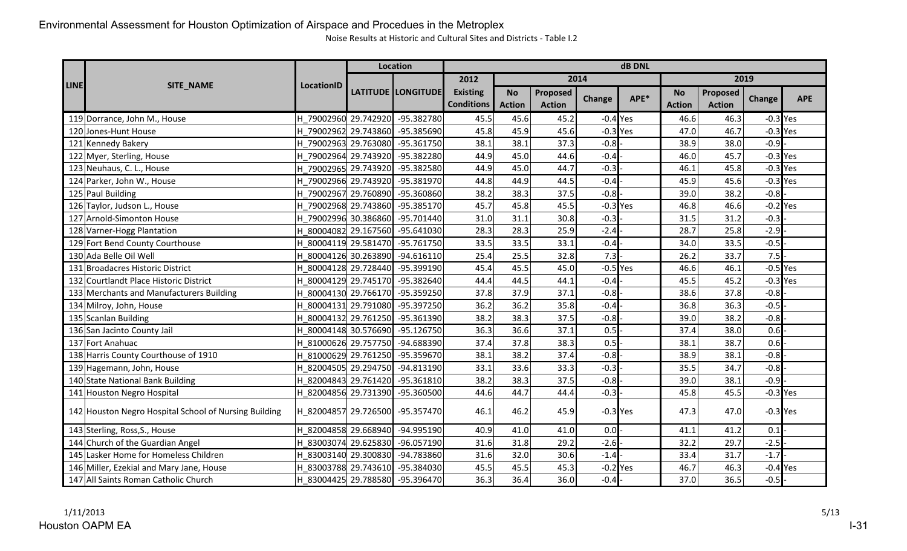|             |                                                       |                                 | Location           |                   |               |               |               | dB DNL     |               |               |            |            |
|-------------|-------------------------------------------------------|---------------------------------|--------------------|-------------------|---------------|---------------|---------------|------------|---------------|---------------|------------|------------|
| <b>LINE</b> | SITE_NAME                                             | LocationID                      |                    | 2012              |               |               | 2014          |            |               | 2019          |            |            |
|             |                                                       |                                 | LATITUDE LONGITUDE | <b>Existing</b>   | <b>No</b>     | Proposed      | <b>Change</b> | APE*       | <b>No</b>     | Proposed      | Change     | <b>APE</b> |
|             |                                                       |                                 |                    | <b>Conditions</b> | <b>Action</b> | <b>Action</b> |               |            | <b>Action</b> | <b>Action</b> |            |            |
|             | 119 Dorrance, John M., House                          | H 79002960 29.742920            | -95.382780         | 45.5              | 45.6          | 45.2          | $-0.4$ Yes    |            | 46.6          | 46.3          | $-0.3$ Yes |            |
|             | 120 Jones-Hunt House                                  | H 79002962 29.743860            | -95.385690         | 45.8              | 45.9          | 45.6          | $-0.3$ Yes    |            | 47.0          | 46.7          | $-0.3$ Yes |            |
|             | 121 Kennedy Bakery                                    | H 79002963 29.763080 -95.361750 |                    | 38.1              | 38.1          | 37.3          | $-0.8$        |            | 38.9          | 38.0          | $-0.9$     |            |
|             | 122 Myer, Sterling, House                             | H 79002964 29.743920            | -95.382280         | 44.9              | 45.0          | 44.6          | $-0.4$        |            | 46.0          | 45.7          | $-0.3$ Yes |            |
|             | 123 Neuhaus, C. L., House                             | H 79002965 29.743920            | -95.382580         | 44.9              | 45.0          | 44.7          | $-0.3$        |            | 46.1          | 45.8          | $-0.3$ Yes |            |
|             | 124 Parker, John W., House                            | H 79002966 29.743920            | -95.381970         | 44.8              | 44.9          | 44.5          | $-0.4$        |            | 45.9          | 45.6          | $-0.3$ Yes |            |
|             | 125 Paul Building                                     | H 79002967 29.760890            | -95.360860         | 38.2              | 38.3          | 37.5          | $-0.8$        |            | 39.0          | 38.2          | $-0.8$     |            |
|             | 126 Taylor, Judson L., House                          | H 79002968 29.743860            | -95.385170         | 45.7              | 45.8          | 45.5          | $-0.3$ Yes    |            | 46.8          | 46.6          | $-0.2$ Yes |            |
|             | 127 Arnold-Simonton House                             | H 79002996 30.386860 -95.701440 |                    | 31.0              | 31.1          | 30.8          | $-0.3$        |            | 31.5          | 31.2          | $-0.3$     |            |
|             | 128 Varner-Hogg Plantation                            | H 80004082 29.167560            | -95.641030         | 28.3              | 28.3          | 25.9          | $-2.4$        |            | 28.7          | 25.8          | $-2.9$     |            |
|             | 129 Fort Bend County Courthouse                       | H 80004119 29.581470            | -95.761750         | 33.5              | 33.5          | 33.1          | $-0.4$        |            | 34.0          | 33.5          | $-0.5$     |            |
|             | 130 Ada Belle Oil Well                                | H 80004126 30.263890            | $-94.616110$       | 25.4              | 25.5          | 32.8          | 7.3           |            | 26.2          | 33.7          | 7.5        |            |
|             | 131 Broadacres Historic District                      | H 80004128 29.728440            | -95.399190         | 45.4              | 45.5          | 45.0          |               | $-0.5$ Yes | 46.6          | 46.1          | $-0.5$ Yes |            |
|             | 132 Courtlandt Place Historic District                | H 80004129 29.745170            | -95.382640         | 44.4              | 44.5          | 44.1          | $-0.4$        |            | 45.5          | 45.2          | $-0.3$ Yes |            |
|             | 133 Merchants and Manufacturers Building              | H 80004130 29.766170 -95.359250 |                    | 37.8              | 37.9          | 37.1          | $-0.8$        |            | 38.6          | 37.8          | $-0.8$     |            |
|             | 134 Milroy, John, House                               | H 80004131 29.791080            | -95.397250         | 36.2              | 36.2          | 35.8          | $-0.4$        |            | 36.8          | 36.3          | $-0.5$     |            |
|             | 135 Scanlan Building                                  | H 80004132 29.761250            | -95.361390         | 38.2              | 38.3          | 37.5          | $-0.8$        |            | 39.0          | 38.2          | $-0.8$     |            |
|             | 136 San Jacinto County Jail                           | H 80004148 30.576690 -95.126750 |                    | 36.3              | 36.6          | 37.1          | 0.5           |            | 37.4          | 38.0          | 0.6        |            |
|             | 137 Fort Anahuac                                      | H 81000626 29.757750            | -94.688390         | 37.4              | 37.8          | 38.3          | 0.5           |            | 38.1          | 38.7          | 0.6        |            |
|             | 138 Harris County Courthouse of 1910                  | H 81000629 29.761250            | -95.359670         | 38.1              | 38.2          | 37.4          | $-0.8$        |            | 38.9          | 38.1          | $-0.8$     |            |
|             | 139 Hagemann, John, House                             | H 82004505 29.294750 -94.813190 |                    | 33.1              | 33.6          | 33.3          | $-0.3$        |            | 35.5          | 34.7          | $-0.8$     |            |
|             | 140 State National Bank Building                      | H 82004843 29.761420            | -95.361810         | 38.2              | 38.3          | 37.5          | $-0.8$        |            | 39.0          | 38.1          | $-0.9$     |            |
|             | 141 Houston Negro Hospital                            | H 82004856 29.731390            | -95.360500         | 44.6              | 44.7          | 44.4          | $-0.3$        |            | 45.8          | 45.5          | $-0.3$ Yes |            |
|             | 142 Houston Negro Hospital School of Nursing Building | H 82004857 29.726500 -95.357470 |                    | 46.1              | 46.2          | 45.9          | $-0.3$ Yes    |            | 47.3          | 47.0          | $-0.3$ Yes |            |
|             | 143 Sterling, Ross, S., House                         | H 82004858 29.668940            | -94.995190         | 40.9              | 41.0          | 41.0          | 0.0           |            | 41.1          | 41.2          | 0.1        |            |
|             | 144 Church of the Guardian Angel                      | H 83003074 29.625830            | -96.057190         | 31.6              | 31.8          | 29.2          | $-2.6$        |            | 32.2          | 29.7          | $-2.5$     |            |
|             | 145 Lasker Home for Homeless Children                 | H 83003140 29.300830            | -94.783860         | 31.6              | 32.0          | 30.6          | $-1.4$        |            | 33.4          | 31.7          | $-1.7$     |            |
|             | 146 Miller, Ezekial and Mary Jane, House              | H 83003788 29.743610            | -95.384030         | 45.5              | 45.5          | 45.3          | $-0.2$ Yes    |            | 46.7          | 46.3          | $-0.4$ Yes |            |
|             | 147 All Saints Roman Catholic Church                  | H 83004425 29.788580 -95.396470 |                    | 36.3              | 36.4          | 36.0          | $-0.4$        |            | 37.0          | 36.5          | $-0.5$     |            |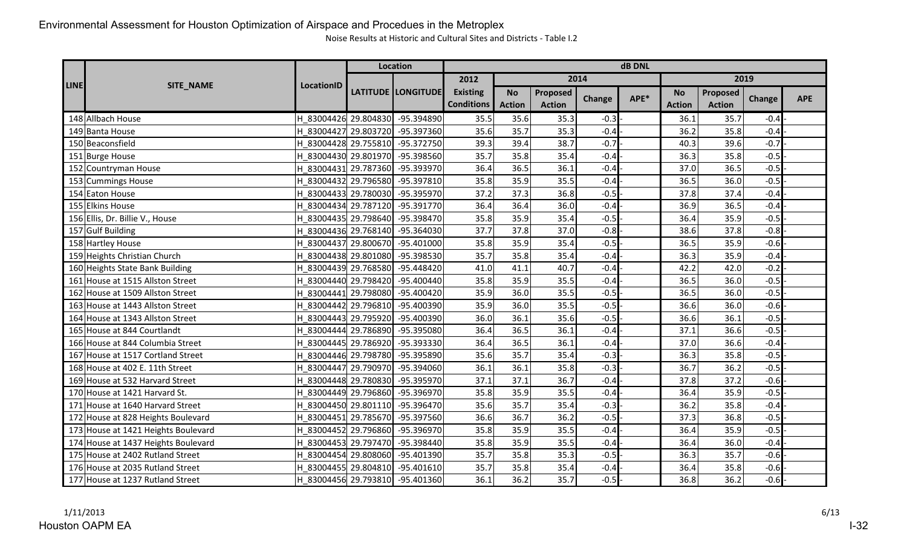|             |                                     |                                 |           | <b>Location</b>      |                                      |                            |                           |        | dB DNL |                            |                           |        |            |
|-------------|-------------------------------------|---------------------------------|-----------|----------------------|--------------------------------------|----------------------------|---------------------------|--------|--------|----------------------------|---------------------------|--------|------------|
| <b>LINE</b> | SITE_NAME                           | LocationID                      |           |                      | 2012                                 |                            |                           | 2014   |        |                            | 2019                      |        |            |
|             |                                     |                                 |           | LATITUDE LONGITUDE   | <b>Existing</b><br><b>Conditions</b> | <b>No</b><br><b>Action</b> | Proposed<br><b>Action</b> | Change | APE*   | <b>No</b><br><b>Action</b> | Proposed<br><b>Action</b> | Change | <b>APE</b> |
|             | 148 Allbach House                   | H 83004426                      |           | 29.804830 -95.394890 | 35.5                                 | 35.6                       | 35.3                      | $-0.3$ |        | 36.1                       | 35.7                      | $-0.4$ |            |
|             | 149 Banta House                     | H 83004427                      | 29.803720 | -95.397360           | 35.6                                 | 35.7                       | 35.3                      | $-0.4$ |        | 36.2                       | 35.8                      | $-0.4$ |            |
|             | 150 Beaconsfield                    | H 83004428 29.755810            |           | -95.372750           | 39.3                                 | 39.4                       | 38.7                      | $-0.7$ |        | 40.3                       | 39.6                      | $-0.7$ |            |
|             | 151 Burge House                     | H 83004430                      | 29.801970 | -95.398560           | 35.7                                 | 35.8                       | 35.4                      | $-0.4$ |        | 36.3                       | 35.8                      | $-0.5$ |            |
|             | 152 Countryman House                | H 83004431 29.787360 -95.393970 |           |                      | 36.4                                 | 36.5                       | 36.1                      | $-0.4$ |        | 37.0                       | 36.5                      | $-0.5$ |            |
|             | 153 Cummings House                  | H 83004432 29.796580            |           | -95.397810           | 35.8                                 | 35.9                       | 35.5                      | $-0.4$ |        | 36.5                       | 36.0                      | $-0.5$ |            |
|             | 154 Eaton House                     | H 83004433                      | 29.780030 | -95.395970           | 37.2                                 | 37.3                       | 36.8                      | $-0.5$ |        | 37.8                       | 37.4                      | $-0.4$ |            |
|             | 155 Elkins House                    | H 83004434 29.787120 -95.391770 |           |                      | 36.4                                 | 36.4                       | 36.0                      | $-0.4$ |        | 36.9                       | 36.5                      | $-0.4$ |            |
|             | 156 Ellis, Dr. Billie V., House     | H 83004435 29.798640            |           | -95.398470           | 35.8                                 | 35.9                       | 35.4                      | $-0.5$ |        | 36.4                       | 35.9                      | $-0.5$ |            |
|             | 157 Gulf Building                   | H 83004436 29.768140            |           | -95.364030           | 37.7                                 | 37.8                       | 37.0                      | $-0.8$ |        | 38.6                       | 37.8                      | $-0.8$ |            |
|             | 158 Hartley House                   | H 83004437                      | 29.800670 | -95.401000           | 35.8                                 | 35.9                       | 35.4                      | $-0.5$ |        | 36.5                       | 35.9                      | $-0.6$ |            |
|             | 159 Heights Christian Church        | H 83004438 29.801080            |           | -95.398530           | 35.7                                 | 35.8                       | 35.4                      | $-0.4$ |        | 36.3                       | 35.9                      | $-0.4$ |            |
|             | 160 Heights State Bank Building     | H 83004439                      | 29.768580 | $-95.448420$         | 41.0                                 | 41.1                       | 40.7                      | $-0.4$ |        | 42.2                       | 42.0                      | $-0.2$ |            |
|             | 161 House at 1515 Allston Street    | H 83004440 29.798420            |           | -95.400440           | 35.8                                 | 35.9                       | 35.5                      | $-0.4$ |        | 36.5                       | 36.0                      | $-0.5$ |            |
|             | 162 House at 1509 Allston Street    | H 83004441 29.798080            |           | -95.400420           | 35.9                                 | 36.0                       | 35.5                      | $-0.5$ |        | 36.5                       | 36.0                      | $-0.5$ |            |
|             | 163 House at 1443 Allston Street    | H 83004442 29.796810            |           | -95.400390           | 35.9                                 | 36.0                       | 35.5                      | $-0.5$ |        | 36.6                       | 36.0                      | $-0.6$ |            |
|             | 164 House at 1343 Allston Street    | H 83004443 29.795920            |           | -95.400390           | 36.0                                 | 36.1                       | 35.6                      | $-0.5$ |        | 36.6                       | 36.1                      | $-0.5$ |            |
|             | 165 House at 844 Courtlandt         | H 83004444                      |           | 29.786890 -95.395080 | 36.4                                 | 36.5                       | 36.1                      | $-0.4$ |        | 37.1                       | 36.6                      | $-0.5$ |            |
|             | 166 House at 844 Columbia Street    | H 83004445                      | 29.786920 | -95.393330           | 36.4                                 | 36.5                       | 36.1                      | $-0.4$ |        | 37.0                       | 36.6                      | $-0.4$ |            |
|             | 167 House at 1517 Cortland Street   | H 83004446 29.798780 -95.395890 |           |                      | 35.6                                 | 35.7                       | 35.4                      | $-0.3$ |        | 36.3                       | 35.8                      | $-0.5$ |            |
|             | 168 House at 402 E. 11th Street     | H 83004447 29.790970            |           | -95.394060           | 36.1                                 | 36.1                       | 35.8                      | $-0.3$ |        | 36.7                       | 36.2                      | $-0.5$ |            |
|             | 169 House at 532 Harvard Street     | H 83004448 29.780830            |           | -95.395970           | 37.1                                 | 37.1                       | 36.7                      | $-0.4$ |        | 37.8                       | 37.2                      | $-0.6$ |            |
|             | 170 House at 1421 Harvard St.       | H 83004449 29.796860            |           | -95.396970           | 35.8                                 | 35.9                       | 35.5                      | $-0.4$ |        | 36.4                       | 35.9                      | $-0.5$ |            |
| 171         | House at 1640 Harvard Street        | H 83004450 29.801110            |           | -95.396470           | 35.6                                 | 35.7                       | 35.4                      | $-0.3$ |        | 36.2                       | 35.8                      | $-0.4$ |            |
|             | 172 House at 828 Heights Boulevard  | H 83004451                      | 29.785670 | -95.397560           | 36.6                                 | 36.7                       | 36.2                      | $-0.5$ |        | 37.3                       | 36.8                      | $-0.5$ |            |
|             | 173 House at 1421 Heights Boulevard | H 83004452                      |           | 29.796860 -95.396970 | 35.8                                 | 35.9                       | 35.5                      | $-0.4$ |        | 36.4                       | 35.9                      | $-0.5$ |            |
|             | 174 House at 1437 Heights Boulevard | H 83004453 29.797470            |           | -95.398440           | 35.8                                 | 35.9                       | 35.5                      | $-0.4$ |        | 36.4                       | 36.0                      | $-0.4$ |            |
|             | 175 House at 2402 Rutland Street    | H 83004454                      | 29.808060 | -95.401390           | 35.7                                 | 35.8                       | 35.3                      | $-0.5$ |        | 36.3                       | 35.7                      | $-0.6$ |            |
|             | 176 House at 2035 Rutland Street    | H 83004455 29.804810 -95.401610 |           |                      | 35.7                                 | 35.8                       | 35.4                      | $-0.4$ |        | 36.4                       | 35.8                      | $-0.6$ |            |
|             | 177 House at 1237 Rutland Street    | H 83004456 29.793810 -95.401360 |           |                      | 36.1                                 | 36.2                       | 35.7                      | $-0.5$ |        | 36.8                       | 36.2                      | $-0.6$ |            |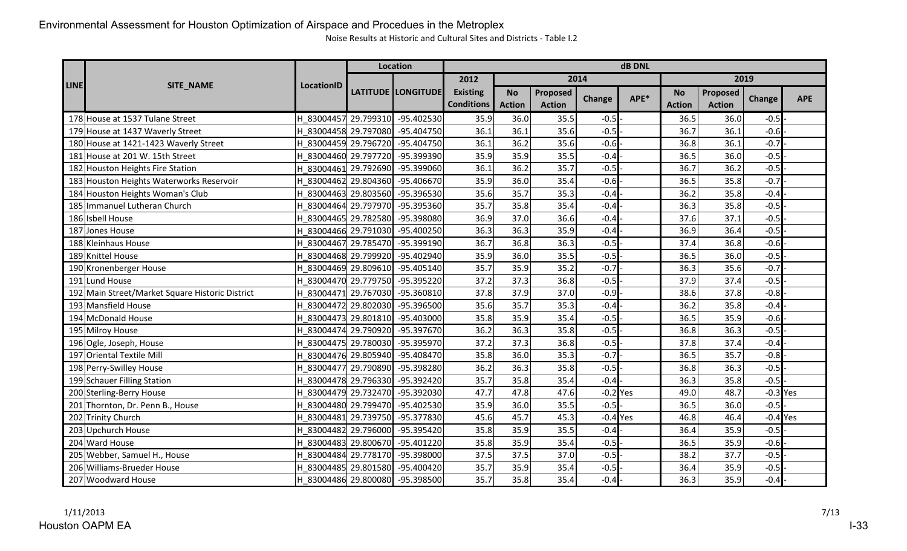|             |                                                 |                                 | Location           |                                      |                            |                           |            | <b>dB DNL</b> |                            |                           |               |            |
|-------------|-------------------------------------------------|---------------------------------|--------------------|--------------------------------------|----------------------------|---------------------------|------------|---------------|----------------------------|---------------------------|---------------|------------|
| <b>LINE</b> |                                                 | LocationID                      |                    | 2012                                 |                            |                           | 2014       |               |                            | 2019                      |               |            |
|             | SITE_NAME                                       |                                 | LATITUDE LONGITUDE | <b>Existing</b><br><b>Conditions</b> | <b>No</b><br><b>Action</b> | Proposed<br><b>Action</b> | Change     | APE*          | <b>No</b><br><b>Action</b> | Proposed<br><b>Action</b> | <b>Change</b> | <b>APE</b> |
|             | 178 House at 1537 Tulane Street                 | H 83004457 29.799310 -95.402530 |                    | 35.9                                 | 36.0                       | 35.5                      | $-0.5$     |               | 36.5                       | 36.0                      | $-0.5$        |            |
|             | 179 House at 1437 Waverly Street                | H 83004458 29.797080 -95.404750 |                    | 36.1                                 | 36.1                       | 35.6                      | $-0.5$     |               | 36.7                       | 36.1                      | $-0.6$        |            |
|             | 180 House at 1421-1423 Waverly Street           | H 83004459 29.796720            | -95.404750         | 36.1                                 | 36.2                       | 35.6                      | $-0.6$     |               | 36.8                       | 36.1                      | $-0.7$        |            |
|             | 181 House at 201 W. 15th Street                 | H 83004460 29.797720            | -95.399390         | 35.9                                 | 35.9                       | 35.5                      | $-0.4$     |               | 36.5                       | 36.0                      | $-0.5$        |            |
|             | 182 Houston Heights Fire Station                | H 83004461 29.792690            | -95.399060         | 36.1                                 | 36.2                       | 35.7                      | $-0.5$     |               | 36.7                       | 36.2                      | $-0.5$        |            |
|             | 183 Houston Heights Waterworks Reservoir        | H 83004462 29.804360            | -95.406670         | 35.9                                 | 36.0                       | 35.4                      | $-0.6$     |               | 36.5                       | 35.8                      | $-0.7$        |            |
|             | 184 Houston Heights Woman's Club                | H 83004463 29.803560            | -95.396530         | 35.6                                 | 35.7                       | 35.3                      | $-0.4$     |               | 36.2                       | 35.8                      | $-0.4$        |            |
|             | 185 Immanuel Lutheran Church                    | H 83004464 29.797970            | -95.395360         | 35.7                                 | 35.8                       | 35.4                      | $-0.4$     |               | 36.3                       | 35.8                      | $-0.5$        |            |
|             | 186 Isbell House                                | H 83004465 29.782580            | -95.398080         | 36.9                                 | 37.0                       | 36.6                      | $-0.4$     |               | 37.6                       | 37.1                      | $-0.5$        |            |
|             | 187 Jones House                                 | H 83004466 29.791030            | -95.400250         | 36.3                                 | 36.3                       | 35.9                      | $-0.4$     |               | 36.9                       | 36.4                      | $-0.5$        |            |
|             | 188 Kleinhaus House                             | H 83004467 29.785470            | -95.399190         | 36.7                                 | 36.8                       | 36.3                      | $-0.5$     |               | 37.4                       | 36.8                      | $-0.6$        |            |
|             | 189 Knittel House                               | H 83004468 29.799920            | -95.402940         | 35.9                                 | 36.0                       | 35.5                      | $-0.5$     |               | 36.5                       | 36.0                      | $-0.5$        |            |
|             | 190 Kronenberger House                          | H 83004469 29.809610            | -95.405140         | 35.7                                 | 35.9                       | 35.2                      | $-0.7$     |               | 36.3                       | 35.6                      | $-0.7$        |            |
|             | 191 Lund House                                  | H 83004470 29.779750            | -95.395220         | 37.2                                 | 37.3                       | 36.8                      | $-0.5$     |               | 37.9                       | 37.4                      | $-0.5$        |            |
|             | 192 Main Street/Market Square Historic District | H 83004471 29.767030            | -95.360810         | 37.8                                 | 37.9                       | 37.0                      | $-0.9$     |               | 38.6                       | 37.8                      | $-0.8$        |            |
|             | 193 Mansfield House                             | H 83004472 29.802030            | -95.396500         | 35.6                                 | 35.7                       | 35.3                      | $-0.4$     |               | 36.2                       | 35.8                      | $-0.4$        |            |
|             | 194 McDonald House                              | H 83004473 29.801810            | -95.403000         | 35.8                                 | 35.9                       | 35.4                      | $-0.5$     |               | 36.5                       | 35.9                      | $-0.6$        |            |
|             | 195 Milroy House                                | H 83004474 29.790920            | -95.397670         | 36.2                                 | 36.3                       | 35.8                      | $-0.5$     |               | 36.8                       | 36.3                      | $-0.5$        |            |
|             | 196 Ogle, Joseph, House                         | H 83004475 29.780030            | -95.395970         | 37.2                                 | 37.3                       | 36.8                      | $-0.5$     |               | 37.8                       | 37.4                      | $-0.4$        |            |
|             | 197 Oriental Textile Mill                       | H 83004476 29.805940            | -95.408470         | 35.8                                 | 36.0                       | 35.3                      | $-0.7$     |               | 36.5                       | 35.7                      | $-0.8$        |            |
|             | 198 Perry-Swilley House                         | H 83004477 29.790890            | -95.398280         | 36.2                                 | 36.3                       | 35.8                      | $-0.5$     |               | 36.8                       | 36.3                      | $-0.5$        |            |
|             | 199 Schauer Filling Station                     | H 83004478 29.796330            | -95.392420         | 35.7                                 | 35.8                       | 35.4                      | $-0.4$     |               | 36.3                       | 35.8                      | $-0.5$        |            |
|             | 200 Sterling-Berry House                        | H 83004479 29.732470            | -95.392030         | 47.7                                 | 47.8                       | 47.6                      | $-0.2$ Yes |               | 49.0                       | 48.7                      | $-0.3$ Yes    |            |
|             | 201 Thornton, Dr. Penn B., House                | H 83004480 29.799470            | -95.402530         | 35.9                                 | 36.0                       | 35.5                      | $-0.5$     |               | 36.5                       | 36.0                      | $-0.5$        |            |
|             | 202 Trinity Church                              | H 83004481 29.739750            | -95.377830         | 45.6                                 | 45.7                       | 45.3                      | $-0.4$ Yes |               | 46.8                       | 46.4                      | $-0.4$ Yes    |            |
|             | 203 Upchurch House                              | H 83004482 29.796000            | -95.395420         | 35.8                                 | 35.9                       | 35.5                      | $-0.4$     |               | 36.4                       | 35.9                      | $-0.5$        |            |
|             | 204 Ward House                                  | H 83004483 29.800670 -95.401220 |                    | 35.8                                 | 35.9                       | 35.4                      | $-0.5$     |               | 36.5                       | 35.9                      | $-0.6$        |            |
|             | 205 Webber, Samuel H., House                    | H 83004484 29.778170            | -95.398000         | 37.5                                 | 37.5                       | 37.0                      | $-0.5$     |               | 38.2                       | 37.7                      | $-0.5$        |            |
|             | 206 Williams-Brueder House                      | H 83004485 29.801580            | -95.400420         | 35.7                                 | 35.9                       | 35.4                      | $-0.5$     |               | 36.4                       | 35.9                      | $-0.5$        |            |
|             | 207 Woodward House                              | H 83004486 29.800080 -95.398500 |                    | 35.7                                 | 35.8                       | 35.4                      | $-0.4$     |               | 36.3                       | 35.9                      | $-0.4$        |            |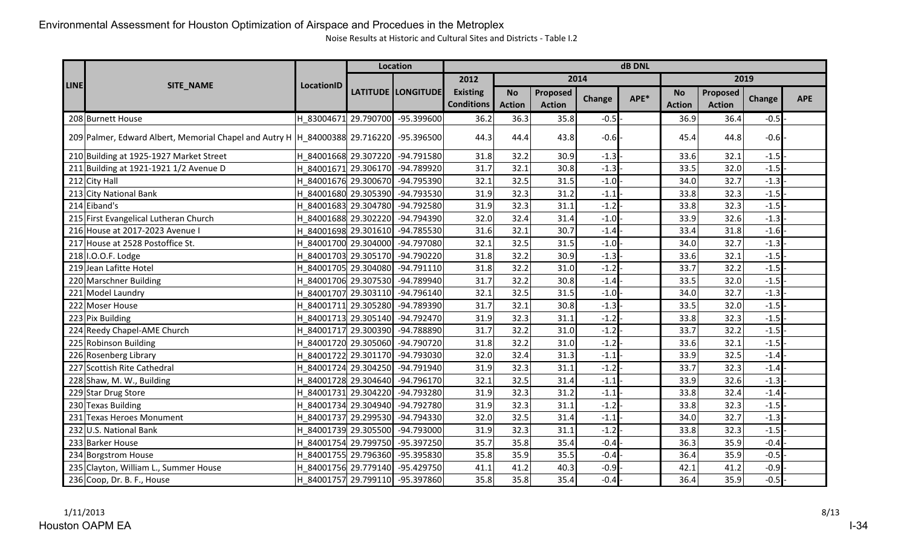|             |                                                                              |                                 | Location                        |                                      |                            |                           |        | dB DNL |                            |                           |               |            |
|-------------|------------------------------------------------------------------------------|---------------------------------|---------------------------------|--------------------------------------|----------------------------|---------------------------|--------|--------|----------------------------|---------------------------|---------------|------------|
| <b>LINE</b> | SITE_NAME                                                                    | LocationID                      |                                 | 2012                                 |                            |                           | 2014   |        |                            | 2019                      |               |            |
|             |                                                                              |                                 | LATITUDE LONGITUDE              | <b>Existing</b><br><b>Conditions</b> | <b>No</b><br><b>Action</b> | Proposed<br><b>Action</b> | Change | APE*   | <b>No</b><br><b>Action</b> | Proposed<br><b>Action</b> | <b>Change</b> | <b>APE</b> |
|             | 208 Burnett House                                                            | H 83004671 29.790700            | -95.399600                      | 36.2                                 | 36.3                       | 35.8                      | $-0.5$ |        | 36.9                       | 36.4                      | $-0.5$        |            |
|             | 209 Palmer, Edward Albert, Memorial Chapel and Autry H  H_84000388 29.716220 |                                 | -95.396500                      | 44.3                                 | 44.4                       | 43.8                      | $-0.6$ |        | 45.4                       | 44.8                      | $-0.6$        |            |
|             | 210 Building at 1925-1927 Market Street                                      | H 84001668 29.307220 -94.791580 |                                 | 31.8                                 | 32.2                       | 30.9                      | $-1.3$ |        | 33.6                       | 32.1                      | $-1.5$        |            |
|             | 211 Building at 1921-1921 1/2 Avenue D                                       | H 84001671 29.306170 -94.789920 |                                 | 31.7                                 | 32.1                       | 30.8                      | $-1.3$ |        | 33.5                       | 32.0                      | $-1.5$        |            |
|             | 212 City Hall                                                                | H 84001676 29.300670 -94.795390 |                                 | 32.1                                 | 32.5                       | 31.5                      | $-1.0$ |        | 34.0                       | 32.7                      | $-1.3$        |            |
|             | 213 City National Bank                                                       |                                 | H 84001680 29.305390 -94.793530 | 31.9                                 | 32.3                       | 31.2                      | $-1.1$ |        | 33.8                       | 32.3                      | $-1.5$        |            |
|             | 214 Eiband's                                                                 |                                 | H 84001683 29.304780 -94.792580 | 31.9                                 | 32.3                       | 31.1                      | $-1.2$ |        | 33.8                       | 32.3                      | $-1.5$        |            |
|             | 215 First Evangelical Lutheran Church                                        | H 84001688 29.302220 -94.794390 |                                 | 32.0                                 | 32.4                       | 31.4                      | $-1.0$ |        | 33.9                       | 32.6                      | $-1.3$        |            |
|             | 216 House at 2017-2023 Avenue I                                              |                                 | H 84001698 29.301610 -94.785530 | 31.6                                 | 32.1                       | 30.7                      | $-1.4$ |        | 33.4                       | 31.8                      | $-1.6$        |            |
|             | 217 House at 2528 Postoffice St.                                             | H 84001700 29.304000            | -94.797080                      | 32.1                                 | 32.5                       | 31.5                      | $-1.0$ |        | 34.0                       | 32.7                      | $-1.3$        |            |
|             | 218 I.O.O.F. Lodge                                                           | H 84001703 29.305170            | -94.790220                      | 31.8                                 | 32.2                       | 30.9                      | $-1.3$ |        | 33.6                       | 32.1                      | $-1.5$        |            |
|             | 219 Jean Lafitte Hotel                                                       | H 84001705 29.304080            | -94.791110                      | 31.8                                 | 32.2                       | 31.0                      | $-1.2$ |        | 33.7                       | 32.2                      | $-1.5$        |            |
|             | 220 Marschner Building                                                       |                                 | H 84001706 29.307530 -94.789940 | 31.7                                 | 32.2                       | 30.8                      | $-1.4$ |        | 33.5                       | 32.0                      | $-1.5$        |            |
|             | 221 Model Laundry                                                            | H 84001707 29.303110 -94.796140 |                                 | 32.1                                 | 32.5                       | 31.5                      | $-1.0$ |        | 34.0                       | 32.7                      | $-1.3$        |            |
|             | 222 Moser House                                                              | H 84001711 29.305280            | -94.789390                      | 31.7                                 | 32.1                       | 30.8                      | $-1.3$ |        | 33.5                       | 32.0                      | $-1.5$        |            |
|             | 223 Pix Building                                                             |                                 | H 84001713 29.305140 -94.792470 | 31.9                                 | 32.3                       | 31.1                      | $-1.2$ |        | 33.8                       | 32.3                      | $-1.5$        |            |
|             | 224 Reedy Chapel-AME Church                                                  | H 84001717 29.300390 -94.788890 |                                 | 31.7                                 | 32.2                       | 31.0                      | $-1.2$ |        | 33.7                       | 32.2                      | $-1.5$        |            |
|             | 225 Robinson Building                                                        |                                 | H 84001720 29.305060 -94.790720 | 31.8                                 | 32.2                       | 31.0                      | $-1.2$ |        | 33.6                       | 32.1                      | $-1.5$        |            |
|             | 226 Rosenberg Library                                                        |                                 | H 84001722 29.301170 -94.793030 | 32.0                                 | 32.4                       | 31.3                      | $-1.1$ |        | 33.9                       | 32.5                      | $-1.4$        |            |
|             | 227 Scottish Rite Cathedral                                                  | H 84001724 29.304250 -94.791940 |                                 | 31.9                                 | 32.3                       | 31.1                      | $-1.2$ |        | 33.7                       | 32.3                      | $-1.4$        |            |
|             | 228 Shaw, M. W., Building                                                    | H 84001728 29.304640            | -94.796170                      | 32.1                                 | 32.5                       | 31.4                      | $-1.1$ |        | 33.9                       | 32.6                      | $-1.3$        |            |
|             | 229 Star Drug Store                                                          | H 84001731 29.304220            | -94.793280                      | 31.9                                 | 32.3                       | 31.2                      | $-1.1$ |        | 33.8                       | 32.4                      | $-1.4$        |            |
|             | 230 Texas Building                                                           |                                 | H 84001734 29.304940 -94.792780 | 31.9                                 | 32.3                       | 31.1                      | $-1.2$ |        | 33.8                       | 32.3                      | $-1.5$        |            |
|             | 231 Texas Heroes Monument                                                    | H 84001737 29.299530            | -94.794330                      | 32.0                                 | 32.5                       | 31.4                      | $-1.1$ |        | 34.0                       | 32.7                      | $-1.3$        |            |
|             | 232 U.S. National Bank                                                       |                                 | H 84001739 29.305500 -94.793000 | 31.9                                 | 32.3                       | 31.1                      | $-1.2$ |        | 33.8                       | 32.3                      | $-1.5$        |            |
|             | 233 Barker House                                                             | H 84001754 29.799750            | -95.397250                      | 35.7                                 | 35.8                       | 35.4                      | $-0.4$ |        | 36.3                       | 35.9                      | $-0.4$        |            |
|             | 234 Borgstrom House                                                          | H 84001755 29.796360            | -95.395830                      | 35.8                                 | 35.9                       | 35.5                      | $-0.4$ |        | 36.4                       | 35.9                      | $-0.5$        |            |
|             | 235 Clayton, William L., Summer House                                        |                                 | H 84001756 29.779140 -95.429750 | 41.1                                 | 41.2                       | 40.3                      | $-0.9$ |        | 42.1                       | 41.2                      | $-0.9$        |            |
|             | 236 Coop, Dr. B. F., House                                                   |                                 | H 84001757 29.799110 -95.397860 | 35.8                                 | 35.8                       | 35.4                      | $-0.4$ |        | 36.4                       | 35.9                      | $-0.5$        |            |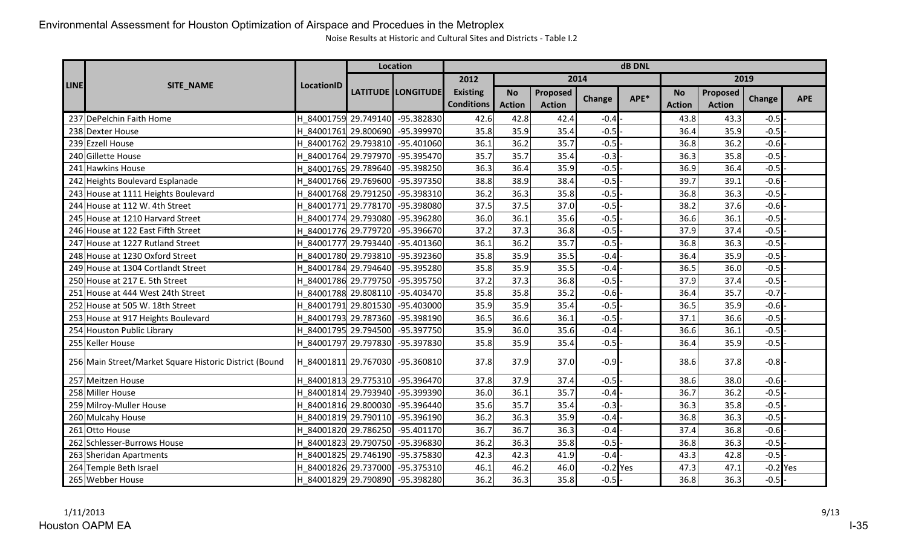|             |                                                        |                                 |           | Location             |                                      |                            |                           |            | dB DNL |                            |                           |            |            |
|-------------|--------------------------------------------------------|---------------------------------|-----------|----------------------|--------------------------------------|----------------------------|---------------------------|------------|--------|----------------------------|---------------------------|------------|------------|
| <b>LINE</b> |                                                        | LocationID                      |           |                      | 2012                                 |                            |                           | 2014       |        |                            | 2019                      |            |            |
|             | SITE_NAME                                              |                                 |           | LATITUDE LONGITUDE   | <b>Existing</b><br><b>Conditions</b> | <b>No</b><br><b>Action</b> | Proposed<br><b>Action</b> | Change     | APE*   | <b>No</b><br><b>Action</b> | Proposed<br><b>Action</b> | Change     | <b>APE</b> |
|             | 237 DePelchin Faith Home                               | H 84001759 29.749140 -95.382830 |           |                      | 42.6                                 | 42.8                       | 42.4                      | $-0.4$     |        | 43.8                       | 43.3                      | $-0.5$     |            |
|             | 238 Dexter House                                       | H 84001761 29.800690 -95.399970 |           |                      | 35.8                                 | 35.9                       | 35.4                      | $-0.5$     |        | 36.4                       | 35.9                      | $-0.5$     |            |
|             | 239 Ezzell House                                       | H 84001762 29.793810 -95.401060 |           |                      | 36.1                                 | 36.2                       | 35.7                      | $-0.5$     |        | 36.8                       | 36.2                      | $-0.6$     |            |
|             | 240 Gillette House                                     | H 84001764 29.797970            |           | -95.395470           | 35.7                                 | 35.7                       | 35.4                      | $-0.3$     |        | 36.3                       | 35.8                      | $-0.5$     |            |
|             | 241 Hawkins House                                      | H 84001765 29.789640 -95.398250 |           |                      | 36.3                                 | 36.4                       | 35.9                      | $-0.5$     |        | 36.9                       | 36.4                      | $-0.5$     |            |
|             | 242 Heights Boulevard Esplanade                        | H 84001766 29.769600 -95.397350 |           |                      | 38.8                                 | 38.9                       | 38.4                      | $-0.5$     |        | 39.7                       | 39.1                      | $-0.6$     |            |
|             | 243 House at 1111 Heights Boulevard                    | H 84001768 29.791250 -95.398310 |           |                      | 36.2                                 | 36.3                       | 35.8                      | $-0.5$     |        | 36.8                       | 36.3                      | $-0.5$     |            |
|             | 244 House at 112 W. 4th Street                         | H 84001771 29.778170 -95.398080 |           |                      | 37.5                                 | 37.5                       | 37.0                      | $-0.5$     |        | 38.2                       | 37.6                      | $-0.6$     |            |
|             | 245 House at 1210 Harvard Street                       | H 84001774 29.793080 -95.396280 |           |                      | 36.0                                 | 36.1                       | 35.6                      | $-0.5$     |        | 36.6                       | 36.1                      | $-0.5$     |            |
|             | 246 House at 122 East Fifth Street                     | H 84001776 29.779720            |           | -95.396670           | 37.2                                 | 37.3                       | 36.8                      | $-0.5$     |        | 37.9                       | 37.4                      | $-0.5$     |            |
|             | 247 House at 1227 Rutland Street                       | H 84001777 29.793440            |           | -95.401360           | 36.1                                 | 36.2                       | 35.7                      | $-0.5$     |        | 36.8                       | 36.3                      | $-0.5$     |            |
|             | 248 House at 1230 Oxford Street                        | H 84001780 29.793810            |           | -95.392360           | 35.8                                 | 35.9                       | 35.5                      | $-0.4$     |        | 36.4                       | 35.9                      | $-0.5$     |            |
|             | 249 House at 1304 Cortlandt Street                     | H 84001784 29.794640            |           | -95.395280           | 35.8                                 | 35.9                       | 35.5                      | $-0.4$     |        | 36.5                       | 36.0                      | $-0.5$     |            |
|             | 250 House at 217 E. 5th Street                         | H 84001786 29.779750 -95.395750 |           |                      | 37.2                                 | 37.3                       | 36.8                      | $-0.5$     |        | 37.9                       | 37.4                      | $-0.5$     |            |
|             | 251 House at 444 West 24th Street                      | H 84001788 29.808110 -95.403470 |           |                      | 35.8                                 | 35.8                       | 35.2                      | $-0.6$     |        | 36.4                       | 35.7                      | $-0.7$     |            |
|             | 252 House at 505 W. 18th Street                        | H 84001791 29.801530            |           | -95.403000           | 35.9                                 | 35.9                       | 35.4                      | $-0.5$     |        | 36.5                       | 35.9                      | $-0.6$     |            |
|             | 253 House at 917 Heights Boulevard                     | H 84001793 29.787360 -95.398190 |           |                      | 36.5                                 | 36.6                       | 36.1                      | $-0.5$     |        | 37.1                       | 36.6                      | $-0.5$     |            |
|             | 254 Houston Public Library                             | H 84001795 29.794500 -95.397750 |           |                      | 35.9                                 | 36.0                       | 35.6                      | $-0.4$     |        | 36.6                       | 36.1                      | $-0.5$     |            |
|             | 255 Keller House                                       | H 84001797 29.797830 -95.397830 |           |                      | 35.8                                 | 35.9                       | 35.4                      | $-0.5$     |        | 36.4                       | 35.9                      | $-0.5$     |            |
|             | 256 Main Street/Market Square Historic District (Bound | H 84001811 29.767030 -95.360810 |           |                      | 37.8                                 | 37.9                       | 37.0                      | $-0.9$ -   |        | 38.6                       | 37.8                      | $-0.8$     |            |
|             | 257 Meitzen House                                      | H 84001813 29.775310 -95.396470 |           |                      | 37.8                                 | 37.9                       | 37.4                      | $-0.5$     |        | 38.6                       | 38.0                      | $-0.6$     |            |
|             | 258 Miller House                                       | H 84001814 29.793940 -95.399390 |           |                      | 36.0                                 | 36.1                       | 35.7                      | $-0.4$     |        | 36.7                       | 36.2                      | $-0.5$     |            |
|             | 259 Milroy-Muller House                                | H 84001816                      |           | 29.800030 -95.396440 | 35.6                                 | 35.7                       | 35.4                      | $-0.3$     |        | 36.3                       | 35.8                      | $-0.5$     |            |
|             | 260 Mulcahy House                                      | H 84001819                      | 29.790110 | -95.396190           | 36.2                                 | 36.3                       | 35.9                      | $-0.4$     |        | 36.8                       | 36.3                      | $-0.5$     |            |
|             | 261 Otto House                                         | H 84001820 29.786250 -95.401170 |           |                      | 36.7                                 | 36.7                       | 36.3                      | $-0.4$     |        | 37.4                       | 36.8                      | $-0.6$     |            |
|             | 262 Schlesser-Burrows House                            | H 84001823 29.790750 -95.396830 |           |                      | 36.2                                 | 36.3                       | 35.8                      | $-0.5$     |        | 36.8                       | 36.3                      | $-0.5$     |            |
|             | 263 Sheridan Apartments                                | H 84001825 29.746190 -95.375830 |           |                      | 42.3                                 | 42.3                       | 41.9                      | $-0.4$     |        | 43.3                       | 42.8                      | $-0.5$     |            |
|             | 264 Temple Beth Israel                                 | H 84001826 29.737000 -95.375310 |           |                      | 46.1                                 | 46.2                       | 46.0                      | $-0.2$ Yes |        | 47.3                       | 47.1                      | $-0.2$ Yes |            |
|             | 265 Webber House                                       | H 84001829 29.790890 -95.398280 |           |                      | 36.2                                 | 36.3                       | 35.8                      | $-0.5$     |        | 36.8                       | 36.3                      | $-0.5$     |            |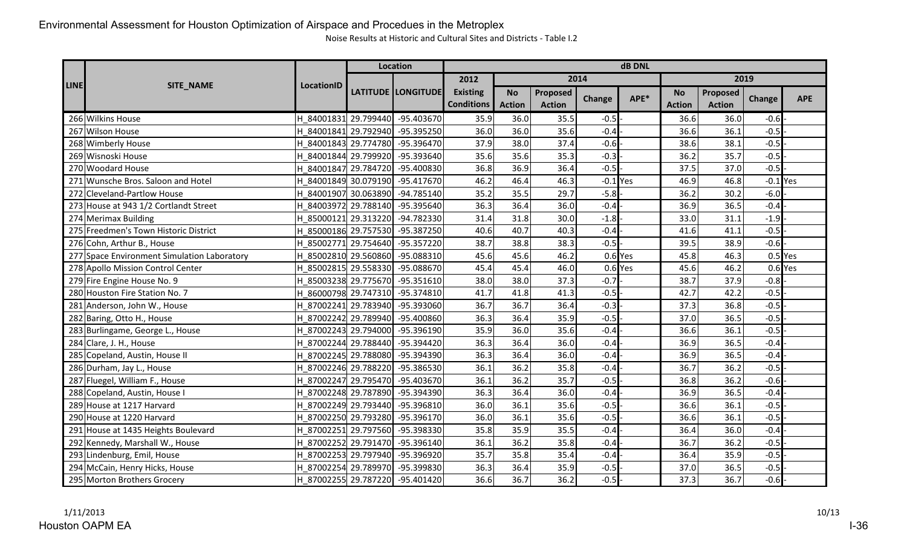|             |                                             |                                 | Location           |                                      |                            |                           |            | dB DNL    |                            |                           |            |            |
|-------------|---------------------------------------------|---------------------------------|--------------------|--------------------------------------|----------------------------|---------------------------|------------|-----------|----------------------------|---------------------------|------------|------------|
| <b>LINE</b> | SITE_NAME                                   | LocationID                      |                    | 2012                                 |                            |                           | 2014       |           |                            | 2019                      |            |            |
|             |                                             |                                 | LATITUDE LONGITUDE | <b>Existing</b><br><b>Conditions</b> | <b>No</b><br><b>Action</b> | Proposed<br><b>Action</b> | Change     | APE*      | <b>No</b><br><b>Action</b> | Proposed<br><b>Action</b> | Change     | <b>APE</b> |
|             | 266 Wilkins House                           | H 84001831 29.799440            | -95.403670         | 35.9                                 | 36.0                       | 35.5                      | $-0.5$     |           | 36.6                       | 36.0                      | $-0.6$     |            |
|             | 267 Wilson House                            | H 84001841 29.792940            | -95.395250         | 36.0                                 | 36.0                       | 35.6                      | $-0.4$     |           | 36.6                       | 36.1                      | $-0.5$     |            |
|             | 268 Wimberly House                          | H 84001843 29.774780 -95.396470 |                    | 37.9                                 | 38.0                       | 37.4                      | $-0.6$     |           | 38.6                       | 38.1                      | $-0.5$     |            |
|             | 269 Wisnoski House                          | H 84001844 29.799920            | -95.393640         | 35.6                                 | 35.6                       | 35.3                      | $-0.3$     |           | 36.2                       | 35.7                      | $-0.5$     |            |
|             | 270 Woodard House                           | H 84001847 29.784720            | -95.400830         | 36.8                                 | 36.9                       | 36.4                      | $-0.5$     |           | 37.5                       | 37.0                      | $-0.5$     |            |
|             | 271 Wunsche Bros. Saloon and Hotel          | H 84001849 30.079190 -95.417670 |                    | 46.2                                 | 46.4                       | 46.3                      | $-0.1$ Yes |           | 46.9                       | 46.8                      | $-0.1$ Yes |            |
|             | 272 Cleveland-Partlow House                 | H 84001907 30.063890            | -94.785140         | 35.2                                 | 35.5                       | 29.7                      | $-5.8$     |           | 36.2                       | 30.2                      | $-6.0$     |            |
|             | 273 House at 943 1/2 Cortlandt Street       | H 84003972 29.788140 -95.395640 |                    | 36.3                                 | 36.4                       | 36.0                      | $-0.4$     |           | 36.9                       | 36.5                      | $-0.4$     |            |
|             | 274 Merimax Building                        | H 85000121 29.313220            | -94.782330         | 31.4                                 | 31.8                       | 30.0                      | $-1.8$     |           | 33.0                       | 31.1                      | $-1.9$     |            |
|             | 275 Freedmen's Town Historic District       | H 85000186 29.757530            | -95.387250         | 40.6                                 | 40.7                       | 40.3                      | $-0.4$     |           | 41.6                       | 41.1                      | $-0.5$     |            |
|             | 276 Cohn, Arthur B., House                  | H 85002771 29.754640            | -95.357220         | 38.7                                 | 38.8                       | 38.3                      | $-0.5$     |           | 39.5                       | 38.9                      | $-0.6$     |            |
|             | 277 Space Environment Simulation Laboratory | H 85002810 29.560860            | -95.088310         | 45.6                                 | 45.6                       | 46.2                      |            | 0.6 Yes   | 45.8                       | 46.3                      | $0.5$ Yes  |            |
|             | 278 Apollo Mission Control Center           | H 85002815 29.558330            | -95.088670         | 45.4                                 | 45.4                       | 46.0                      |            | $0.6$ Yes | 45.6                       | 46.2                      |            | 0.6 Yes    |
|             | 279 Fire Engine House No. 9                 | H 85003238 29.775670            | -95.351610         | 38.0                                 | 38.0                       | 37.3                      | $-0.7$     |           | 38.7                       | 37.9                      | $-0.8$     |            |
|             | 280 Houston Fire Station No. 7              | H 86000798 29.747310            | -95.374810         | 41.7                                 | 41.8                       | 41.3                      | $-0.5$     |           | 42.7                       | 42.2                      | $-0.5$     |            |
|             | 281 Anderson, John W., House                | H 87002241 29.783940            | -95.393060         | 36.7                                 | 36.7                       | 36.4                      | $-0.3$     |           | 37.3                       | 36.8                      | $-0.5$     |            |
|             | 282 Baring, Otto H., House                  | H 87002242 29.789940            | -95.400860         | 36.3                                 | 36.4                       | 35.9                      | $-0.5$     |           | 37.0                       | 36.5                      | $-0.5$     |            |
|             | 283 Burlingame, George L., House            | H 87002243 29.794000            | -95.396190         | 35.9                                 | 36.0                       | 35.6                      | $-0.4$     |           | 36.6                       | 36.1                      | $-0.5$     |            |
|             | 284 Clare, J. H., House                     | H 87002244 29.788440            | -95.394420         | 36.3                                 | 36.4                       | 36.0                      | $-0.4$     |           | 36.9                       | 36.5                      | $-0.4$     |            |
|             | 285 Copeland, Austin, House II              | H 87002245 29.788080 -95.394390 |                    | 36.3                                 | 36.4                       | 36.0                      | $-0.4$     |           | 36.9                       | 36.5                      | $-0.4$     |            |
|             | 286 Durham, Jay L., House                   | H 87002246 29.788220            | -95.386530         | 36.1                                 | 36.2                       | 35.8                      | $-0.4$     |           | 36.7                       | 36.2                      | $-0.5$     |            |
|             | 287 Fluegel, William F., House              | H 87002247 29.795470            | -95.403670         | 36.1                                 | 36.2                       | 35.7                      | $-0.5$     |           | 36.8                       | 36.2                      | $-0.6$     |            |
|             | 288 Copeland, Austin, House I               | H 87002248 29.787890            | -95.394390         | 36.3                                 | 36.4                       | 36.0                      | $-0.4$     |           | 36.9                       | 36.5                      | $-0.4$     |            |
|             | 289 House at 1217 Harvard                   | H 87002249 29.793440            | -95.396810         | 36.0                                 | 36.1                       | 35.6                      | $-0.5$     |           | 36.6                       | 36.1                      | $-0.5$     |            |
|             | 290 House at 1220 Harvard                   | H 87002250 29.793280            | -95.396170         | 36.0                                 | 36.1                       | 35.6                      | $-0.5$     |           | 36.6                       | 36.1                      | $-0.5$     |            |
|             | 291 House at 1435 Heights Boulevard         | H 87002251 29.797560 -95.398330 |                    | 35.8                                 | 35.9                       | 35.5                      | $-0.4$     |           | 36.4                       | 36.0                      | $-0.4$     |            |
|             | 292 Kennedy, Marshall W., House             | H 87002252 29.791470            | -95.396140         | 36.1                                 | 36.2                       | 35.8                      | $-0.4$     |           | 36.7                       | 36.2                      | $-0.5$     |            |
|             | 293 Lindenburg, Emil, House                 | H 87002253 29.797940            | -95.396920         | 35.7                                 | 35.8                       | 35.4                      | $-0.4$     |           | 36.4                       | 35.9                      | $-0.5$     |            |
|             | 294 McCain, Henry Hicks, House              | H 87002254 29.789970            | -95.399830         | 36.3                                 | 36.4                       | 35.9                      | $-0.5$     |           | 37.0                       | 36.5                      | $-0.5$     |            |
|             | 295 Morton Brothers Grocery                 | H 87002255 29.787220 -95.401420 |                    | 36.6                                 | 36.7                       | 36.2                      | $-0.5$     |           | 37.3                       | 36.7                      | $-0.6$     |            |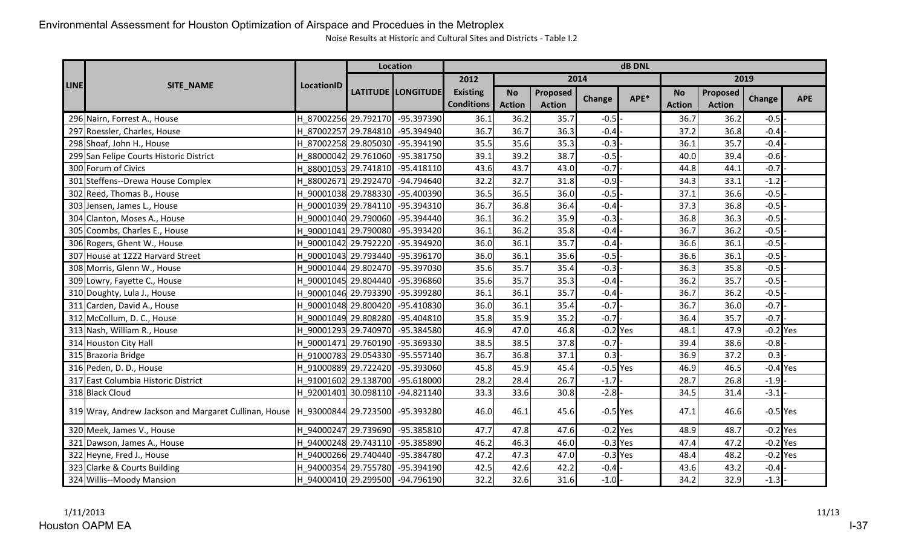|             |                                                                                          |                                 | Location           |                                      |                            |                           |               | dB DNL |                            |                           |               |            |
|-------------|------------------------------------------------------------------------------------------|---------------------------------|--------------------|--------------------------------------|----------------------------|---------------------------|---------------|--------|----------------------------|---------------------------|---------------|------------|
| <b>LINE</b> | SITE_NAME                                                                                | LocationID                      |                    | 2012                                 |                            |                           | 2014          |        |                            | 2019                      |               |            |
|             |                                                                                          |                                 | LATITUDE LONGITUDE | <b>Existing</b><br><b>Conditions</b> | <b>No</b><br><b>Action</b> | Proposed<br><b>Action</b> | <b>Change</b> | APE*   | <b>No</b><br><b>Action</b> | Proposed<br><b>Action</b> | <b>Change</b> | <b>APE</b> |
|             | 296 Nairn, Forrest A., House                                                             | H 87002256 29.792170 -95.397390 |                    | 36.1                                 | 36.2                       | 35.7                      | $-0.5$        |        | 36.7                       | 36.2                      | $-0.5$        |            |
|             | 297 Roessler, Charles, House                                                             | H 87002257 29.784810 -95.394940 |                    | 36.7                                 | 36.7                       | 36.3                      | $-0.4$        |        | 37.2                       | 36.8                      | $-0.4$        |            |
|             | 298 Shoaf, John H., House                                                                | H 87002258 29.805030 -95.394190 |                    | 35.5                                 | 35.6                       | 35.3                      | $-0.3$        |        | 36.1                       | 35.7                      | $-0.4$        |            |
|             | 299 San Felipe Courts Historic District                                                  | H 88000042 29.761060 -95.381750 |                    | 39.1                                 | 39.2                       | 38.7                      | $-0.5$        |        | 40.0                       | 39.4                      | $-0.6$        |            |
|             | 300 Forum of Civics                                                                      | H 88001053 29.741810 -95.418110 |                    | 43.6                                 | 43.7                       | 43.0                      | $-0.7$        |        | 44.8                       | 44.1                      | $-0.7$        |            |
|             | 301 Steffens--Drewa House Complex                                                        | H 88002671 29.292470 -94.794640 |                    | 32.2                                 | 32.7                       | 31.8                      | $-0.9$        |        | 34.3                       | 33.1                      | $-1.2$        |            |
|             | 302 Reed, Thomas B., House                                                               | H 90001038 29.788330 -95.400390 |                    | 36.5                                 | 36.5                       | 36.0                      | $-0.5$        |        | 37.1                       | 36.6                      | $-0.5$        |            |
|             | 303 Jensen, James L., House                                                              | H 90001039 29.784110 -95.394310 |                    | 36.7                                 | 36.8                       | 36.4                      | $-0.4$        |        | 37.3                       | 36.8                      | $-0.5$        |            |
|             | 304 Clanton, Moses A., House                                                             | H 90001040 29.790060 -95.394440 |                    | 36.1                                 | 36.2                       | 35.9                      | $-0.3$        |        | 36.8                       | 36.3                      | $-0.5$        |            |
|             | 305 Coombs, Charles E., House                                                            | H 90001041 29.790080 -95.393420 |                    | 36.1                                 | 36.2                       | 35.8                      | $-0.4$        |        | 36.7                       | 36.2                      | $-0.5$        |            |
|             | 306 Rogers, Ghent W., House                                                              | H 90001042 29.792220 -95.394920 |                    | 36.0                                 | 36.1                       | 35.7                      | $-0.4$        |        | 36.6                       | 36.1                      | $-0.5$        |            |
|             | 307 House at 1222 Harvard Street                                                         | H 90001043 29.793440 -95.396170 |                    | 36.0                                 | 36.1                       | 35.6                      | $-0.5$        |        | 36.6                       | 36.1                      | $-0.5$        |            |
|             | 308 Morris, Glenn W., House                                                              | H 90001044 29.802470            | -95.397030         | 35.6                                 | 35.7                       | 35.4                      | $-0.3$        |        | 36.3                       | 35.8                      | $-0.5$        |            |
|             | 309 Lowry, Fayette C., House                                                             | H 90001045 29.804440 -95.396860 |                    | 35.6                                 | 35.7                       | 35.3                      | $-0.4$        |        | 36.2                       | 35.7                      | $-0.5$        |            |
|             | 310 Doughty, Lula J., House                                                              | H 90001046 29.793390 -95.399280 |                    | 36.1                                 | 36.1                       | 35.7                      | $-0.4$        |        | 36.7                       | 36.2                      | $-0.5$        |            |
|             | 311 Carden, David A., House                                                              | H 90001048 29.800420            | -95.410830         | 36.0                                 | 36.1                       | 35.4                      | $-0.7$        |        | 36.7                       | 36.0                      | $-0.7$        |            |
|             | 312 McCollum, D. C., House                                                               | H 90001049 29.808280 -95.404810 |                    | 35.8                                 | 35.9                       | 35.2                      | $-0.7$        |        | 36.4                       | 35.7                      | $-0.7$        |            |
|             | 313 Nash, William R., House                                                              | H 90001293 29.740970 -95.384580 |                    | 46.9                                 | 47.0                       | 46.8                      | $-0.2$ Yes    |        | 48.1                       | 47.9                      | $-0.2$ Yes    |            |
|             | 314 Houston City Hall                                                                    | H 90001471 29.760190 -95.369330 |                    | 38.5                                 | 38.5                       | 37.8                      | $-0.7$        |        | 39.4                       | 38.6                      | $-0.8$        |            |
|             | 315 Brazoria Bridge                                                                      | H 91000783 29.054330 -95.557140 |                    | 36.7                                 | 36.8                       | 37.1                      | 0.3           |        | 36.9                       | 37.2                      | 0.3           |            |
|             | 316 Peden, D. D., House                                                                  | H 91000889 29.722420 -95.393060 |                    | 45.8                                 | 45.9                       | 45.4                      | $-0.5$ Yes    |        | 46.9                       | 46.5                      | $-0.4$ Yes    |            |
|             | 317 East Columbia Historic District                                                      | H 91001602 29.138700            | -95.618000         | 28.2                                 | 28.4                       | 26.7                      | $-1.7$        |        | 28.7                       | 26.8                      | $-1.9$        |            |
|             | 318 Black Cloud                                                                          | H 92001401 30.098110            | -94.821140         | 33.3                                 | 33.6                       | 30.8                      | $-2.8$        |        | 34.5                       | 31.4                      | $-3.1$        |            |
|             | 319 Wray, Andrew Jackson and Margaret Cullinan, House   H 93000844 29.723500 - 95.393280 |                                 |                    | 46.0                                 | 46.1                       | 45.6                      | $-0.5$ Yes    |        | 47.1                       | 46.6                      | $-0.5$ Yes    |            |
|             | 320 Meek, James V., House                                                                | H 94000247 29.739690 -95.385810 |                    | 47.7                                 | 47.8                       | 47.6                      | $-0.2$ Yes    |        | 48.9                       | 48.7                      | $-0.2$ Yes    |            |
|             | 321 Dawson, James A., House                                                              | H 94000248 29.743110 -95.385890 |                    | 46.2                                 | 46.3                       | 46.0                      | $-0.3$ Yes    |        | 47.4                       | 47.2                      | $-0.2$ Yes    |            |
|             | 322 Heyne, Fred J., House                                                                | H 94000266 29.740440 -95.384780 |                    | 47.2                                 | 47.3                       | 47.0                      | $-0.3$ Yes    |        | 48.4                       | 48.2                      | $-0.2$ Yes    |            |
|             | 323 Clarke & Courts Building                                                             | H 94000354 29.755780 -95.394190 |                    | 42.5                                 | 42.6                       | 42.2                      | $-0.4$        |        | 43.6                       | 43.2                      | $-0.4$        |            |
|             | 324 Willis--Moody Mansion                                                                | H 94000410 29.299500 -94.796190 |                    | 32.2                                 | 32.6                       | 31.6                      | $-1.0$        |        | 34.2                       | 32.9                      | $-1.3$        |            |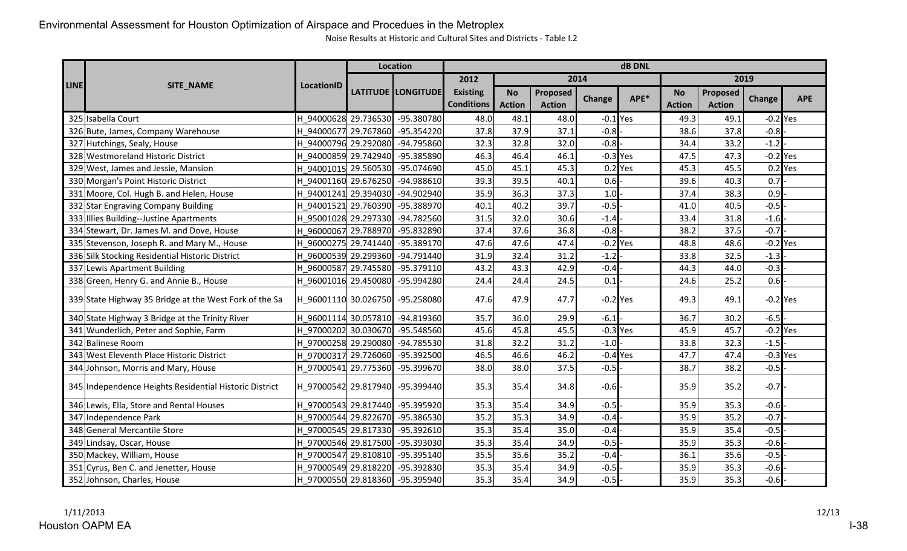|             |                                                        |                                 |           | Location           |                                      |                            |                           |            | dB DNL    |                            |                           |            |            |
|-------------|--------------------------------------------------------|---------------------------------|-----------|--------------------|--------------------------------------|----------------------------|---------------------------|------------|-----------|----------------------------|---------------------------|------------|------------|
| <b>LINE</b> | SITE_NAME                                              | LocationID                      |           |                    | 2012                                 |                            |                           | 2014       |           |                            | 2019                      |            |            |
|             |                                                        |                                 |           | LATITUDE LONGITUDE | <b>Existing</b><br><b>Conditions</b> | <b>No</b><br><b>Action</b> | Proposed<br><b>Action</b> | Change     | APE*      | <b>No</b><br><b>Action</b> | Proposed<br><b>Action</b> | Change     | <b>APE</b> |
|             | 325 Isabella Court                                     | H 94000628                      | 29.736530 | -95.380780         | 48.0                                 | 48.1                       | 48.0                      | $-0.1$ Yes |           | 49.3                       | 49.1                      | $-0.2$ Yes |            |
|             | 326 Bute, James, Company Warehouse                     | H 94000677 29.767860            |           | -95.354220         | 37.8                                 | 37.9                       | 37.1                      | $-0.8$     |           | 38.6                       | 37.8                      | $-0.8$     |            |
|             | 327 Hutchings, Sealy, House                            | H 94000796 29.292080            |           | -94.795860         | 32.3                                 | 32.8                       | 32.0                      | $-0.8$     |           | 34.4                       | 33.2                      | $-1.2$     |            |
|             | 328 Westmoreland Historic District                     | H 94000859                      | 29.742940 | -95.385890         | 46.3                                 | 46.4                       | 46.1                      | $-0.3$ Yes |           | 47.5                       | 47.3                      | $-0.2$ Yes |            |
|             | 329 West, James and Jessie, Mansion                    | H 94001015 29.560530            |           | -95.074690         | 45.0                                 | 45.1                       | 45.3                      |            | $0.2$ Yes | 45.3                       | 45.5                      | $0.2$ Yes  |            |
|             | 330 Morgan's Point Historic District                   | H 94001160                      | 29.676250 | -94.988610         | 39.3                                 | 39.5                       | 40.1                      | 0.6        |           | 39.6                       | 40.3                      | 0.7        |            |
|             | 331 Moore, Col. Hugh B. and Helen, House               | H 94001241                      | 29.394030 | -94.902940         | 35.9                                 | 36.3                       | 37.3                      | 1.0        |           | 37.4                       | 38.3                      | 0.9        |            |
|             | 332 Star Engraving Company Building                    | H 94001521 29.760390            |           | -95.388970         | 40.1                                 | 40.2                       | 39.7                      | $-0.5$     |           | 41.0                       | 40.5                      | $-0.5$     |            |
|             | 333 Illies Building-Justine Apartments                 | H 95001028 29.297330            |           | -94.782560         | 31.5                                 | 32.0                       | 30.6                      | $-1.4$     |           | 33.4                       | 31.8                      | $-1.6$     |            |
|             | 334 Stewart, Dr. James M. and Dove, House              | H 96000067 29.788970            |           | -95.832890         | 37.4                                 | 37.6                       | 36.8                      | $-0.8$     |           | 38.2                       | 37.5                      | $-0.7$     |            |
|             | 335 Stevenson, Joseph R. and Mary M., House            | H 96000275 29.741440            |           | -95.389170         | 47.6                                 | 47.6                       | 47.4                      | $-0.2$ Yes |           | 48.8                       | 48.6                      | $-0.2$ Yes |            |
|             | 336 Silk Stocking Residential Historic District        | H 96000539 29.299360            |           | -94.791440         | 31.9                                 | 32.4                       | 31.2                      | $-1.2$     |           | 33.8                       | 32.5                      | $-1.3$     |            |
|             | 337 Lewis Apartment Building                           | H 96000587                      | 29.745580 | -95.379110         | 43.2                                 | 43.3                       | 42.9                      | $-0.4$     |           | 44.3                       | 44.0                      | $-0.3$     |            |
|             | 338 Green, Henry G. and Annie B., House                | H 96001016 29.450080            |           | -95.994280         | 24.4                                 | 24.4                       | 24.5                      | 0.1        |           | 24.6                       | 25.2                      | 0.6        |            |
|             | 339 State Highway 35 Bridge at the West Fork of the Sa | H 96001110 30.026750            |           | -95.258080         | 47.6                                 | 47.9                       | 47.7                      | $-0.2$ Yes |           | 49.3                       | 49.1                      | $-0.2$ Yes |            |
|             | 340 State Highway 3 Bridge at the Trinity River        | H 96001114 30.057810            |           | -94.819360         | 35.7                                 | 36.0                       | 29.9                      | $-6.1$     |           | 36.7                       | 30.2                      | $-6.5$     |            |
|             | 341 Wunderlich, Peter and Sophie, Farm                 | H 97000202 30.030670            |           | -95.548560         | 45.6                                 | 45.8                       | 45.5                      | $-0.3$ Yes |           | 45.9                       | 45.7                      | $-0.2$ Yes |            |
|             | 342 Balinese Room                                      | H 97000258                      | 29.290080 | -94.785530         | 31.8                                 | 32.2                       | 31.2                      | $-1.0$     |           | 33.8                       | 32.3                      | $-1.5$     |            |
|             | 343 West Eleventh Place Historic District              | H 97000317 29.726060            |           | -95.392500         | 46.5                                 | 46.6                       | 46.2                      | $-0.4$ Yes |           | 47.7                       | 47.4                      | $-0.3$ Yes |            |
|             | 344 Johnson, Morris and Mary, House                    | H 97000541 29.775360            |           | -95.399670         | 38.0                                 | 38.0                       | 37.5                      | $-0.5$     |           | 38.7                       | 38.2                      | $-0.5$     |            |
|             | 345 Independence Heights Residential Historic District | H 97000542 29.817940            |           | -95.399440         | 35.3                                 | 35.4                       | 34.8                      | $-0.6$     |           | 35.9                       | 35.2                      | $-0.7$     |            |
|             | 346 Lewis, Ella, Store and Rental Houses               | H 97000543 29.817440            |           | -95.395920         | 35.3                                 | 35.4                       | 34.9                      | $-0.5$     |           | 35.9                       | 35.3                      | $-0.6$     |            |
|             | 347 Independence Park                                  | H 97000544                      | 29.822670 | -95.386530         | 35.2                                 | 35.3                       | 34.9                      | $-0.4$     |           | 35.9                       | 35.2                      | $-0.7$     |            |
|             | 348 General Mercantile Store                           | H 97000545 29.817330            |           | -95.392610         | 35.3                                 | 35.4                       | 35.0                      | $-0.4$     |           | 35.9                       | 35.4                      | $-0.5$     |            |
|             | 349 Lindsay, Oscar, House                              | H 97000546 29.817500            |           | -95.393030         | 35.3                                 | 35.4                       | 34.9                      | $-0.5$     |           | 35.9                       | 35.3                      | $-0.6$     |            |
|             | 350 Mackey, William, House                             | H 97000547                      | 29.810810 | -95.395140         | 35.5                                 | 35.6                       | 35.2                      | $-0.4$     |           | 36.1                       | 35.6                      | $-0.5$     |            |
|             | 351 Cyrus, Ben C. and Jenetter, House                  | H 97000549                      | 29.818220 | -95.392830         | 35.3                                 | 35.4                       | 34.9                      | $-0.5$     |           | 35.9                       | 35.3                      | $-0.6$     |            |
|             | 352 Johnson, Charles, House                            | H 97000550 29.818360 -95.395940 |           |                    | 35.3                                 | 35.4                       | 34.9                      | $-0.5$     |           | 35.9                       | 35.3                      | $-0.6$     |            |